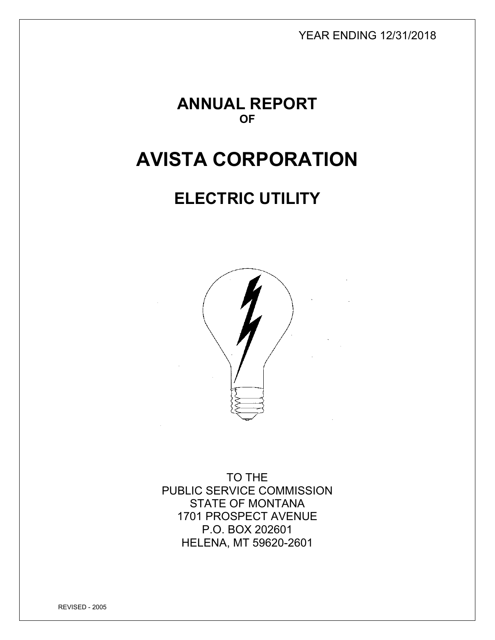YEAR ENDING 12/31/2018

**ANNUAL REPORT OF** 

# **AVISTA CORPORATION**

# **ELECTRIC UTILITY**



TO THE PUBLIC SERVICE COMMISSION STATE OF MONTANA 1701 PROSPECT AVENUE P.O. BOX 202601 HELENA, MT 59620-2601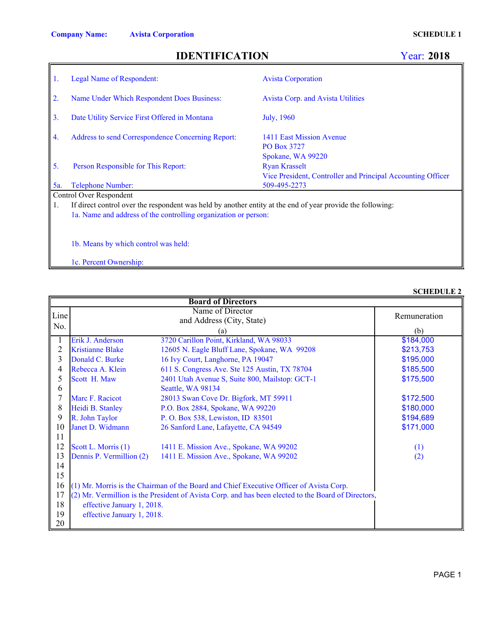**SCHEDULE 2**

## **IDENTIFICATION**

### Year: **2018**

|     | <b>Legal Name of Respondent:</b>                                                                           | <b>Avista Corporation</b>                                                                                |  |  |  |
|-----|------------------------------------------------------------------------------------------------------------|----------------------------------------------------------------------------------------------------------|--|--|--|
| 2.  | Name Under Which Respondent Does Business:                                                                 | <b>Avista Corp. and Avista Utilities</b>                                                                 |  |  |  |
| 3.  | Date Utility Service First Offered in Montana                                                              | July, 1960                                                                                               |  |  |  |
| 4.  | Address to send Correspondence Concerning Report:                                                          | 1411 East Mission Avenue<br>PO Box 3727                                                                  |  |  |  |
| 5.  | Person Responsible for This Report:                                                                        | Spokane, WA 99220<br><b>Ryan Krasselt</b><br>Vice President, Controller and Principal Accounting Officer |  |  |  |
| 5a. | Telephone Number:                                                                                          | 509-495-2273                                                                                             |  |  |  |
|     | Control Over Respondent                                                                                    |                                                                                                          |  |  |  |
| 1.  | If direct control over the respondent was held by another entity at the end of year provide the following: |                                                                                                          |  |  |  |
|     | 1a. Name and address of the controlling organization or person:                                            |                                                                                                          |  |  |  |
|     |                                                                                                            |                                                                                                          |  |  |  |
|     |                                                                                                            |                                                                                                          |  |  |  |

1b. Means by which control was held:

1c. Percent Ownership:

### 1 Erik J. Anderson 3720 Carillon Point, Kirkland, WA 98033 2 Kristianne Blake 12605 N. Eagle Bluff Lane, Spokane, WA 99208 3 Donald C. Burke 16 Ivy Court, Langhorne, PA 19047 4 Rebecca A. Klein 611 S. Congress Ave. Ste 125 Austin, TX 78704<br>5 Scott H. Maw 2401 Utah Avenue S, Suite 800, Mailstop: GCT-2401 Utah Avenue S, Suite 800, Mailstop: GCT-1 6 Seattle, WA 98134 7 Marc F. Racicot 28013 Swan Cove Dr. Bigfork, MT 59911 8 Heidi B. Stanley P.O. Box 2884, Spokane, WA 99220 9 R. John Taylor P. O. Box 538, Lewiston, ID 83501<br>10 Janet D. Widmann 26 Sanford Lane, Lafayette, CA 945 10 Janet D. Widmann 26 Sanford Lane, Lafayette, CA 94549 11 12 Scott L. Morris (1) 1411 E. Mission Ave., Spokane, WA 99202 13 Dennis P. Vermillion (2) 1411 E. Mission Ave., Spokane, WA 99202 14 15 16 (1) Mr. Morris is the Chairman of the Board and Chief Executive Officer of Avista Corp. 17 (2) Mr. Vermillion is the President of Avista Corp. and has been elected to the Board of Directors, 18 effective January 1, 2018. 19 effective January 1, 2018. 20 \$171,000 \$175,500 (2) (1) \$194,689 \$185,500 and Address (City, State) (a) \$184,000 \$213,753 \$180,000 Name of Director (b) \$195,000 Remuneration \$172,500 **Board of Directors** Line No.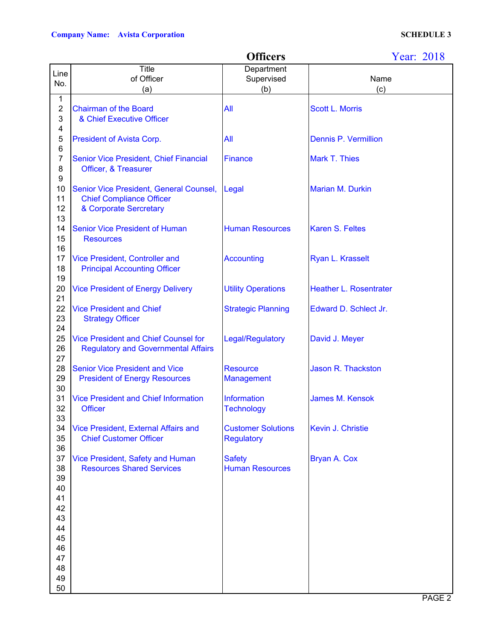|                           |                                                                      | <b>Officers</b>                         | Year: 2018                    |
|---------------------------|----------------------------------------------------------------------|-----------------------------------------|-------------------------------|
| Line                      | Title                                                                | Department                              |                               |
| No.                       | of Officer                                                           | Supervised                              | Name                          |
|                           | (a)                                                                  | (b)                                     | (c)                           |
| 1                         |                                                                      |                                         |                               |
| $\boldsymbol{2}$          | <b>Chairman of the Board</b>                                         | All                                     | <b>Scott L. Morris</b>        |
| $\ensuremath{\mathsf{3}}$ | & Chief Executive Officer                                            |                                         |                               |
| 4                         |                                                                      |                                         |                               |
| 5                         | President of Avista Corp.                                            | All                                     | <b>Dennis P. Vermillion</b>   |
| 6<br>$\overline{7}$       | <b>Senior Vice President, Chief Financial</b>                        | Finance                                 | <b>Mark T. Thies</b>          |
| 8                         | Officer, & Treasurer                                                 |                                         |                               |
| 9                         |                                                                      |                                         |                               |
| 10                        | Senior Vice President, General Counsel,                              | Legal                                   | <b>Marian M. Durkin</b>       |
| 11                        | <b>Chief Compliance Officer</b>                                      |                                         |                               |
| 12                        | & Corporate Sercretary                                               |                                         |                               |
| 13                        |                                                                      |                                         |                               |
| 14                        | <b>Senior Vice President of Human</b>                                | <b>Human Resources</b>                  | <b>Karen S. Feltes</b>        |
| 15                        | <b>Resources</b>                                                     |                                         |                               |
| 16                        |                                                                      |                                         |                               |
| 17                        | Vice President, Controller and                                       | <b>Accounting</b>                       | Ryan L. Krasselt              |
| 18                        | <b>Principal Accounting Officer</b>                                  |                                         |                               |
| 19                        |                                                                      |                                         |                               |
| 20                        | <b>Vice President of Energy Delivery</b>                             | <b>Utility Operations</b>               | <b>Heather L. Rosentrater</b> |
| 21                        |                                                                      |                                         |                               |
| 22<br>23                  | <b>Vice President and Chief</b><br><b>Strategy Officer</b>           | <b>Strategic Planning</b>               | Edward D. Schlect Jr.         |
| 24                        |                                                                      |                                         |                               |
| 25                        | <b>Vice President and Chief Counsel for</b>                          | Legal/Regulatory                        | David J. Meyer                |
| 26                        | <b>Regulatory and Governmental Affairs</b>                           |                                         |                               |
| 27                        |                                                                      |                                         |                               |
| 28                        | <b>Senior Vice President and Vice</b>                                | <b>Resource</b>                         | Jason R. Thackston            |
| 29                        | <b>President of Energy Resources</b>                                 | <b>Management</b>                       |                               |
| 30                        |                                                                      |                                         |                               |
| 31                        | <b>Vice President and Chief Information</b>                          | Information                             | <b>James M. Kensok</b>        |
| 32                        | <b>Officer</b>                                                       | <b>Technology</b>                       |                               |
| 33                        |                                                                      |                                         |                               |
| 34                        | <b>Vice President, External Affairs and</b>                          | <b>Customer Solutions</b>               | Kevin J. Christie             |
| 35                        | <b>Chief Customer Officer</b>                                        | <b>Regulatory</b>                       |                               |
| 36<br>37                  |                                                                      |                                         | Bryan A. Cox                  |
| 38                        | Vice President, Safety and Human<br><b>Resources Shared Services</b> | <b>Safety</b><br><b>Human Resources</b> |                               |
| 39                        |                                                                      |                                         |                               |
| 40                        |                                                                      |                                         |                               |
| 41                        |                                                                      |                                         |                               |
| 42                        |                                                                      |                                         |                               |
| 43                        |                                                                      |                                         |                               |
| 44                        |                                                                      |                                         |                               |
| 45                        |                                                                      |                                         |                               |
| 46                        |                                                                      |                                         |                               |
| 47                        |                                                                      |                                         |                               |
| 48                        |                                                                      |                                         |                               |
| 49                        |                                                                      |                                         |                               |
| 50                        |                                                                      |                                         |                               |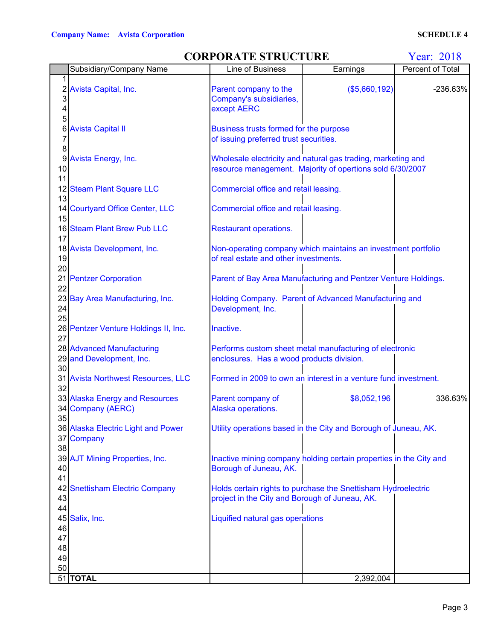## **CORPORATE STRUCTURE** Year: 2018

|          | Subsidiary/Company Name              | Line of Business                               | Earnings                                                           | Percent of Total |  |  |
|----------|--------------------------------------|------------------------------------------------|--------------------------------------------------------------------|------------------|--|--|
|          |                                      |                                                |                                                                    |                  |  |  |
|          | 2 Avista Capital, Inc.               | Parent company to the                          | (\$5,660,192)                                                      | $-236.63%$       |  |  |
| 3        |                                      | Company's subsidiaries,                        |                                                                    |                  |  |  |
| 4        |                                      | except AERC                                    |                                                                    |                  |  |  |
|          |                                      |                                                |                                                                    |                  |  |  |
| 6        | <b>Avista Capital II</b>             | Business trusts formed for the purpose         |                                                                    |                  |  |  |
|          |                                      | of issuing preferred trust securities.         |                                                                    |                  |  |  |
| 8        |                                      |                                                |                                                                    |                  |  |  |
|          | 9 Avista Energy, Inc.                |                                                | Wholesale electricity and natural gas trading, marketing and       |                  |  |  |
| 10       |                                      |                                                |                                                                    |                  |  |  |
| 11       |                                      |                                                | resource management. Majority of opertions sold 6/30/2007          |                  |  |  |
|          |                                      |                                                |                                                                    |                  |  |  |
|          | 12 Steam Plant Square LLC            | Commercial office and retail leasing.          |                                                                    |                  |  |  |
| 13       |                                      |                                                |                                                                    |                  |  |  |
|          | 14 Courtyard Office Center, LLC      | Commercial office and retail leasing.          |                                                                    |                  |  |  |
| 15       |                                      |                                                |                                                                    |                  |  |  |
|          | 16 Steam Plant Brew Pub LLC          | <b>Restaurant operations.</b>                  |                                                                    |                  |  |  |
| 17       |                                      |                                                |                                                                    |                  |  |  |
|          | 18 Avista Development, Inc.          |                                                | Non-operating company which maintains an investment portfolio      |                  |  |  |
| 19       |                                      | of real estate and other investments.          |                                                                    |                  |  |  |
| 20       |                                      |                                                |                                                                    |                  |  |  |
|          | 21 Pentzer Corporation               |                                                | Parent of Bay Area Manufacturing and Pentzer Venture Holdings.     |                  |  |  |
| 22       |                                      |                                                |                                                                    |                  |  |  |
|          | 23 Bay Area Manufacturing, Inc.      |                                                | Holding Company. Parent of Advanced Manufacturing and              |                  |  |  |
| 24       |                                      | Development, Inc.                              |                                                                    |                  |  |  |
| 25       |                                      |                                                |                                                                    |                  |  |  |
|          | 26 Pentzer Venture Holdings II, Inc. | Inactive.                                      |                                                                    |                  |  |  |
| 27       |                                      |                                                |                                                                    |                  |  |  |
|          | 28 Advanced Manufacturing            |                                                | Performs custom sheet metal manufacturing of electronic            |                  |  |  |
|          | 29 and Development, Inc.             | enclosures. Has a wood products division.      |                                                                    |                  |  |  |
| 30       |                                      |                                                |                                                                    |                  |  |  |
|          | 31 Avista Northwest Resources, LLC   |                                                | Formed in 2009 to own an interest in a venture fund investment.    |                  |  |  |
| 32       |                                      |                                                |                                                                    |                  |  |  |
|          | 33 Alaska Energy and Resources       | Parent company of                              | \$8,052,196                                                        | 336.63%          |  |  |
|          | 34 Company (AERC)                    | Alaska operations.                             |                                                                    |                  |  |  |
| 35       |                                      |                                                |                                                                    |                  |  |  |
|          | 36 Alaska Electric Light and Power   |                                                | Utility operations based in the City and Borough of Juneau, AK.    |                  |  |  |
|          | 37 Company                           |                                                |                                                                    |                  |  |  |
| 38       |                                      |                                                |                                                                    |                  |  |  |
|          | 39 AJT Mining Properties, Inc.       |                                                | Inactive mining company holding certain properties in the City and |                  |  |  |
| 40       |                                      | Borough of Juneau, AK.                         |                                                                    |                  |  |  |
| 41       |                                      |                                                |                                                                    |                  |  |  |
|          | 42 Snettisham Electric Company       |                                                | Holds certain rights to purchase the Snettisham Hydroelectric      |                  |  |  |
|          |                                      |                                                |                                                                    |                  |  |  |
| 43<br>44 |                                      | project in the City and Borough of Juneau, AK. |                                                                    |                  |  |  |
|          |                                      |                                                |                                                                    |                  |  |  |
|          | 45 Salix, Inc.                       | Liquified natural gas operations               |                                                                    |                  |  |  |
| 46       |                                      |                                                |                                                                    |                  |  |  |
| 47       |                                      |                                                |                                                                    |                  |  |  |
| 48       |                                      |                                                |                                                                    |                  |  |  |
| 49       |                                      |                                                |                                                                    |                  |  |  |
| 50       |                                      |                                                |                                                                    |                  |  |  |
|          | 51 TOTAL                             |                                                | 2,392,004                                                          |                  |  |  |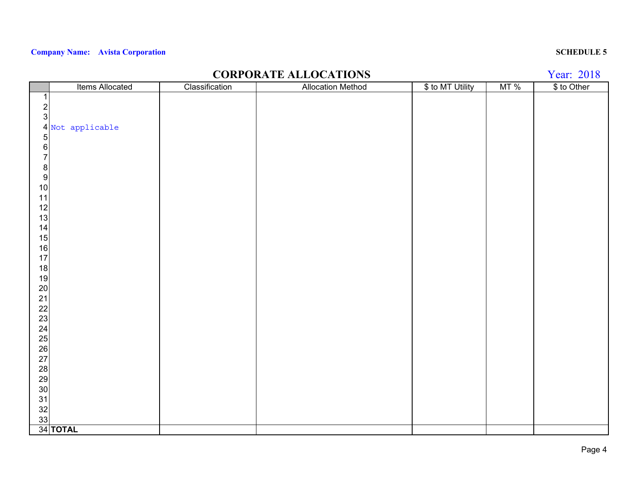## **CORPORATE ALLOCATIONS**

Year: 2018

|                                                     | Items Allocated  | Classification | <b>Allocation Method</b> | \$ to MT Utility | MT% | \$ to Other |
|-----------------------------------------------------|------------------|----------------|--------------------------|------------------|-----|-------------|
| 1                                                   |                  |                |                          |                  |     |             |
| $\sqrt{2}$                                          |                  |                |                          |                  |     |             |
| $\mathbf{3}$                                        |                  |                |                          |                  |     |             |
|                                                     | 4 Not applicable |                |                          |                  |     |             |
| 5 <sub>l</sub>                                      |                  |                |                          |                  |     |             |
| $\sqrt{6}$                                          |                  |                |                          |                  |     |             |
| $\overline{7}$                                      |                  |                |                          |                  |     |             |
| $\boldsymbol{8}$                                    |                  |                |                          |                  |     |             |
| $\overline{9}$                                      |                  |                |                          |                  |     |             |
| 10                                                  |                  |                |                          |                  |     |             |
| 11                                                  |                  |                |                          |                  |     |             |
| 12                                                  |                  |                |                          |                  |     |             |
| 13                                                  |                  |                |                          |                  |     |             |
| 14                                                  |                  |                |                          |                  |     |             |
| 15                                                  |                  |                |                          |                  |     |             |
| 16                                                  |                  |                |                          |                  |     |             |
| 17                                                  |                  |                |                          |                  |     |             |
| 18                                                  |                  |                |                          |                  |     |             |
| 19                                                  |                  |                |                          |                  |     |             |
| $20\,$                                              |                  |                |                          |                  |     |             |
| $\begin{array}{c} 21 \\ 22 \\ 23 \\ 24 \end{array}$ |                  |                |                          |                  |     |             |
|                                                     |                  |                |                          |                  |     |             |
|                                                     |                  |                |                          |                  |     |             |
|                                                     |                  |                |                          |                  |     |             |
| 25<br>26<br>27                                      |                  |                |                          |                  |     |             |
|                                                     |                  |                |                          |                  |     |             |
|                                                     |                  |                |                          |                  |     |             |
|                                                     |                  |                |                          |                  |     |             |
|                                                     |                  |                |                          |                  |     |             |
| 28<br>29<br>30<br>31                                |                  |                |                          |                  |     |             |
|                                                     |                  |                |                          |                  |     |             |
| $\frac{32}{33}$                                     |                  |                |                          |                  |     |             |
|                                                     |                  |                |                          |                  |     |             |
|                                                     | 34 TOTAL         |                |                          |                  |     |             |

### Page 4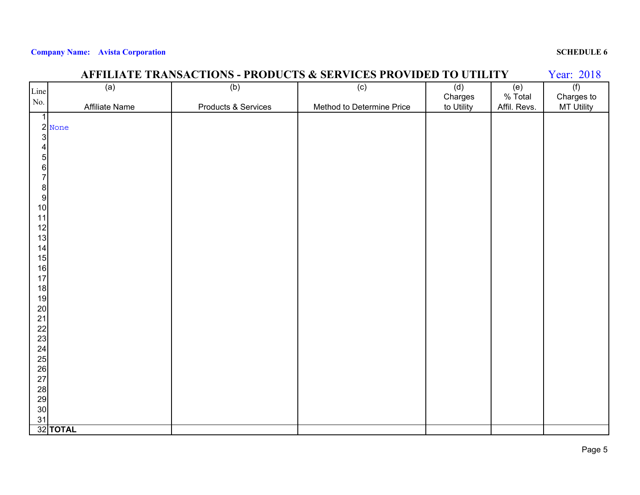|                                         | AFFILIATE TRANSACTIONS - PRODUCTS & SERVICES PROVIDED TO UTILITY<br>Year: 2018 |                     |                           |            |              |                   |  |
|-----------------------------------------|--------------------------------------------------------------------------------|---------------------|---------------------------|------------|--------------|-------------------|--|
| Line                                    | (a)                                                                            | (b)                 | $\overline{(c)}$          | (d)        | (e)          | (f)               |  |
| No.                                     |                                                                                |                     |                           | Charges    | % Total      | Charges to        |  |
| $\mathbf{1}$                            | Affiliate Name                                                                 | Products & Services | Method to Determine Price | to Utility | Affil. Revs. | <b>MT Utility</b> |  |
|                                         |                                                                                |                     |                           |            |              |                   |  |
|                                         | $\frac{2}{3}$ None                                                             |                     |                           |            |              |                   |  |
| $\overline{\mathbf{4}}$                 |                                                                                |                     |                           |            |              |                   |  |
|                                         |                                                                                |                     |                           |            |              |                   |  |
|                                         |                                                                                |                     |                           |            |              |                   |  |
|                                         |                                                                                |                     |                           |            |              |                   |  |
| <b>5</b><br>8<br>8<br>8                 |                                                                                |                     |                           |            |              |                   |  |
| 10                                      |                                                                                |                     |                           |            |              |                   |  |
| 11                                      |                                                                                |                     |                           |            |              |                   |  |
| 12                                      |                                                                                |                     |                           |            |              |                   |  |
| 13                                      |                                                                                |                     |                           |            |              |                   |  |
| 14                                      |                                                                                |                     |                           |            |              |                   |  |
| 15                                      |                                                                                |                     |                           |            |              |                   |  |
| 16                                      |                                                                                |                     |                           |            |              |                   |  |
| 17<br>18                                |                                                                                |                     |                           |            |              |                   |  |
| 19                                      |                                                                                |                     |                           |            |              |                   |  |
| 20                                      |                                                                                |                     |                           |            |              |                   |  |
| 21                                      |                                                                                |                     |                           |            |              |                   |  |
| $\begin{array}{c} 22 \\ 23 \end{array}$ |                                                                                |                     |                           |            |              |                   |  |
|                                         |                                                                                |                     |                           |            |              |                   |  |
| $24$<br>$25$<br>$26$<br>$27$            |                                                                                |                     |                           |            |              |                   |  |
|                                         |                                                                                |                     |                           |            |              |                   |  |
|                                         |                                                                                |                     |                           |            |              |                   |  |
|                                         |                                                                                |                     |                           |            |              |                   |  |
| 28<br>29                                |                                                                                |                     |                           |            |              |                   |  |
| 30                                      |                                                                                |                     |                           |            |              |                   |  |
| 31                                      |                                                                                |                     |                           |            |              |                   |  |
|                                         | 32 TOTAL                                                                       |                     |                           |            |              |                   |  |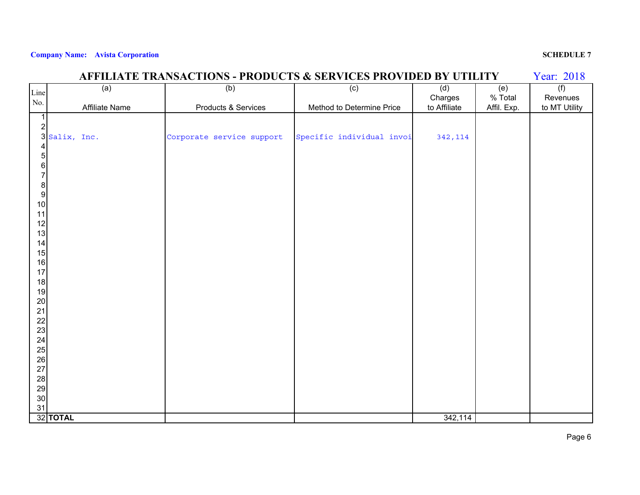|                                         | <b>AFFILIATE TRANSACTIONS - PRODUCTS &amp; SERVICES PROVIDED BY UTILITY</b><br>Year: 2018 |                           |                           |              |             |               |  |
|-----------------------------------------|-------------------------------------------------------------------------------------------|---------------------------|---------------------------|--------------|-------------|---------------|--|
| Line                                    | (a)                                                                                       | (b)                       | (c)                       | (d)          | (e)         | (f)           |  |
| No.                                     |                                                                                           |                           |                           | Charges      | % Total     | Revenues      |  |
|                                         | Affiliate Name                                                                            | Products & Services       | Method to Determine Price | to Affiliate | Affil. Exp. | to MT Utility |  |
| $\overline{1}$                          |                                                                                           |                           |                           |              |             |               |  |
| 2                                       |                                                                                           |                           |                           |              |             |               |  |
|                                         | 3 Salix, Inc.                                                                             | Corporate service support | Specific individual invoi | 342,114      |             |               |  |
| $\overline{4}$                          |                                                                                           |                           |                           |              |             |               |  |
| $\overline{5}$                          |                                                                                           |                           |                           |              |             |               |  |
| 6                                       |                                                                                           |                           |                           |              |             |               |  |
| $\overline{7}$                          |                                                                                           |                           |                           |              |             |               |  |
| $\begin{bmatrix} 8 \\ 9 \end{bmatrix}$  |                                                                                           |                           |                           |              |             |               |  |
| 10                                      |                                                                                           |                           |                           |              |             |               |  |
| 11                                      |                                                                                           |                           |                           |              |             |               |  |
| 12                                      |                                                                                           |                           |                           |              |             |               |  |
| 13                                      |                                                                                           |                           |                           |              |             |               |  |
| 14                                      |                                                                                           |                           |                           |              |             |               |  |
| 15                                      |                                                                                           |                           |                           |              |             |               |  |
| 16                                      |                                                                                           |                           |                           |              |             |               |  |
| 17                                      |                                                                                           |                           |                           |              |             |               |  |
| 18                                      |                                                                                           |                           |                           |              |             |               |  |
| 19                                      |                                                                                           |                           |                           |              |             |               |  |
| $20\,$                                  |                                                                                           |                           |                           |              |             |               |  |
| 21                                      |                                                                                           |                           |                           |              |             |               |  |
| $\begin{array}{c} 22 \\ 23 \end{array}$ |                                                                                           |                           |                           |              |             |               |  |
|                                         |                                                                                           |                           |                           |              |             |               |  |
| 24                                      |                                                                                           |                           |                           |              |             |               |  |
| $\frac{25}{26}$                         |                                                                                           |                           |                           |              |             |               |  |
| 27                                      |                                                                                           |                           |                           |              |             |               |  |
|                                         |                                                                                           |                           |                           |              |             |               |  |
| 28<br>29                                |                                                                                           |                           |                           |              |             |               |  |
| 30 <sub>o</sub>                         |                                                                                           |                           |                           |              |             |               |  |
| 31                                      |                                                                                           |                           |                           |              |             |               |  |
|                                         | 32 TOTAL                                                                                  |                           |                           | 342,114      |             |               |  |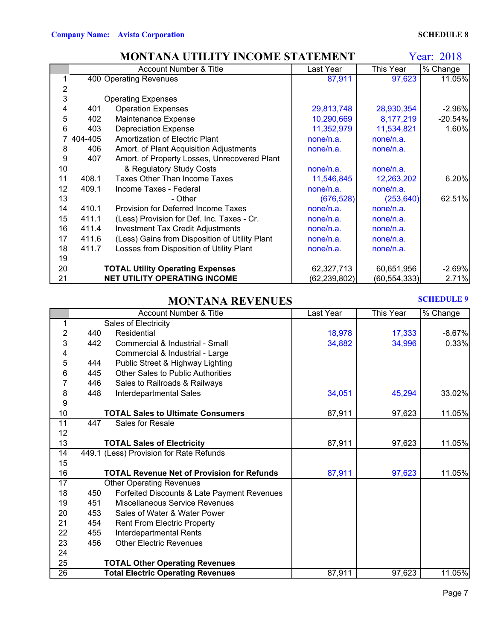## **MONTANA UTILITY INCOME STATEMENT**

Year: 2018

|    |         | Account Number & Title                         | Last Year      | This Year      | % Change  |
|----|---------|------------------------------------------------|----------------|----------------|-----------|
|    |         | 400 Operating Revenues                         | 87,911         | 97,623         | 11.05%    |
|    |         |                                                |                |                |           |
| 3  |         | <b>Operating Expenses</b>                      |                |                |           |
| 4  | 401     | <b>Operation Expenses</b>                      | 29,813,748     | 28,930,354     | $-2.96%$  |
| 5  | 402     | Maintenance Expense                            | 10,290,669     | 8,177,219      | $-20.54%$ |
| 6  | 403     | <b>Depreciation Expense</b>                    | 11,352,979     | 11,534,821     | 1.60%     |
|    | 404-405 | Amortization of Electric Plant                 | none/n.a.      | none/n.a.      |           |
| 8  | 406     | Amort. of Plant Acquisition Adjustments        | none/n.a.      | none/n.a.      |           |
| 9  | 407     | Amort. of Property Losses, Unrecovered Plant   |                |                |           |
| 10 |         | & Regulatory Study Costs                       | none/n.a.      | none/n.a.      |           |
| 11 | 408.1   | <b>Taxes Other Than Income Taxes</b>           | 11,546,845     | 12,263,202     | 6.20%     |
| 12 | 409.1   | Income Taxes - Federal                         | none/n.a.      | none/n.a.      |           |
| 13 |         | - Other                                        | (676, 528)     | (253, 640)     | 62.51%    |
| 14 | 410.1   | Provision for Deferred Income Taxes            | none/n.a.      | none/n.a.      |           |
| 15 | 411.1   | (Less) Provision for Def. Inc. Taxes - Cr.     | none/n.a.      | none/n.a.      |           |
| 16 | 411.4   | <b>Investment Tax Credit Adjustments</b>       | none/n.a.      | none/n.a.      |           |
| 17 | 411.6   | (Less) Gains from Disposition of Utility Plant | none/n.a.      | none/n.a.      |           |
| 18 | 411.7   | Losses from Disposition of Utility Plant       | none/n.a.      | none/n.a.      |           |
| 19 |         |                                                |                |                |           |
| 20 |         | <b>TOTAL Utility Operating Expenses</b>        | 62,327,713     | 60,651,956     | $-2.69%$  |
| 21 |         | <b>NET UTILITY OPERATING INCOME</b>            | (62, 239, 802) | (60, 554, 333) | 2.71%     |

### **MONTANA REVENUES**

### **SCHEDULE 9**

|                |     | <b>Account Number &amp; Title</b>                 | Last Year | This Year | % Change |
|----------------|-----|---------------------------------------------------|-----------|-----------|----------|
| 1              |     | Sales of Electricity                              |           |           |          |
| $\overline{c}$ | 440 | Residential                                       | 18,978    | 17,333    | $-8.67%$ |
| 3              | 442 | Commercial & Industrial - Small                   | 34,882    | 34,996    | 0.33%    |
| 4              |     | Commercial & Industrial - Large                   |           |           |          |
| 5              | 444 | Public Street & Highway Lighting                  |           |           |          |
| 6              | 445 | <b>Other Sales to Public Authorities</b>          |           |           |          |
| 7              | 446 | Sales to Railroads & Railways                     |           |           |          |
| 8              | 448 | Interdepartmental Sales                           | 34,051    | 45,294    | 33.02%   |
| 9              |     |                                                   |           |           |          |
| 10             |     | <b>TOTAL Sales to Ultimate Consumers</b>          | 87,911    | 97,623    | 11.05%   |
| 11             | 447 | Sales for Resale                                  |           |           |          |
| 12             |     |                                                   |           |           |          |
| 13             |     | <b>TOTAL Sales of Electricity</b>                 | 87,911    | 97,623    | 11.05%   |
| 14             |     | 449.1 (Less) Provision for Rate Refunds           |           |           |          |
| 15             |     |                                                   |           |           |          |
| 16             |     | <b>TOTAL Revenue Net of Provision for Refunds</b> | 87,911    | 97,623    | 11.05%   |
| 17             |     | <b>Other Operating Revenues</b>                   |           |           |          |
| 18             | 450 | Forfeited Discounts & Late Payment Revenues       |           |           |          |
| 19             | 451 | <b>Miscellaneous Service Revenues</b>             |           |           |          |
| 20             | 453 | Sales of Water & Water Power                      |           |           |          |
| 21             | 454 | <b>Rent From Electric Property</b>                |           |           |          |
| 22             | 455 | Interdepartmental Rents                           |           |           |          |
| 23             | 456 | <b>Other Electric Revenues</b>                    |           |           |          |
| 24             |     |                                                   |           |           |          |
| 25             |     | <b>TOTAL Other Operating Revenues</b>             |           |           |          |
| 26             |     | <b>Total Electric Operating Revenues</b>          | 87,911    | 97,623    | 11.05%   |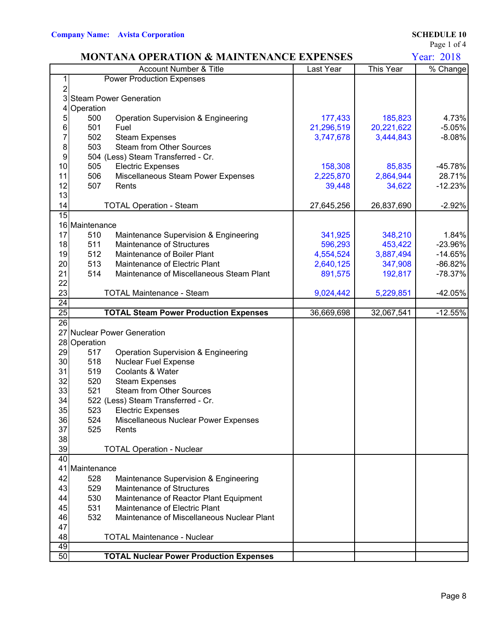Page 1 of 4

|                 |                | <b>MONTANA OPERATION &amp; MAINTENANCE EXPENSES</b> |            |            | <b>Year: 2018</b> |
|-----------------|----------------|-----------------------------------------------------|------------|------------|-------------------|
|                 |                | Account Number & Title                              | Last Year  | This Year  | % Change          |
| 1               |                | <b>Power Production Expenses</b>                    |            |            |                   |
| $\overline{2}$  |                |                                                     |            |            |                   |
|                 |                | 3 Steam Power Generation                            |            |            |                   |
|                 | Operation      |                                                     |            |            |                   |
| 5               | 500            | Operation Supervision & Engineering                 | 177,433    | 185,823    | 4.73%             |
| 6               | 501            | Fuel                                                | 21,296,519 | 20,221,622 | $-5.05%$          |
| 7               | 502            | <b>Steam Expenses</b>                               | 3,747,678  | 3,444,843  | $-8.08%$          |
| 8               | 503            | <b>Steam from Other Sources</b>                     |            |            |                   |
| 9               |                | 504 (Less) Steam Transferred - Cr.                  |            |            |                   |
| 10              | 505            | <b>Electric Expenses</b>                            | 158,308    | 85,835     | $-45.78%$         |
| 11              | 506            | Miscellaneous Steam Power Expenses                  | 2,225,870  | 2,864,944  | 28.71%            |
| 12              | 507            | Rents                                               | 39,448     | 34,622     | $-12.23%$         |
| 13              |                |                                                     |            |            |                   |
| 14              |                | <b>TOTAL Operation - Steam</b>                      | 27,645,256 | 26,837,690 | $-2.92%$          |
| 15              |                |                                                     |            |            |                   |
|                 | 16 Maintenance |                                                     |            |            |                   |
| 17              | 510            | Maintenance Supervision & Engineering               | 341,925    | 348,210    | 1.84%             |
| 18              | 511            | Maintenance of Structures                           | 596,293    | 453,422    | $-23.96\%$        |
| 19              | 512            | Maintenance of Boiler Plant                         | 4,554,524  | 3,887,494  | $-14.65%$         |
| 20              | 513            | Maintenance of Electric Plant                       | 2,640,125  | 347,908    | $-86.82%$         |
| 21              | 514            | Maintenance of Miscellaneous Steam Plant            | 891,575    | 192,817    | $-78.37%$         |
| 22              |                |                                                     |            |            |                   |
| 23              |                | <b>TOTAL Maintenance - Steam</b>                    | 9,024,442  | 5,229,851  | $-42.05%$         |
| $\overline{24}$ |                |                                                     |            |            |                   |
| 25              |                | <b>TOTAL Steam Power Production Expenses</b>        | 36,669,698 | 32,067,541 | $-12.55%$         |
| 26              |                |                                                     |            |            |                   |
|                 |                | 27 Nuclear Power Generation                         |            |            |                   |
|                 | 28 Operation   |                                                     |            |            |                   |
| 29              | 517            | Operation Supervision & Engineering                 |            |            |                   |
| 30              | 518            | <b>Nuclear Fuel Expense</b>                         |            |            |                   |
| 31              | 519            | Coolants & Water                                    |            |            |                   |
| 32              | 520            | <b>Steam Expenses</b>                               |            |            |                   |
| 33              | 521            | <b>Steam from Other Sources</b>                     |            |            |                   |
| 34              |                | 522 (Less) Steam Transferred - Cr.                  |            |            |                   |
| 35              | 523            | <b>Electric Expenses</b>                            |            |            |                   |
| 36              | 524            | Miscellaneous Nuclear Power Expenses                |            |            |                   |
| 37              | 525            | Rents                                               |            |            |                   |
| 38              |                |                                                     |            |            |                   |
| 39              |                | <b>TOTAL Operation - Nuclear</b>                    |            |            |                   |
| 40              |                |                                                     |            |            |                   |
|                 | 41 Maintenance |                                                     |            |            |                   |
| 42              | 528            | Maintenance Supervision & Engineering               |            |            |                   |
| 43              | 529            | Maintenance of Structures                           |            |            |                   |
| 44              | 530            | Maintenance of Reactor Plant Equipment              |            |            |                   |
| 45              | 531            | Maintenance of Electric Plant                       |            |            |                   |
| 46              | 532            | Maintenance of Miscellaneous Nuclear Plant          |            |            |                   |
| 47              |                |                                                     |            |            |                   |
| 48              |                | <b>TOTAL Maintenance - Nuclear</b>                  |            |            |                   |
| 49              |                |                                                     |            |            |                   |
|                 | 50             | <b>TOTAL Nuclear Power Production Expenses</b>      |            |            |                   |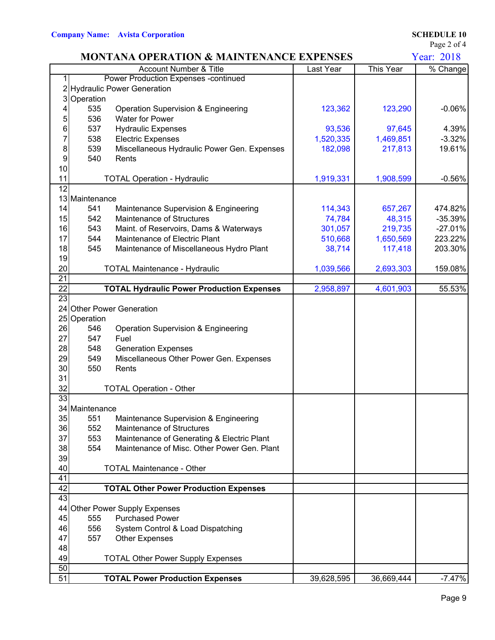Page 2 of 4

|                  |                | <b>MONTANA OPERATION &amp; MAINTENANCE EXPENSES</b> |            |            | Year: 2018 |
|------------------|----------------|-----------------------------------------------------|------------|------------|------------|
|                  |                | Account Number & Title                              | Last Year  | This Year  | % Change   |
|                  |                | <b>Power Production Expenses - continued</b>        |            |            |            |
|                  |                | 2 Hydraulic Power Generation                        |            |            |            |
| 3                | Operation      |                                                     |            |            |            |
|                  | 535            | Operation Supervision & Engineering                 | 123,362    | 123,290    | $-0.06%$   |
| 5                | 536            | <b>Water for Power</b>                              |            |            |            |
| 6                | 537            | <b>Hydraulic Expenses</b>                           | 93,536     | 97,645     | 4.39%      |
| 7                | 538            | <b>Electric Expenses</b>                            | 1,520,335  | 1,469,851  | $-3.32%$   |
| 8                | 539            | Miscellaneous Hydraulic Power Gen. Expenses         | 182,098    | 217,813    | 19.61%     |
| $\boldsymbol{9}$ | 540            | Rents                                               |            |            |            |
| 10               |                |                                                     |            |            |            |
| 11               |                | <b>TOTAL Operation - Hydraulic</b>                  | 1,919,331  | 1,908,599  | $-0.56%$   |
| $\overline{12}$  |                |                                                     |            |            |            |
|                  | 13 Maintenance |                                                     |            |            |            |
| 14               | 541            | Maintenance Supervision & Engineering               | 114,343    | 657,267    | 474.82%    |
| 15               | 542            | Maintenance of Structures                           | 74,784     | 48,315     | $-35.39%$  |
| 16               | 543            | Maint. of Reservoirs, Dams & Waterways              | 301,057    | 219,735    | $-27.01%$  |
| 17               | 544            | Maintenance of Electric Plant                       | 510,668    | 1,650,569  | 223.22%    |
| 18               | 545            | Maintenance of Miscellaneous Hydro Plant            | 38,714     | 117,418    | 203.30%    |
| 19               |                |                                                     |            |            |            |
| 20               |                | <b>TOTAL Maintenance - Hydraulic</b>                | 1,039,566  | 2,693,303  | 159.08%    |
| 21               |                |                                                     |            |            |            |
| $\overline{22}$  |                | <b>TOTAL Hydraulic Power Production Expenses</b>    | 2,958,897  | 4,601,903  | 55.53%     |
| $\overline{23}$  |                |                                                     |            |            |            |
| 24               |                | <b>Other Power Generation</b>                       |            |            |            |
| 25               | Operation      |                                                     |            |            |            |
| 26               | 546            | Operation Supervision & Engineering                 |            |            |            |
| 27               | 547            | Fuel                                                |            |            |            |
| 28               | 548            | <b>Generation Expenses</b>                          |            |            |            |
| 29               | 549            | Miscellaneous Other Power Gen. Expenses             |            |            |            |
| 30               | 550            | Rents                                               |            |            |            |
| 31               |                |                                                     |            |            |            |
| 32               |                | <b>TOTAL Operation - Other</b>                      |            |            |            |
| 33               |                |                                                     |            |            |            |
|                  | 34 Maintenance |                                                     |            |            |            |
| 35               | 551            | Maintenance Supervision & Engineering               |            |            |            |
| 36               | 552            | <b>Maintenance of Structures</b>                    |            |            |            |
| 37               | 553            | Maintenance of Generating & Electric Plant          |            |            |            |
| 38               | 554            | Maintenance of Misc. Other Power Gen. Plant         |            |            |            |
| 39               |                |                                                     |            |            |            |
| 40               |                | <b>TOTAL Maintenance - Other</b>                    |            |            |            |
| 41               |                |                                                     |            |            |            |
| 42               |                | <b>TOTAL Other Power Production Expenses</b>        |            |            |            |
| 43               |                |                                                     |            |            |            |
| 44               |                | Other Power Supply Expenses                         |            |            |            |
| 45               | 555            | <b>Purchased Power</b>                              |            |            |            |
| 46               | 556            | System Control & Load Dispatching                   |            |            |            |
| 47               | 557            | <b>Other Expenses</b>                               |            |            |            |
| 48               |                |                                                     |            |            |            |
| 49               |                | <b>TOTAL Other Power Supply Expenses</b>            |            |            |            |
| 50               |                |                                                     |            |            |            |
| 51               |                | <b>TOTAL Power Production Expenses</b>              | 39,628,595 | 36,669,444 | $-7.47%$   |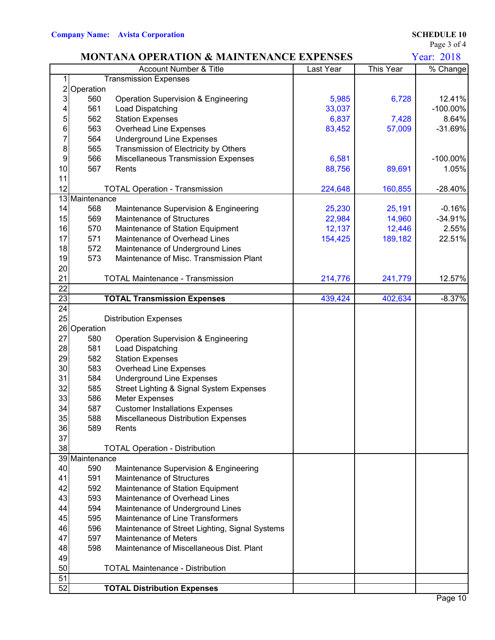Page 3 of 4

|                 |                | <b>MONTANA OPERATION &amp; MAINTENANCE EXPENSES</b>                  |           |           | <b>Year: 2018</b> |
|-----------------|----------------|----------------------------------------------------------------------|-----------|-----------|-------------------|
|                 |                | Account Number & Title                                               | Last Year | This Year | % Change          |
| 1               |                | <b>Transmission Expenses</b>                                         |           |           |                   |
| $\mathsf{2}$    | Operation      |                                                                      |           |           |                   |
| $\overline{3}$  | 560            | Operation Supervision & Engineering                                  | 5,985     | 6,728     | 12.41%            |
| 4               | 561            | Load Dispatching                                                     | 33,037    |           | $-100.00\%$       |
| 5               | 562            | <b>Station Expenses</b>                                              | 6,837     | 7,428     | 8.64%             |
| 6               | 563            | <b>Overhead Line Expenses</b>                                        | 83,452    | 57,009    | $-31.69%$         |
| 7               | 564            | <b>Underground Line Expenses</b>                                     |           |           |                   |
| 8               | 565            | Transmission of Electricity by Others                                |           |           |                   |
| 9               | 566            | <b>Miscellaneous Transmission Expenses</b>                           | 6,581     |           | -100.00%          |
| 10              | 567            | Rents                                                                | 88,756    | 89,691    | 1.05%             |
| 11              |                |                                                                      |           |           |                   |
| 12              |                | <b>TOTAL Operation - Transmission</b>                                | 224,648   | 160,855   | $-28.40%$         |
|                 | 13 Maintenance |                                                                      |           |           |                   |
| 14              | 568            | Maintenance Supervision & Engineering                                | 25,230    | 25,191    | $-0.16%$          |
| 15              | 569            | Maintenance of Structures                                            | 22,984    | 14,960    | $-34.91%$         |
| 16<br>17        | 570<br>571     | Maintenance of Station Equipment<br>Maintenance of Overhead Lines    | 12,137    | 12,446    | 2.55%             |
| 18              | 572            | Maintenance of Underground Lines                                     | 154,425   | 189,182   | 22.51%            |
| 19              | 573            | Maintenance of Misc. Transmission Plant                              |           |           |                   |
| 20              |                |                                                                      |           |           |                   |
| 21              |                | <b>TOTAL Maintenance - Transmission</b>                              | 214,776   | 241,779   | 12.57%            |
| $\overline{22}$ |                |                                                                      |           |           |                   |
| $\overline{23}$ |                | <b>TOTAL Transmission Expenses</b>                                   | 439,424   | 402,634   | $-8.37%$          |
| $\overline{24}$ |                |                                                                      |           |           |                   |
| 25              |                | <b>Distribution Expenses</b>                                         |           |           |                   |
|                 | 26 Operation   |                                                                      |           |           |                   |
| 27              | 580            | Operation Supervision & Engineering                                  |           |           |                   |
| 28              | 581            | Load Dispatching                                                     |           |           |                   |
| 29              | 582            | <b>Station Expenses</b>                                              |           |           |                   |
| 30              | 583            | <b>Overhead Line Expenses</b>                                        |           |           |                   |
| 31              | 584            | <b>Underground Line Expenses</b>                                     |           |           |                   |
| 32              | 585            | Street Lighting & Signal System Expenses                             |           |           |                   |
| 33              | 586            | <b>Meter Expenses</b>                                                |           |           |                   |
| 34              | 587            | <b>Customer Installations Expenses</b>                               |           |           |                   |
| 35 <sup>5</sup> | 588            | Miscellaneous Distribution Expenses                                  |           |           |                   |
| 36              | 589            | Rents                                                                |           |           |                   |
| 37              |                |                                                                      |           |           |                   |
| 38              |                | <b>TOTAL Operation - Distribution</b>                                |           |           |                   |
|                 | 39 Maintenance |                                                                      |           |           |                   |
| 40              | 590            | Maintenance Supervision & Engineering                                |           |           |                   |
| 41              | 591            | Maintenance of Structures                                            |           |           |                   |
| 42<br>43        | 592<br>593     | Maintenance of Station Equipment<br>Maintenance of Overhead Lines    |           |           |                   |
|                 |                |                                                                      |           |           |                   |
| 44<br>45        | 594<br>595     | Maintenance of Underground Lines<br>Maintenance of Line Transformers |           |           |                   |
| 46              | 596            | Maintenance of Street Lighting, Signal Systems                       |           |           |                   |
| 47              | 597            | Maintenance of Meters                                                |           |           |                   |
| 48              | 598            | Maintenance of Miscellaneous Dist. Plant                             |           |           |                   |
| 49              |                |                                                                      |           |           |                   |
| 50              |                | <b>TOTAL Maintenance - Distribution</b>                              |           |           |                   |
| 51              |                |                                                                      |           |           |                   |
| 52              |                | <b>TOTAL Distribution Expenses</b>                                   |           |           |                   |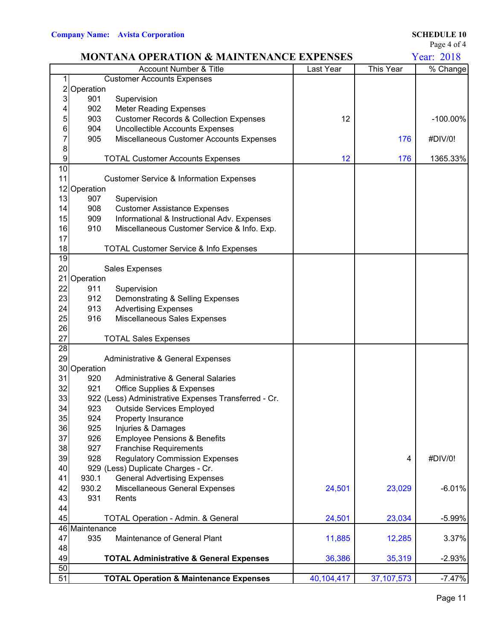Page 4 of 4

|                 |                | <b>MONTANA OPERATION &amp; MAINTENANCE EXPENSES</b>  |            |              | Year: 2018  |
|-----------------|----------------|------------------------------------------------------|------------|--------------|-------------|
|                 |                | <b>Account Number &amp; Title</b>                    | Last Year  | This Year    | % Change    |
|                 |                | <b>Customer Accounts Expenses</b>                    |            |              |             |
|                 | Operation      |                                                      |            |              |             |
| 3               | 901            | Supervision                                          |            |              |             |
|                 | 902            | <b>Meter Reading Expenses</b>                        |            |              |             |
| 5               | 903            | <b>Customer Records &amp; Collection Expenses</b>    | 12         |              | $-100.00\%$ |
| 6               | 904            | <b>Uncollectible Accounts Expenses</b>               |            |              |             |
| 7               | 905            | Miscellaneous Customer Accounts Expenses             |            | 176          | #DIV/0!     |
| 8               |                |                                                      |            |              |             |
| 9               |                | <b>TOTAL Customer Accounts Expenses</b>              | 12         | 176          | 1365.33%    |
| 10              |                |                                                      |            |              |             |
| 11              |                | <b>Customer Service &amp; Information Expenses</b>   |            |              |             |
|                 | 12 Operation   |                                                      |            |              |             |
| 13              | 907            | Supervision                                          |            |              |             |
| 14              | 908            | <b>Customer Assistance Expenses</b>                  |            |              |             |
| 15              | 909            | Informational & Instructional Adv. Expenses          |            |              |             |
| 16              | 910            | Miscellaneous Customer Service & Info. Exp.          |            |              |             |
| 17              |                |                                                      |            |              |             |
| 18              |                | TOTAL Customer Service & Info Expenses               |            |              |             |
| 19              |                |                                                      |            |              |             |
| 20              |                | <b>Sales Expenses</b>                                |            |              |             |
| 21              | Operation      |                                                      |            |              |             |
| 22              | 911            | Supervision                                          |            |              |             |
| 23              | 912            | Demonstrating & Selling Expenses                     |            |              |             |
| 24              | 913            | <b>Advertising Expenses</b>                          |            |              |             |
| 25              | 916            | Miscellaneous Sales Expenses                         |            |              |             |
| 26              |                |                                                      |            |              |             |
| 27              |                | <b>TOTAL Sales Expenses</b>                          |            |              |             |
| 28              |                |                                                      |            |              |             |
| 29              |                | Administrative & General Expenses                    |            |              |             |
|                 | 30 Operation   |                                                      |            |              |             |
| 31              | 920            | <b>Administrative &amp; General Salaries</b>         |            |              |             |
| 32              | 921            | <b>Office Supplies &amp; Expenses</b>                |            |              |             |
| 33              |                | 922 (Less) Administrative Expenses Transferred - Cr. |            |              |             |
| 34              | 923            | <b>Outside Services Employed</b>                     |            |              |             |
| 35              | 924            | Property Insurance                                   |            |              |             |
| 36              | 925            | Injuries & Damages                                   |            |              |             |
| 37              | 926            | <b>Employee Pensions &amp; Benefits</b>              |            |              |             |
| 38              | 927            | <b>Franchise Requirements</b>                        |            |              |             |
| 39              | 928            | <b>Regulatory Commission Expenses</b>                |            | 4            | #DIV/0!     |
| 40              |                | 929 (Less) Duplicate Charges - Cr.                   |            |              |             |
| 41              | 930.1          | <b>General Advertising Expenses</b>                  |            |              |             |
| 42              | 930.2          | Miscellaneous General Expenses                       | 24,501     | 23,029       | $-6.01%$    |
| 43              | 931            | Rents                                                |            |              |             |
| 44              |                |                                                      |            |              |             |
| 45              |                | <b>TOTAL Operation - Admin. &amp; General</b>        | 24,501     | 23,034       | $-5.99%$    |
|                 | 46 Maintenance |                                                      |            |              |             |
| 47              | 935            | Maintenance of General Plant                         | 11,885     | 12,285       | 3.37%       |
| 48              |                |                                                      |            |              |             |
| 49              |                | <b>TOTAL Administrative &amp; General Expenses</b>   | 36,386     | 35,319       | $-2.93%$    |
| 50              |                |                                                      |            |              |             |
| $\overline{51}$ |                | <b>TOTAL Operation &amp; Maintenance Expenses</b>    | 40,104,417 | 37, 107, 573 | $-7.47%$    |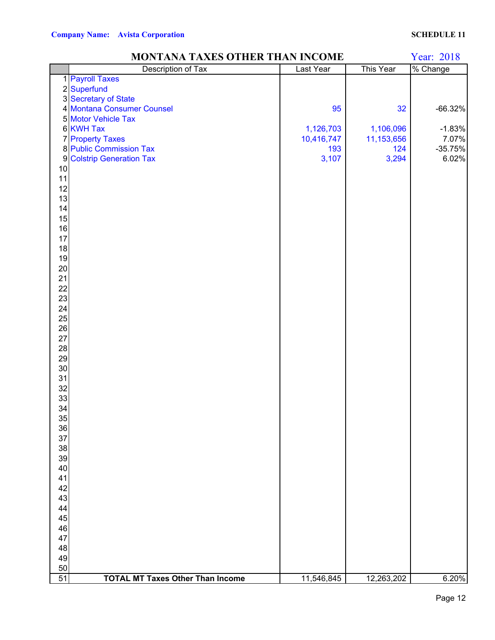|                  | MONTANA TAXES OTHER THAN INCOME         |            |            | Year: 2018 |
|------------------|-----------------------------------------|------------|------------|------------|
|                  | <b>Description of Tax</b>               | Last Year  | This Year  | % Change   |
|                  | 1 Payroll Taxes                         |            |            |            |
|                  | 2 Superfund                             |            |            |            |
|                  | 3 Secretary of State                    |            |            |            |
|                  | 4 Montana Consumer Counsel              | 95         | 32         | $-66.32%$  |
|                  | 5 Motor Vehicle Tax                     |            |            |            |
|                  | 6 KWH Tax                               | 1,126,703  | 1,106,096  | $-1.83%$   |
|                  | <b>7</b> Property Taxes                 | 10,416,747 | 11,153,656 | 7.07%      |
|                  | 8 Public Commission Tax                 | 193        | 124        | $-35.75%$  |
| $\boldsymbol{9}$ | <b>Colstrip Generation Tax</b>          | 3,107      | 3,294      | 6.02%      |
| 10               |                                         |            |            |            |
| 11               |                                         |            |            |            |
| 12               |                                         |            |            |            |
| 13               |                                         |            |            |            |
| 14               |                                         |            |            |            |
| 15               |                                         |            |            |            |
| 16               |                                         |            |            |            |
| 17               |                                         |            |            |            |
| 18               |                                         |            |            |            |
| 19               |                                         |            |            |            |
| $20\,$           |                                         |            |            |            |
| 21               |                                         |            |            |            |
| 22               |                                         |            |            |            |
| 23               |                                         |            |            |            |
| 24               |                                         |            |            |            |
| 25               |                                         |            |            |            |
|                  |                                         |            |            |            |
| 26               |                                         |            |            |            |
| $27\,$           |                                         |            |            |            |
| 28               |                                         |            |            |            |
| 29               |                                         |            |            |            |
| 30               |                                         |            |            |            |
| 31               |                                         |            |            |            |
| 32               |                                         |            |            |            |
| 33               |                                         |            |            |            |
| 34               |                                         |            |            |            |
| 35               |                                         |            |            |            |
| 36               |                                         |            |            |            |
| 37               |                                         |            |            |            |
| 38               |                                         |            |            |            |
| 39               |                                         |            |            |            |
| 40               |                                         |            |            |            |
| 41               |                                         |            |            |            |
| 42               |                                         |            |            |            |
| 43               |                                         |            |            |            |
| 44               |                                         |            |            |            |
| 45               |                                         |            |            |            |
| 46               |                                         |            |            |            |
| 47               |                                         |            |            |            |
| 48               |                                         |            |            |            |
| 49               |                                         |            |            |            |
| 50               |                                         |            |            |            |
| 51               | <b>TOTAL MT Taxes Other Than Income</b> | 11,546,845 | 12,263,202 | 6.20%      |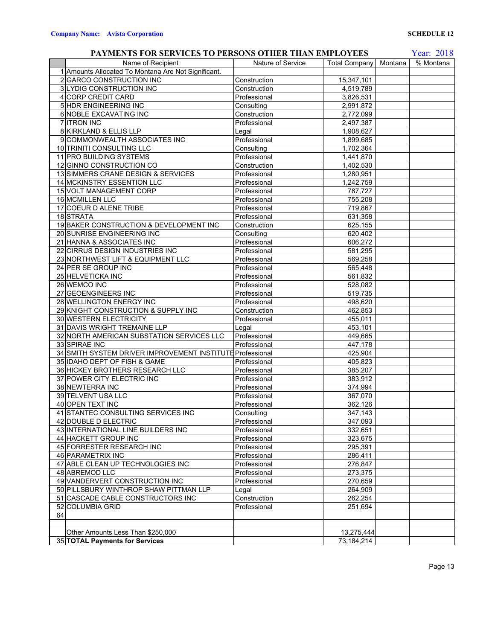### Name of Recipient **Nature of Service** Total Company Montana | % Montana 1 Amounts Allocated To Montana Are Not Significant. 2 GARCO CONSTRUCTION INC<br>
2 GARCO CONSTRUCTION INC<br>
2 Construction<br>
2 Construction<br>
2 Construction<br>
2 Construction<br>
2 GARCO CONSTRUCTION INC 3 LYDIG CONSTRUCTION INC Construction 4 CORP CREDIT CARD Professional 2,826,531 5 HDR ENGINEERING INC Consulting 2,991,872 6 NOBLE EXCAVATING INC Construction 2,772,099 7 ITRON INC Professional 2,497,387 8 KIRKLAND & ELLIS LLP Legal Legal 1,908,627 9 COMMONWEALTH ASSOCIATES INC Professional Professional 1,899,685 10 TRINITI CONSULTING LLC **CONSULTION** Consulting 1,702,364 11 PRO BUILDING SYSTEMS Professional Professional Professional 2,441,870 12 GINNO CONSTRUCTION CO Construction Construction 1,402,530 13 SIMMERS CRANE DESIGN & SERVICES Professional 1,280,951 14 MCKINSTRY ESSENTION LLC Professional 1,242,759<br>15 15 VOLT MANAGEMENT CORP Professional 787,727 15 VOLT MANAGEMENT CORP Professional 16 MCMILLEN LLC Professional 755,208 17 COEUR D ALENE TRIBE Professional Professional 219,867 18 STRATA Professional Professional 631,358 19 BAKER CONSTRUCTION & DEVELOPMENT INC Construction 625,155 20 SUNRISE ENGINEERING INC Consulting Consulting 620,402 21 HANNA & ASSOCIATES INC Professional Professional and the extent of the extent of the extent of the extent of the extent of the extent of the extent of the extent of the extent of the extent of the extent of the extent o 22 CIRRUS DESIGN INDUSTRIES INC Professional Professional 581,295 23 NORTHWEST LIFT & EQUIPMENT LLC Professional Professional 569,258 24 PER SE GROUP INC **Professional** Professional Professional 565,448 25 HELVETICKA INC Professional Professional 561,832 26 WEMCO INC Professional 528,082 27 GEOENGINEERS INC Professional 519,735<br>
28 WELLINGTON ENERGY INC Professional 498,620 28 WELLINGTON ENERGY INC Professional 29 KNIGHT CONSTRUCTION & SUPPLY INC Construction 462,853 30 WESTERN ELECTRICITY Professional Professional 255,011 31 DAVIS WRIGHT TREMAINE LLP Legal Legal 453,101 32 NORTH AMERICAN SUBSTATION SERVICES LLC Professional 449,665 33 SPIRAE INC Professional 447,178 34 SMITH SYSTEM DRIVER IMPROVEMENT INSTITUTE Professional  $\vert$  425,904 35 IDAHO DEPT OF FISH & GAME Professional Professional 405,823 36 HICKEY BROTHERS RESEARCH LLC Professional 385,207 37 POWER CITY ELECTRIC INC Professional 383,912 38 NEWTERRA INC Professional 374,994 39 TELVENT USA LLC Professional 40 OPEN TEXT INC Professional 262,126<br>41 STANTEC CONSULTING SERVICES INC Consulting 347,143 41 STANTEC CONSULTING SERVICES INC Consulting 42 DOUBLE D ELECTRIC Professional Professional 247,093 43 INTERNATIONAL LINE BUILDERS INC Professional Professional 232,651 44 HACKETT GROUP INC Professional Professional 323,675 45 FORRESTER RESEARCH INC Professional 295,391 46 PARAMETRIX INC **Professional** Professional 286,411 47 ABLE CLEAN UP TECHNOLOGIES INC Professional Professional 276,847 48 ABREMOD LLC **Professional** Professional 273,375 49 VANDERVERT CONSTRUCTION INC Professional Professional 270,659 50 PILLSBURY WINTHROP SHAW PITTMAN LLP Legal 264,909 51 CASCADE CABLE CONSTRUCTORS INC Construction 262,254 52 COLUMBIA GRID Professional 251,694 64 Other Amounts Less Than \$250,000 13,275,444 35 **TOTAL Payments for Services** 73,184,214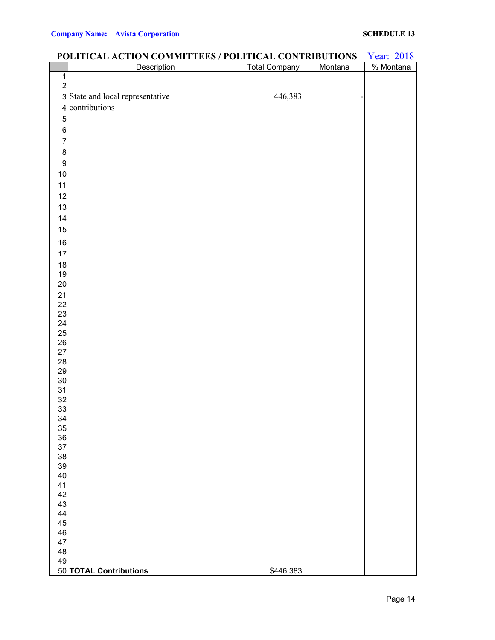### Year: 2018<br>% Montana Description Total Company Montana  $\overline{2}$ 3 State and local representative 446,383 contributions **TOTAL Contributions** \$446,383

### **POLITICAL ACTION COMMITTEES / POLITICAL CONTRIBUTIONS**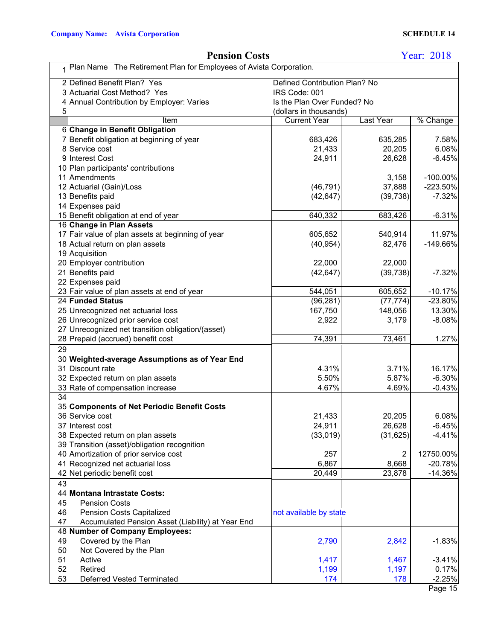|    | 1 Plan Name The Retirement Plan for Employees of Avista Corporation. |                               |                     |             |  |  |
|----|----------------------------------------------------------------------|-------------------------------|---------------------|-------------|--|--|
|    | 2 Defined Benefit Plan? Yes                                          | Defined Contribution Plan? No |                     |             |  |  |
|    | 3 Actuarial Cost Method? Yes                                         | IRS Code: 001                 |                     |             |  |  |
|    | Annual Contribution by Employer: Varies                              | Is the Plan Over Funded? No   |                     |             |  |  |
| 5  |                                                                      | (dollars in thousands)        |                     |             |  |  |
|    | Item                                                                 | <b>Current Year</b>           | Last Year           | % Change    |  |  |
|    | 6 Change in Benefit Obligation                                       |                               |                     |             |  |  |
|    | 7 Benefit obligation at beginning of year                            | 683,426                       | 635,285             | 7.58%       |  |  |
|    | 8 Service cost                                                       | 21,433                        | 20,205              | 6.08%       |  |  |
|    | 9 Interest Cost                                                      | 24,911                        | 26,628              | $-6.45%$    |  |  |
|    | 10 Plan participants' contributions                                  |                               |                     |             |  |  |
|    | 11 Amendments                                                        |                               | 3,158               | $-100.00\%$ |  |  |
|    | 12 Actuarial (Gain)/Loss                                             | (46, 791)                     | 37,888              | $-223.50%$  |  |  |
|    | 13 Benefits paid                                                     | (42, 647)                     | (39, 738)           | $-7.32%$    |  |  |
|    | 14 Expenses paid                                                     |                               |                     |             |  |  |
|    | 15 Benefit obligation at end of year                                 | 640,332                       | 683,426             | $-6.31%$    |  |  |
|    | 16 Change in Plan Assets                                             |                               |                     |             |  |  |
|    | 17 Fair value of plan assets at beginning of year                    | 605,652                       | 540,914             | 11.97%      |  |  |
|    | 18 Actual return on plan assets                                      | (40, 954)                     | 82,476              | $-149.66%$  |  |  |
|    | 19 Acquisition                                                       |                               |                     |             |  |  |
|    | 20 Employer contribution<br>21 Benefits paid                         | 22,000                        | 22,000<br>(39, 738) | $-7.32%$    |  |  |
|    | 22 Expenses paid                                                     | (42, 647)                     |                     |             |  |  |
|    | 23 Fair value of plan assets at end of year                          | 544,051                       | 605,652             | $-10.17%$   |  |  |
|    | 24 Funded Status                                                     | (96, 281)                     | (77, 774)           | $-23.80%$   |  |  |
|    | 25 Unrecognized net actuarial loss                                   | 167,750                       | 148,056             | 13.30%      |  |  |
|    | 26 Unrecognized prior service cost                                   | 2,922                         | 3,179               | $-8.08%$    |  |  |
|    | 27 Unrecognized net transition obligation/(asset)                    |                               |                     |             |  |  |
|    | 28 Prepaid (accrued) benefit cost                                    | 74,391                        | 73,461              | 1.27%       |  |  |
| 29 |                                                                      |                               |                     |             |  |  |
|    | 30 Weighted-average Assumptions as of Year End                       |                               |                     |             |  |  |
|    | 31 Discount rate                                                     | 4.31%                         | 3.71%               | 16.17%      |  |  |
|    | 32 Expected return on plan assets                                    | 5.50%                         | 5.87%               | $-6.30%$    |  |  |
|    | 33 Rate of compensation increase                                     | 4.67%                         | 4.69%               | $-0.43%$    |  |  |
| 34 |                                                                      |                               |                     |             |  |  |
|    | 35 Components of Net Periodic Benefit Costs                          |                               |                     |             |  |  |
|    | 36 Service cost                                                      | 21,433                        | 20,205              | 6.08%       |  |  |
|    | 37 Interest cost                                                     | 24,911                        | 26,628              | $-6.45%$    |  |  |
|    | 38 Expected return on plan assets                                    | (33,019)                      | (31, 625)           | $-4.41%$    |  |  |
|    | 39 Transition (asset)/obligation recognition                         |                               |                     |             |  |  |
|    | 40 Amortization of prior service cost                                | 257                           | $\overline{2}$      | 12750.00%   |  |  |
|    | 41 Recognized net actuarial loss                                     | 6,867                         | 8,668               | $-20.78%$   |  |  |
|    | 42 Net periodic benefit cost                                         | 20,449                        | 23,878              | $-14.36%$   |  |  |
| 43 |                                                                      |                               |                     |             |  |  |
|    | 44 Montana Intrastate Costs:                                         |                               |                     |             |  |  |
| 45 | <b>Pension Costs</b>                                                 |                               |                     |             |  |  |
| 46 | <b>Pension Costs Capitalized</b>                                     | not available by state        |                     |             |  |  |
| 47 | Accumulated Pension Asset (Liability) at Year End                    |                               |                     |             |  |  |
|    | 48 Number of Company Employees:                                      |                               |                     |             |  |  |
| 49 | Covered by the Plan                                                  | 2,790                         | 2,842               | $-1.83%$    |  |  |
| 50 | Not Covered by the Plan                                              |                               |                     |             |  |  |
| 51 | Active                                                               | 1,417                         | 1,467               | $-3.41%$    |  |  |
| 52 | Retired                                                              | 1,199                         | 1,197               | 0.17%       |  |  |
| 53 | <b>Deferred Vested Terminated</b>                                    | 174                           | 178                 | $-2.25%$    |  |  |

## **Pension Costs**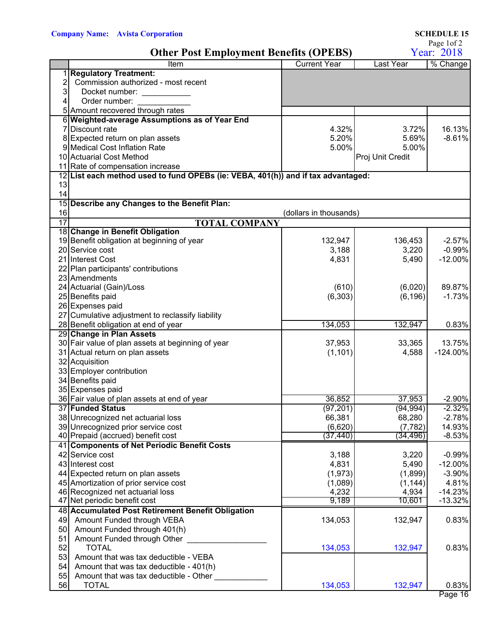|    |                                                                                  |                        |                       | Page 1of 2         |
|----|----------------------------------------------------------------------------------|------------------------|-----------------------|--------------------|
|    | <b>Other Post Employment Benefits (OPEBS)</b>                                    |                        | Year: 2018            |                    |
|    | Item                                                                             | <b>Current Year</b>    | <b>Last Year</b>      | % Change           |
|    | <b>Regulatory Treatment:</b>                                                     |                        |                       |                    |
| 2  | Commission authorized - most recent                                              |                        |                       |                    |
| 3  | Docket number:                                                                   |                        |                       |                    |
| 4  | Order number:                                                                    |                        |                       |                    |
|    | 5 Amount recovered through rates                                                 |                        |                       |                    |
|    | 6 Weighted-average Assumptions as of Year End                                    |                        |                       |                    |
|    | 7 Discount rate                                                                  | 4.32%                  | 3.72%                 | 16.13%             |
|    | 8 Expected return on plan assets                                                 | 5.20%                  | 5.69%                 | $-8.61%$           |
|    | 9 Medical Cost Inflation Rate                                                    | 5.00%                  | 5.00%                 |                    |
|    | 10 Actuarial Cost Method                                                         |                        | Proj Unit Credit      |                    |
|    | 11 Rate of compensation increase                                                 |                        |                       |                    |
|    | 12 List each method used to fund OPEBs (ie: VEBA, 401(h)) and if tax advantaged: |                        |                       |                    |
| 13 |                                                                                  |                        |                       |                    |
| 14 | 15 Describe any Changes to the Benefit Plan:                                     |                        |                       |                    |
| 16 |                                                                                  | (dollars in thousands) |                       |                    |
| 17 | <b>TOTAL COMPANY</b>                                                             |                        |                       |                    |
|    | 18 Change in Benefit Obligation                                                  |                        |                       |                    |
|    | 19 Benefit obligation at beginning of year                                       | 132,947                | 136,453               | $-2.57%$           |
|    | 20 Service cost                                                                  | 3,188                  | 3,220                 | $-0.99%$           |
|    | 21 Interest Cost                                                                 | 4,831                  | 5,490                 | $-12.00%$          |
|    | 22 Plan participants' contributions                                              |                        |                       |                    |
|    | 23 Amendments                                                                    |                        |                       |                    |
|    | 24 Actuarial (Gain)/Loss                                                         | (610)                  | (6,020)               | 89.87%             |
|    | 25 Benefits paid                                                                 | (6, 303)               | (6, 196)              | $-1.73%$           |
|    | 26 Expenses paid                                                                 |                        |                       |                    |
|    | 27 Cumulative adjustment to reclassify liability                                 |                        |                       |                    |
|    | 28 Benefit obligation at end of year                                             | 134,053                | 132,947               | 0.83%              |
|    | 29 Change in Plan Assets                                                         |                        |                       |                    |
|    | 30 Fair value of plan assets at beginning of year                                | 37,953                 | 33,365                | 13.75%             |
|    | 31 Actual return on plan assets                                                  | (1, 101)               | 4,588                 | $-124.00%$         |
|    | 32 Acquisition                                                                   |                        |                       |                    |
|    | 33 Employer contribution                                                         |                        |                       |                    |
|    | 34 Benefits paid                                                                 |                        |                       |                    |
|    | 35 Expenses paid                                                                 |                        |                       |                    |
|    | 36 Fair value of plan assets at end of year                                      | 36,852                 | 37,953                | $-2.90%$           |
|    | 37 Funded Status                                                                 | (97, 201)              | (94, 994)             | $-2.32%$           |
|    | 38 Unrecognized net actuarial loss                                               | 66,381                 | 68,280                | $-2.78%$           |
|    | 39 Unrecognized prior service cost<br>40 Prepaid (accrued) benefit cost          | (6,620)<br>(37,440)    | (7, 782)<br>(34, 496) | 14.93%<br>$-8.53%$ |
|    | 41 Components of Net Periodic Benefit Costs                                      |                        |                       |                    |
|    | 42 Service cost                                                                  |                        | 3,220                 | $-0.99%$           |
|    | 43 Interest cost                                                                 | 3,188<br>4,831         | 5,490                 | $-12.00%$          |
|    | 44 Expected return on plan assets                                                | (1, 973)               | (1,899)               | $-3.90%$           |
|    | 45 Amortization of prior service cost                                            | (1,089)                | (1, 144)              | 4.81%              |
|    | 46 Recognized net actuarial loss                                                 | 4,232                  | 4,934                 | $-14.23%$          |
|    | 47 Net periodic benefit cost                                                     | 9,189                  | 10,601                | $-13.32%$          |
|    | 48 Accumulated Post Retirement Benefit Obligation                                |                        |                       |                    |
|    | 49 Amount Funded through VEBA                                                    | 134,053                | 132,947               | 0.83%              |
| 50 | Amount Funded through 401(h)                                                     |                        |                       |                    |
| 51 | Amount Funded through Other                                                      |                        |                       |                    |
| 52 | <b>TOTAL</b>                                                                     | 134,053                | 132,947               | 0.83%              |
| 53 | Amount that was tax deductible - VEBA                                            |                        |                       |                    |
| 54 | Amount that was tax deductible - 401(h)                                          |                        |                       |                    |
| 55 | Amount that was tax deductible - Other                                           |                        |                       |                    |
| 56 | <b>TOTAL</b>                                                                     | 134,053                | 132,947               | 0.83%              |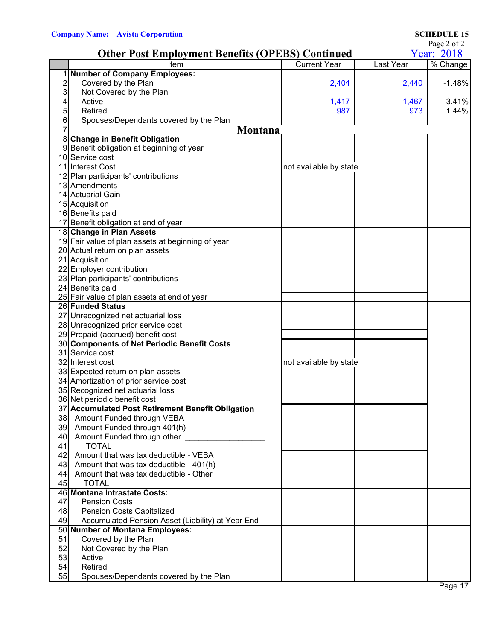|  | $\cdots$ |
|--|----------|

|    | <b>Other Post Employment Benefits (OPEBS) Continued</b>    |                        | $1$ agu $\angle$ 01 $\angle$<br>Year: 2018 |                        |  |
|----|------------------------------------------------------------|------------------------|--------------------------------------------|------------------------|--|
|    | Item                                                       | <b>Current Year</b>    | Last Year                                  | $\overline{\%}$ Change |  |
|    | 1 Number of Company Employees:                             |                        |                                            |                        |  |
| 2  | Covered by the Plan                                        | 2,404                  | 2,440                                      | $-1.48%$               |  |
| 3  | Not Covered by the Plan                                    |                        |                                            |                        |  |
| 4  | Active                                                     | 1,417                  | 1,467                                      | $-3.41%$               |  |
| 5  | Retired                                                    | 987                    | 973                                        | 1.44%                  |  |
| 6  | Spouses/Dependants covered by the Plan                     |                        |                                            |                        |  |
|    | Montana                                                    |                        |                                            |                        |  |
|    | 8 Change in Benefit Obligation                             |                        |                                            |                        |  |
|    | 9 Benefit obligation at beginning of year                  |                        |                                            |                        |  |
|    | 10 Service cost                                            |                        |                                            |                        |  |
|    | 11 Interest Cost                                           | not available by state |                                            |                        |  |
|    | 12 Plan participants' contributions                        |                        |                                            |                        |  |
|    | 13 Amendments                                              |                        |                                            |                        |  |
|    | 14 Actuarial Gain                                          |                        |                                            |                        |  |
|    | 15 Acquisition                                             |                        |                                            |                        |  |
|    | 16 Benefits paid                                           |                        |                                            |                        |  |
|    | 17 Benefit obligation at end of year                       |                        |                                            |                        |  |
|    | 18 Change in Plan Assets                                   |                        |                                            |                        |  |
|    | 19 Fair value of plan assets at beginning of year          |                        |                                            |                        |  |
|    | 20 Actual return on plan assets                            |                        |                                            |                        |  |
|    | 21 Acquisition                                             |                        |                                            |                        |  |
|    | 22 Employer contribution                                   |                        |                                            |                        |  |
|    | 23 Plan participants' contributions                        |                        |                                            |                        |  |
|    | 24 Benefits paid                                           |                        |                                            |                        |  |
|    | 25 Fair value of plan assets at end of year                |                        |                                            |                        |  |
|    | 26 Funded Status                                           |                        |                                            |                        |  |
|    | 27 Unrecognized net actuarial loss                         |                        |                                            |                        |  |
|    | 28 Unrecognized prior service cost                         |                        |                                            |                        |  |
|    | 29 Prepaid (accrued) benefit cost                          |                        |                                            |                        |  |
|    | 30 Components of Net Periodic Benefit Costs                |                        |                                            |                        |  |
|    | 31 Service cost                                            |                        |                                            |                        |  |
|    | 32 Interest cost                                           | not available by state |                                            |                        |  |
|    | 33 Expected return on plan assets                          |                        |                                            |                        |  |
|    | 34 Amortization of prior service cost                      |                        |                                            |                        |  |
|    | 35 Recognized net actuarial loss                           |                        |                                            |                        |  |
|    | 36 Net periodic benefit cost                               |                        |                                            |                        |  |
|    | 37 Accumulated Post Retirement Benefit Obligation          |                        |                                            |                        |  |
| 38 |                                                            |                        |                                            |                        |  |
| 39 | Amount Funded through VEBA<br>Amount Funded through 401(h) |                        |                                            |                        |  |
| 40 | Amount Funded through other                                |                        |                                            |                        |  |
| 41 | <b>TOTAL</b>                                               |                        |                                            |                        |  |
| 42 | Amount that was tax deductible - VEBA                      |                        |                                            |                        |  |
|    |                                                            |                        |                                            |                        |  |
| 43 | Amount that was tax deductible - 401(h)                    |                        |                                            |                        |  |
| 44 | Amount that was tax deductible - Other                     |                        |                                            |                        |  |
| 45 | <b>TOTAL</b><br>46 Montana Intrastate Costs:               |                        |                                            |                        |  |
|    |                                                            |                        |                                            |                        |  |
| 47 | <b>Pension Costs</b>                                       |                        |                                            |                        |  |
| 48 | <b>Pension Costs Capitalized</b>                           |                        |                                            |                        |  |
| 49 | Accumulated Pension Asset (Liability) at Year End          |                        |                                            |                        |  |
|    | 50 Number of Montana Employees:                            |                        |                                            |                        |  |
| 51 | Covered by the Plan                                        |                        |                                            |                        |  |
| 52 | Not Covered by the Plan                                    |                        |                                            |                        |  |
| 53 | Active                                                     |                        |                                            |                        |  |
| 54 | Retired                                                    |                        |                                            |                        |  |
| 55 | Spouses/Dependants covered by the Plan                     |                        |                                            |                        |  |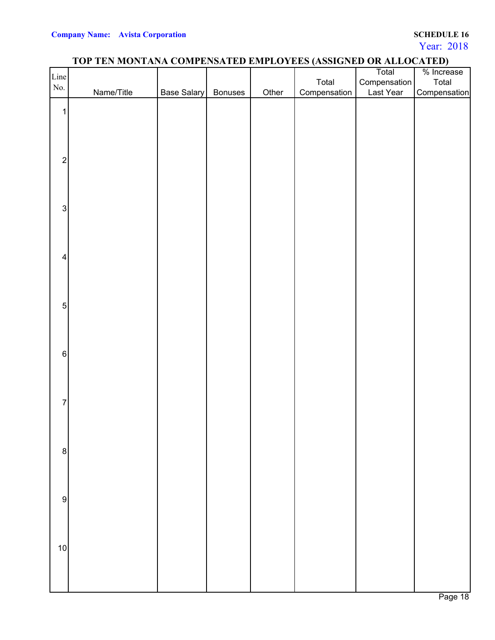Year: 2018

## **TOP TEN MONTANA COMPENSATED EMPLOYEES (ASSIGNED OR ALLOCATED)**

|                         | . <b>. .</b> |             |         |       |              | Total        | --<br>% Increase |
|-------------------------|--------------|-------------|---------|-------|--------------|--------------|------------------|
| Line                    |              |             |         |       | Total        | Compensation | Total            |
| No.                     |              |             |         |       |              |              |                  |
|                         | Name/Title   | Base Salary | Bonuses | Other | Compensation | Last Year    | Compensation     |
|                         |              |             |         |       |              |              |                  |
| $\mathbf{1}$            |              |             |         |       |              |              |                  |
|                         |              |             |         |       |              |              |                  |
|                         |              |             |         |       |              |              |                  |
|                         |              |             |         |       |              |              |                  |
|                         |              |             |         |       |              |              |                  |
| $\sqrt{2}$              |              |             |         |       |              |              |                  |
|                         |              |             |         |       |              |              |                  |
|                         |              |             |         |       |              |              |                  |
|                         |              |             |         |       |              |              |                  |
|                         |              |             |         |       |              |              |                  |
| $\sqrt{3}$              |              |             |         |       |              |              |                  |
|                         |              |             |         |       |              |              |                  |
|                         |              |             |         |       |              |              |                  |
|                         |              |             |         |       |              |              |                  |
|                         |              |             |         |       |              |              |                  |
| $\overline{\mathbf{4}}$ |              |             |         |       |              |              |                  |
|                         |              |             |         |       |              |              |                  |
|                         |              |             |         |       |              |              |                  |
|                         |              |             |         |       |              |              |                  |
|                         |              |             |         |       |              |              |                  |
| $\mathbf 5$             |              |             |         |       |              |              |                  |
|                         |              |             |         |       |              |              |                  |
|                         |              |             |         |       |              |              |                  |
|                         |              |             |         |       |              |              |                  |
|                         |              |             |         |       |              |              |                  |
| $6 \overline{6}$        |              |             |         |       |              |              |                  |
|                         |              |             |         |       |              |              |                  |
|                         |              |             |         |       |              |              |                  |
|                         |              |             |         |       |              |              |                  |
|                         |              |             |         |       |              |              |                  |
| $\overline{7}$          |              |             |         |       |              |              |                  |
|                         |              |             |         |       |              |              |                  |
|                         |              |             |         |       |              |              |                  |
|                         |              |             |         |       |              |              |                  |
|                         |              |             |         |       |              |              |                  |
| $\bf 8$                 |              |             |         |       |              |              |                  |
|                         |              |             |         |       |              |              |                  |
|                         |              |             |         |       |              |              |                  |
|                         |              |             |         |       |              |              |                  |
|                         |              |             |         |       |              |              |                  |
| $\boldsymbol{9}$        |              |             |         |       |              |              |                  |
|                         |              |             |         |       |              |              |                  |
|                         |              |             |         |       |              |              |                  |
|                         |              |             |         |       |              |              |                  |
|                         |              |             |         |       |              |              |                  |
| $10$                    |              |             |         |       |              |              |                  |
|                         |              |             |         |       |              |              |                  |
|                         |              |             |         |       |              |              |                  |
|                         |              |             |         |       |              |              |                  |
|                         |              |             |         |       |              |              |                  |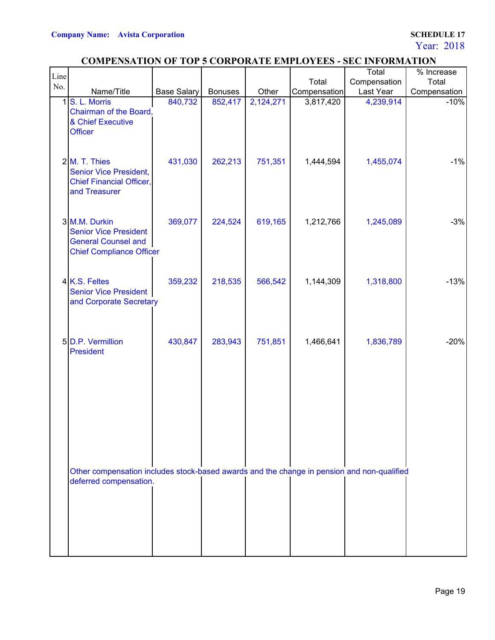Year: 2018

## **COMPENSATION OF TOP 5 CORPORATE EMPLOYEES - SEC INFORMATION**

| Line |                                                                                                                      |                    |                |           |              | Total        | $\frac{1}{2}$ Increase |
|------|----------------------------------------------------------------------------------------------------------------------|--------------------|----------------|-----------|--------------|--------------|------------------------|
| No.  |                                                                                                                      |                    |                |           | Total        | Compensation | Total                  |
|      | Name/Title                                                                                                           | <b>Base Salary</b> | <b>Bonuses</b> | Other     | Compensation | Last Year    | Compensation           |
| 1    | S. L. Morris<br>Chairman of the Board,<br>& Chief Executive<br><b>Officer</b>                                        | 840,732            | 852,417        | 2,124,271 | 3,817,420    | 4,239,914    | $-10%$                 |
|      | 2 M. T. Thies<br><b>Senior Vice President,</b><br><b>Chief Financial Officer,</b><br>and Treasurer                   | 431,030            | 262,213        | 751,351   | 1,444,594    | 1,455,074    | $-1%$                  |
|      | 3 M.M. Durkin<br><b>Senior Vice President</b><br><b>General Counsel and</b><br><b>Chief Compliance Officer</b>       | 369,077            | 224,524        | 619,165   | 1,212,766    | 1,245,089    | $-3%$                  |
|      | 4 K.S. Feltes<br><b>Senior Vice President</b><br>and Corporate Secretary                                             | 359,232            | 218,535        | 566,542   | 1,144,309    | 1,318,800    | $-13%$                 |
|      | 5 D.P. Vermillion<br>President                                                                                       | 430,847            | 283,943        | 751,851   | 1,466,641    | 1,836,789    | $-20%$                 |
|      | Other compensation includes stock-based awards and the change in pension and non-qualified<br>deferred compensation. |                    |                |           |              |              |                        |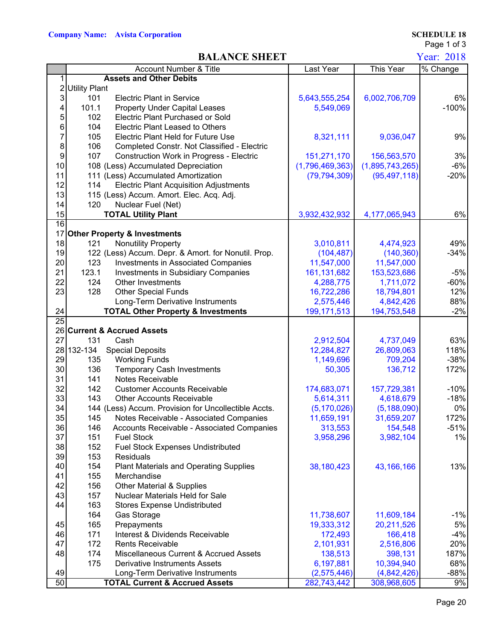### **BALANCE SHEET** Year: 2018

Page 1 of 3

|                 | <b>Account Number &amp; Title</b>                      | Last Year       | This Year        | % Change |
|-----------------|--------------------------------------------------------|-----------------|------------------|----------|
| 1               | <b>Assets and Other Debits</b>                         |                 |                  |          |
| $\overline{2}$  | <b>Utility Plant</b>                                   |                 |                  |          |
| $\mathbf{3}$    | 101<br><b>Electric Plant in Service</b>                | 5,643,555,254   | 6,002,706,709    | 6%       |
| 4               | 101.1<br><b>Property Under Capital Leases</b>          | 5,549,069       |                  | $-100%$  |
| 5               | 102<br>Electric Plant Purchased or Sold                |                 |                  |          |
| 6               | 104<br><b>Electric Plant Leased to Others</b>          |                 |                  |          |
| 7               | 105<br>Electric Plant Held for Future Use              | 8,321,111       | 9,036,047        | 9%       |
| 8               | 106<br>Completed Constr. Not Classified - Electric     |                 |                  |          |
| 9               | 107<br><b>Construction Work in Progress - Electric</b> | 151,271,170     | 156,563,570      | 3%       |
| 10              | 108 (Less) Accumulated Depreciation                    | (1,796,469,363) | (1,895,743,265)  | $-6%$    |
| 11              | 111 (Less) Accumulated Amortization                    | (79, 794, 309)  | (95, 497, 118)   | $-20%$   |
| 12              | <b>Electric Plant Acquisition Adjustments</b><br>114   |                 |                  |          |
| 13              | 115 (Less) Accum. Amort. Elec. Acq. Adj.               |                 |                  |          |
| 14              | Nuclear Fuel (Net)<br>120                              |                 |                  |          |
| 15              | <b>TOTAL Utility Plant</b>                             | 3,932,432,932   | 4, 177, 065, 943 | 6%       |
| $\overline{16}$ |                                                        |                 |                  |          |
|                 | 17 Other Property & Investments                        |                 |                  |          |
| 18              | 121<br><b>Nonutility Property</b>                      | 3,010,811       | 4,474,923        | 49%      |
| 19              | 122 (Less) Accum. Depr. & Amort. for Nonutil. Prop.    | (104, 487)      | (140, 360)       | $-34%$   |
| 20              | 123<br><b>Investments in Associated Companies</b>      | 11,547,000      | 11,547,000       |          |
| 21              | 123.1<br><b>Investments in Subsidiary Companies</b>    | 161, 131, 682   | 153,523,686      | $-5%$    |
| 22              | 124<br><b>Other Investments</b>                        | 4,288,775       | 1,711,072        | $-60%$   |
| 23              | 128<br><b>Other Special Funds</b>                      | 16,722,286      | 18,794,801       | 12%      |
|                 | Long-Term Derivative Instruments                       | 2,575,446       | 4,842,426        | 88%      |
| 24              | <b>TOTAL Other Property &amp; Investments</b>          | 199, 171, 513   | 194,753,548      | $-2%$    |
| $\overline{25}$ |                                                        |                 |                  |          |
|                 | 26 Current & Accrued Assets                            |                 |                  |          |
| 27              | Cash<br>131                                            | 2,912,504       | 4,737,049        | 63%      |
|                 | 28 132-134<br><b>Special Deposits</b>                  | 12,284,827      | 26,809,063       | 118%     |
| 29              | <b>Working Funds</b><br>135                            | 1,149,696       | 709,204          | $-38%$   |
| 30              | 136<br><b>Temporary Cash Investments</b>               | 50,305          | 136,712          | 172%     |
| 31              | 141<br>Notes Receivable                                |                 |                  |          |
| 32              | 142<br><b>Customer Accounts Receivable</b>             | 174,683,071     | 157,729,381      | $-10%$   |
| 33              | 143<br><b>Other Accounts Receivable</b>                | 5,614,311       | 4,618,679        | $-18%$   |
| 34              | 144 (Less) Accum. Provision for Uncollectible Accts.   | (5, 170, 026)   | (5, 188, 090)    | 0%       |
| 35              | 145<br>Notes Receivable - Associated Companies         | 11,659,191      | 31,659,207       | 172%     |
| 36              | 146<br>Accounts Receivable - Associated Companies      | 313,553         | 154,548          | $-51%$   |
| 37              | 151<br><b>Fuel Stock</b>                               | 3,958,296       | 3,982,104        | 1%       |
| 38              | 152<br><b>Fuel Stock Expenses Undistributed</b>        |                 |                  |          |
| 39              | 153<br><b>Residuals</b>                                |                 |                  |          |
| 40              | 154<br><b>Plant Materials and Operating Supplies</b>   | 38,180,423      | 43,166,166       | 13%      |
| 41              | 155<br>Merchandise                                     |                 |                  |          |
| 42              | 156<br><b>Other Material &amp; Supplies</b>            |                 |                  |          |
| 43              | 157<br>Nuclear Materials Held for Sale                 |                 |                  |          |
| 44              | 163<br><b>Stores Expense Undistributed</b>             |                 |                  |          |
|                 | 164<br>Gas Storage                                     | 11,738,607      | 11,609,184       | $-1%$    |
| 45              | 165<br>Prepayments                                     | 19,333,312      | 20,211,526       | 5%       |
| 46              | 171<br>Interest & Dividends Receivable                 | 172,493         | 166,418          | $-4%$    |
| 47              | 172<br><b>Rents Receivable</b>                         | 2,101,931       | 2,516,806        | 20%      |
| 48              | 174<br>Miscellaneous Current & Accrued Assets          | 138,513         | 398,131          | 187%     |
|                 | 175<br><b>Derivative Instruments Assets</b>            | 6,197,881       | 10,394,940       | 68%      |
| 49              | Long-Term Derivative Instruments                       | (2,575,446)     | (4,842,426)      | $-88%$   |
| 50              | <b>TOTAL Current &amp; Accrued Assets</b>              | 282,743,442     | 308,968,605      | 9%       |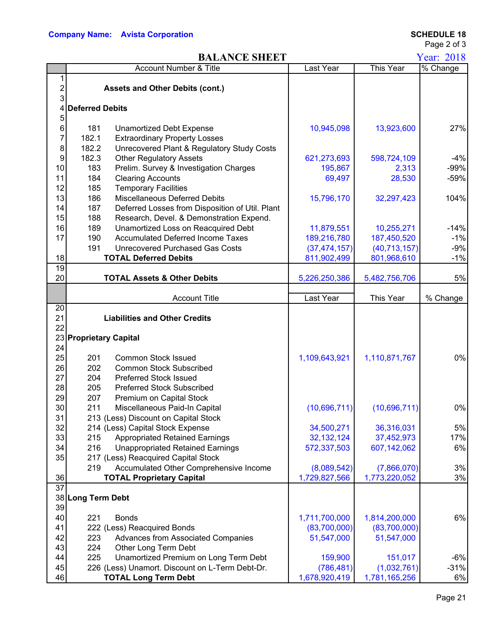Page 2 of 3

### **BALANCE SHEET** Year: 2018

|                 |                        |                                                 |                |                | 2010     |
|-----------------|------------------------|-------------------------------------------------|----------------|----------------|----------|
|                 |                        | Account Number & Title                          | Last Year      | This Year      | % Change |
| 1               |                        |                                                 |                |                |          |
| 2               |                        | <b>Assets and Other Debits (cont.)</b>          |                |                |          |
| 3               |                        |                                                 |                |                |          |
| 4               | <b>Deferred Debits</b> |                                                 |                |                |          |
| 5               |                        |                                                 |                |                |          |
| 6               | 181                    | <b>Unamortized Debt Expense</b>                 | 10,945,098     | 13,923,600     | 27%      |
| 7               | 182.1                  | <b>Extraordinary Property Losses</b>            |                |                |          |
| 8               | 182.2                  | Unrecovered Plant & Regulatory Study Costs      |                |                |          |
| 9               | 182.3                  | <b>Other Regulatory Assets</b>                  | 621,273,693    | 598,724,109    | $-4%$    |
| 10              | 183                    | Prelim. Survey & Investigation Charges          | 195,867        | 2,313          | $-99%$   |
| 11              | 184                    | <b>Clearing Accounts</b>                        | 69,497         | 28,530         | $-59%$   |
| 12              | 185                    | <b>Temporary Facilities</b>                     |                |                |          |
| 13              | 186                    | Miscellaneous Deferred Debits                   | 15,796,170     | 32,297,423     | 104%     |
| 14              | 187                    | Deferred Losses from Disposition of Util. Plant |                |                |          |
| 15              | 188                    | Research, Devel. & Demonstration Expend.        |                |                |          |
| 16              | 189                    | Unamortized Loss on Reacquired Debt             | 11,879,551     | 10,255,271     | $-14%$   |
| 17              | 190                    | <b>Accumulated Deferred Income Taxes</b>        | 189,216,780    | 187,450,520    | $-1%$    |
|                 | 191                    | <b>Unrecovered Purchased Gas Costs</b>          | (37, 474, 157) | (40, 713, 157) | $-9%$    |
| 18              |                        | <b>TOTAL Deferred Debits</b>                    | 811,902,499    | 801,968,610    | $-1%$    |
| $\overline{19}$ |                        |                                                 |                |                |          |
| 20              |                        | <b>TOTAL Assets &amp; Other Debits</b>          | 5,226,250,386  | 5,482,756,706  | 5%       |
|                 |                        |                                                 |                |                |          |
|                 |                        | <b>Account Title</b>                            | Last Year      | This Year      | % Change |
| 20              |                        |                                                 |                |                |          |
| 21              |                        | <b>Liabilities and Other Credits</b>            |                |                |          |
| 22              |                        |                                                 |                |                |          |
|                 | 23 Proprietary Capital |                                                 |                |                |          |
| 24              |                        |                                                 |                |                |          |
| 25              | 201                    | <b>Common Stock Issued</b>                      | 1,109,643,921  | 1,110,871,767  | 0%       |
| 26              | 202                    | <b>Common Stock Subscribed</b>                  |                |                |          |
| 27              | 204                    | <b>Preferred Stock Issued</b>                   |                |                |          |
| 28              | 205                    | <b>Preferred Stock Subscribed</b>               |                |                |          |
| 29              | 207                    | Premium on Capital Stock                        |                |                |          |
| 30              | 211                    | Miscellaneous Paid-In Capital                   | (10,696,711)   | (10,696,711)   | 0%       |
| 31              |                        | 213 (Less) Discount on Capital Stock            |                |                |          |
| 32              |                        | 214 (Less) Capital Stock Expense                | 34,500,271     | 36,316,031     | 5%       |
| 33              | 215                    | <b>Appropriated Retained Earnings</b>           | 32, 132, 124   | 37,452,973     | 17%      |
| 34              | 216                    |                                                 | 572,337,503    |                | 6%       |
|                 |                        | <b>Unappropriated Retained Earnings</b>         |                | 607,142,062    |          |
| 35              |                        | 217 (Less) Reacquired Capital Stock             |                |                |          |
|                 | 219                    | Accumulated Other Comprehensive Income          | (8,089,542)    | (7,866,070)    | 3%       |
| 36              |                        | <b>TOTAL Proprietary Capital</b>                | 1,729,827,566  | 1,773,220,052  | 3%       |
| $\overline{37}$ |                        |                                                 |                |                |          |
|                 | 38 Long Term Debt      |                                                 |                |                |          |
| 39              |                        |                                                 |                |                |          |
| 40              | 221                    | <b>Bonds</b>                                    | 1,711,700,000  | 1,814,200,000  | 6%       |
| 41              |                        | 222 (Less) Reacquired Bonds                     | (83,700,000)   | (83,700,000)   |          |
| 42              | 223                    | Advances from Associated Companies              | 51,547,000     | 51,547,000     |          |
| 43              | 224                    | Other Long Term Debt                            |                |                |          |
| 44              | 225                    | Unamortized Premium on Long Term Debt           | 159,900        | 151,017        | $-6%$    |
| 45              |                        | 226 (Less) Unamort. Discount on L-Term Debt-Dr. | (786, 481)     | (1,032,761)    | $-31%$   |
| 46              |                        | <b>TOTAL Long Term Debt</b>                     | 1,678,920,419  | 1,781,165,256  | 6%       |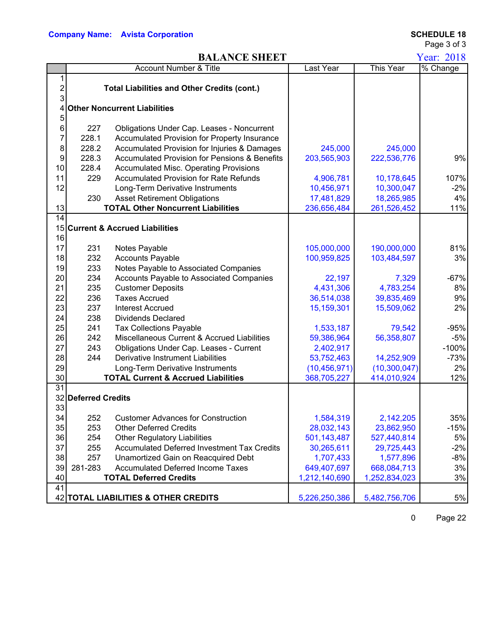Page 3 of 3

### **BALANCE SHEET** Year: 2018

| This Year<br>Last Year<br>Account Number & Title                                                     | $\overline{\%}$ Change |
|------------------------------------------------------------------------------------------------------|------------------------|
|                                                                                                      |                        |
|                                                                                                      |                        |
| 2<br><b>Total Liabilities and Other Credits (cont.)</b>                                              |                        |
| 3                                                                                                    |                        |
| <b>Other Noncurrent Liabilities</b><br>4                                                             |                        |
| 5                                                                                                    |                        |
| 6<br>227<br>Obligations Under Cap. Leases - Noncurrent                                               |                        |
| 7<br>228.1<br>Accumulated Provision for Property Insurance                                           |                        |
| 8<br>228.2<br>Accumulated Provision for Injuries & Damages<br>245,000<br>245,000                     |                        |
| 228.3<br><b>Accumulated Provision for Pensions &amp; Benefits</b><br>9<br>203,565,903<br>222,536,776 | 9%                     |
| 228.4<br><b>Accumulated Misc. Operating Provisions</b><br>10                                         |                        |
| 229<br>10,178,645<br>11<br>Accumulated Provision for Rate Refunds<br>4,906,781                       | 107%                   |
| 12<br>10,456,971<br>10,300,047<br>Long-Term Derivative Instruments                                   | $-2%$                  |
| 230<br><b>Asset Retirement Obligations</b><br>17,481,829<br>18,265,985                               | 4%                     |
| <b>TOTAL Other Noncurrent Liabilities</b><br>13<br>236,656,484<br>261,526,452                        | 11%                    |
| 14                                                                                                   |                        |
| 15<br><b>Current &amp; Accrued Liabilities</b>                                                       |                        |
| 16                                                                                                   |                        |
| 17<br>105,000,000<br>190,000,000<br>231<br>Notes Payable                                             | 81%                    |
| 232<br>18<br><b>Accounts Payable</b><br>100,959,825<br>103,484,597                                   | 3%                     |
| 233<br>19<br>Notes Payable to Associated Companies                                                   |                        |
| 20<br>234<br>Accounts Payable to Associated Companies<br>22,197<br>7,329                             | $-67%$                 |
| 235<br>21<br><b>Customer Deposits</b><br>4,431,306<br>4,783,254                                      | 8%                     |
| 236<br>22<br><b>Taxes Accrued</b><br>36,514,038<br>39,835,469                                        | 9%                     |
| 237<br>23<br><b>Interest Accrued</b><br>15,159,301<br>15,509,062                                     | 2%                     |
| 24<br>238<br><b>Dividends Declared</b>                                                               |                        |
| 25<br>241<br><b>Tax Collections Payable</b><br>1,533,187<br>79,542                                   | $-95%$                 |
| 242<br>26<br>Miscellaneous Current & Accrued Liabilities<br>59,386,964<br>56,358,807                 | $-5%$                  |
| 27<br>243<br>Obligations Under Cap. Leases - Current<br>2,402,917                                    | $-100%$                |
| 28<br>244<br><b>Derivative Instrument Liabilities</b><br>53,752,463<br>14,252,909                    | $-73%$                 |
| 29<br>Long-Term Derivative Instruments<br>(10, 456, 971)<br>(10, 300, 047)                           | 2%                     |
| <b>TOTAL Current &amp; Accrued Liabilities</b><br>30<br>368,705,227<br>414,010,924                   | 12%                    |
| 31                                                                                                   |                        |
| 32<br><b>Deferred Credits</b>                                                                        |                        |
| 33                                                                                                   |                        |
| 34<br>1,584,319<br>2,142,205<br>252<br><b>Customer Advances for Construction</b>                     | 35%                    |
| 35<br><b>Other Deferred Credits</b><br>253<br>28,032,143<br>23,862,950                               | $-15%$                 |
| 36<br>254<br><b>Other Regulatory Liabilities</b><br>501,143,487<br>527,440,814                       | 5%                     |
| 37<br><b>Accumulated Deferred Investment Tax Credits</b><br>255<br>30,265,611<br>29,725,443          | $-2%$                  |
| 38<br>257<br>Unamortized Gain on Reacquired Debt<br>1,577,896<br>1,707,433                           | $-8%$                  |
| 39<br>281-283<br><b>Accumulated Deferred Income Taxes</b><br>649,407,697<br>668,084,713              | 3%                     |
| 40<br><b>TOTAL Deferred Credits</b><br>1,212,140,690<br>1,252,834,023                                | 3%                     |
| 41                                                                                                   |                        |
| 42 TOTAL LIABILITIES & OTHER CREDITS<br>5,226,250,386<br>5,482,756,706                               | 5%                     |

0 Page 22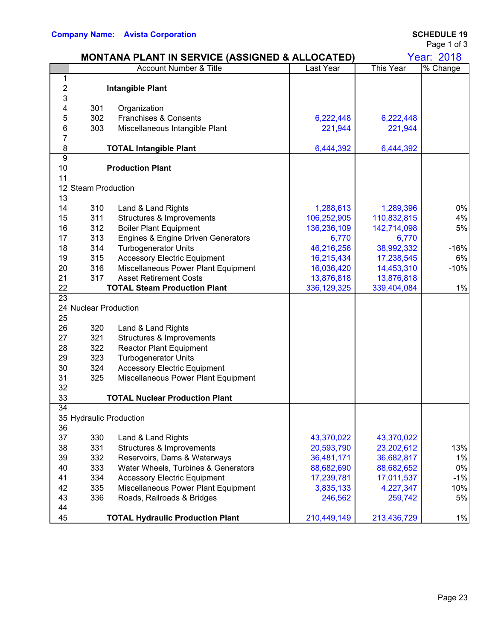|                 |                         | <b>MONTANA PLANT IN SERVICE (ASSIGNED &amp; ALLOCATED)</b>    |               |                  | Year: 2018 |
|-----------------|-------------------------|---------------------------------------------------------------|---------------|------------------|------------|
|                 |                         | <b>Account Number &amp; Title</b>                             | Last Year     | <b>This Year</b> | % Change   |
| 1               |                         |                                                               |               |                  |            |
| $\overline{c}$  |                         | <b>Intangible Plant</b>                                       |               |                  |            |
| 3               | 301                     |                                                               |               |                  |            |
| 4<br>5          | 302                     | Organization<br>Franchises & Consents                         | 6,222,448     | 6,222,448        |            |
| 6               | 303                     | Miscellaneous Intangible Plant                                | 221,944       | 221,944          |            |
| 7               |                         |                                                               |               |                  |            |
| 8               |                         | <b>TOTAL Intangible Plant</b>                                 | 6,444,392     | 6,444,392        |            |
| $\overline{9}$  |                         |                                                               |               |                  |            |
| 10              |                         | <b>Production Plant</b>                                       |               |                  |            |
| 11              |                         |                                                               |               |                  |            |
|                 | 12 Steam Production     |                                                               |               |                  |            |
| 13              |                         |                                                               |               |                  |            |
| 14              | 310                     | Land & Land Rights                                            | 1,288,613     | 1,289,396        | 0%         |
| 15              | 311                     | Structures & Improvements                                     | 106,252,905   | 110,832,815      | 4%         |
| 16              | 312                     | <b>Boiler Plant Equipment</b>                                 | 136,236,109   | 142,714,098      | 5%         |
| 17              | 313                     | Engines & Engine Driven Generators                            | 6,770         | 6,770            |            |
| 18              | 314                     | <b>Turbogenerator Units</b>                                   | 46,216,256    | 38,992,332       | $-16%$     |
| 19              | 315                     | <b>Accessory Electric Equipment</b>                           | 16,215,434    | 17,238,545       | 6%         |
| 20              | 316                     | Miscellaneous Power Plant Equipment                           | 16,036,420    | 14,453,310       | $-10%$     |
| 21              | 317                     | <b>Asset Retirement Costs</b>                                 | 13,876,818    | 13,876,818       |            |
| 22              |                         | <b>TOTAL Steam Production Plant</b>                           | 336, 129, 325 | 339,404,084      | 1%         |
| 23              |                         |                                                               |               |                  |            |
|                 | 24 Nuclear Production   |                                                               |               |                  |            |
| 25<br>26        | 320                     |                                                               |               |                  |            |
| 27              | 321                     | Land & Land Rights                                            |               |                  |            |
| 28              | 322                     | Structures & Improvements                                     |               |                  |            |
| 29              | 323                     | <b>Reactor Plant Equipment</b><br><b>Turbogenerator Units</b> |               |                  |            |
| 30              | 324                     | <b>Accessory Electric Equipment</b>                           |               |                  |            |
| 31              | 325                     | Miscellaneous Power Plant Equipment                           |               |                  |            |
| 32              |                         |                                                               |               |                  |            |
| 33              |                         | <b>TOTAL Nuclear Production Plant</b>                         |               |                  |            |
| $\overline{34}$ |                         |                                                               |               |                  |            |
|                 | 35 Hydraulic Production |                                                               |               |                  |            |
| 36              |                         |                                                               |               |                  |            |
| 37              | 330                     | Land & Land Rights                                            | 43,370,022    | 43,370,022       |            |
| 38              | 331                     | Structures & Improvements                                     | 20,593,790    | 23,202,612       | 13%        |
| 39              | 332                     | Reservoirs, Dams & Waterways                                  | 36,481,171    | 36,682,817       | 1%         |
| 40              | 333                     | Water Wheels, Turbines & Generators                           | 88,682,690    | 88,682,652       | 0%         |
| 41              | 334                     | <b>Accessory Electric Equipment</b>                           | 17,239,781    | 17,011,537       | $-1%$      |
| 42              | 335                     | Miscellaneous Power Plant Equipment                           | 3,835,133     | 4,227,347        | 10%        |
| 43              | 336                     | Roads, Railroads & Bridges                                    | 246,562       | 259,742          | 5%         |
| 44              |                         |                                                               |               |                  |            |
| 45              |                         | <b>TOTAL Hydraulic Production Plant</b>                       | 210,449,149   | 213,436,729      | 1%         |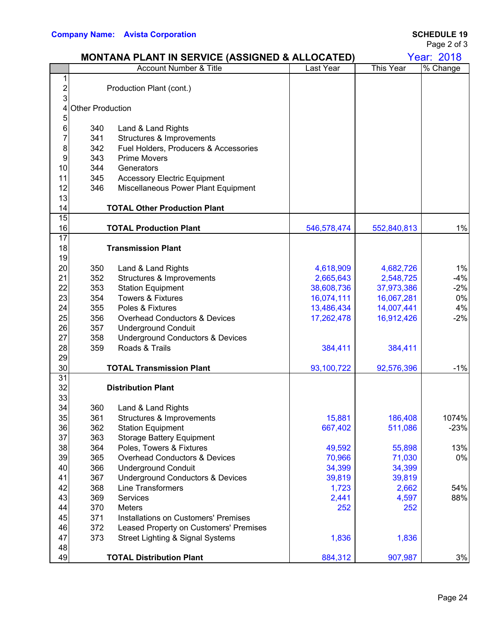46 372 Leased Property on Customers' Premises

48

|                |                         | <b>MONTANA PLANT IN SERVICE (ASSIGNED &amp; ALLOCATED)</b> |             |             | <b>Year: 2018</b> |
|----------------|-------------------------|------------------------------------------------------------|-------------|-------------|-------------------|
|                |                         | <b>Account Number &amp; Title</b>                          | Last Year   | This Year   | % Change          |
| 1              |                         |                                                            |             |             |                   |
| $\overline{c}$ |                         | Production Plant (cont.)                                   |             |             |                   |
| 3              |                         |                                                            |             |             |                   |
| 4              | <b>Other Production</b> |                                                            |             |             |                   |
| 5<br>6         |                         |                                                            |             |             |                   |
| 7              | 340<br>341              | Land & Land Rights<br>Structures & Improvements            |             |             |                   |
| 8              | 342                     | Fuel Holders, Producers & Accessories                      |             |             |                   |
| 9              | 343                     | <b>Prime Movers</b>                                        |             |             |                   |
| 10             | 344                     | Generators                                                 |             |             |                   |
| 11             | 345                     | <b>Accessory Electric Equipment</b>                        |             |             |                   |
| 12             | 346                     |                                                            |             |             |                   |
| 13             |                         | Miscellaneous Power Plant Equipment                        |             |             |                   |
| 14             |                         | <b>TOTAL Other Production Plant</b>                        |             |             |                   |
| 15             |                         |                                                            |             |             |                   |
| 16             |                         | <b>TOTAL Production Plant</b>                              | 546,578,474 | 552,840,813 | 1%                |
| 17             |                         |                                                            |             |             |                   |
| 18             |                         | <b>Transmission Plant</b>                                  |             |             |                   |
| 19             |                         |                                                            |             |             |                   |
| 20             | 350                     | Land & Land Rights                                         | 4,618,909   | 4,682,726   | 1%                |
| 21             | 352                     | Structures & Improvements                                  | 2,665,643   | 2,548,725   | $-4%$             |
| 22             | 353                     | <b>Station Equipment</b>                                   | 38,608,736  | 37,973,386  | $-2%$             |
| 23             | 354                     | <b>Towers &amp; Fixtures</b>                               | 16,074,111  | 16,067,281  | 0%                |
| 24             | 355                     | Poles & Fixtures                                           | 13,486,434  | 14,007,441  | 4%                |
| 25             | 356                     | <b>Overhead Conductors &amp; Devices</b>                   | 17,262,478  | 16,912,426  | $-2%$             |
| 26             | 357                     | <b>Underground Conduit</b>                                 |             |             |                   |
| 27             | 358                     | <b>Underground Conductors &amp; Devices</b>                |             |             |                   |
| 28             | 359                     | Roads & Trails                                             | 384,411     | 384,411     |                   |
| 29             |                         |                                                            |             |             |                   |
| 30             |                         | <b>TOTAL Transmission Plant</b>                            | 93,100,722  | 92,576,396  | $-1%$             |
| 31             |                         |                                                            |             |             |                   |
| 32             |                         | <b>Distribution Plant</b>                                  |             |             |                   |
| 33             |                         |                                                            |             |             |                   |
| 34             | 360                     | Land & Land Rights                                         |             |             |                   |
| 35             | 361                     | Structures & Improvements                                  | 15,881      | 186,408     | 1074%             |
| 36             | 362                     | <b>Station Equipment</b>                                   | 667,402     | 511,086     | $-23%$            |
| 37             | 363                     | <b>Storage Battery Equipment</b>                           |             |             |                   |
| 38             | 364                     | Poles, Towers & Fixtures                                   | 49,592      | 55,898      | 13%               |
| 39             | 365                     | <b>Overhead Conductors &amp; Devices</b>                   | 70,966      | 71,030      | 0%                |
| 40             | 366                     | <b>Underground Conduit</b>                                 | 34,399      | 34,399      |                   |
| 41             | 367                     | <b>Underground Conductors &amp; Devices</b>                | 39,819      | 39,819      |                   |
| 42             | 368                     | <b>Line Transformers</b>                                   | 1,723       | 2,662       | 54%               |
| 43             | 369                     | Services                                                   | 2,441       | 4,597       | 88%               |
| 44             | 370                     | Meters                                                     | 252         | 252         |                   |
| 45             | 371                     | Installations on Customers' Premises                       |             |             |                   |

47 373 Street Lighting & Signal Systems 1,836 1,836

49 **TOTAL Distribution Plant** 1 2884,312 907,987 3%

Page 2 of 3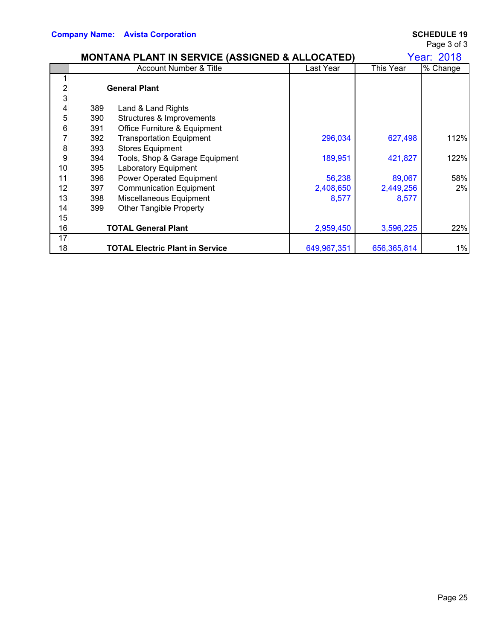Page 3 of 3

|                  |                   | <b>MONTANA PLANT IN SERVICE (ASSIGNED &amp; ALLOCATED)</b>                      |             |             | <b>Year: 2018</b> |
|------------------|-------------------|---------------------------------------------------------------------------------|-------------|-------------|-------------------|
|                  |                   | <b>Account Number &amp; Title</b>                                               | Last Year   | This Year   | % Change          |
|                  |                   | <b>General Plant</b>                                                            |             |             |                   |
| 3<br>4<br>5<br>6 | 389<br>390<br>391 | Land & Land Rights<br>Structures & Improvements<br>Office Furniture & Equipment |             |             |                   |
| 7<br>8           | 392<br>393        | <b>Transportation Equipment</b><br><b>Stores Equipment</b>                      | 296,034     | 627,498     | 112%              |
| 9<br>10          | 394<br>395        | Tools, Shop & Garage Equipment<br><b>Laboratory Equipment</b>                   | 189,951     | 421,827     | 122%              |
| 11               | 396               | Power Operated Equipment                                                        | 56,238      | 89,067      | 58%               |
| 12               | 397               | <b>Communication Equipment</b>                                                  | 2,408,650   | 2,449,256   | 2%                |
| 13               | 398               | Miscellaneous Equipment                                                         | 8,577       | 8,577       |                   |
| 14               | 399               | <b>Other Tangible Property</b>                                                  |             |             |                   |
| 15               |                   |                                                                                 |             |             |                   |
| 16               |                   | <b>TOTAL General Plant</b>                                                      | 2,959,450   | 3,596,225   | 22%               |
| 17               |                   |                                                                                 |             |             |                   |
| 18               |                   | <b>TOTAL Electric Plant in Service</b>                                          | 649,967,351 | 656,365,814 | 1%                |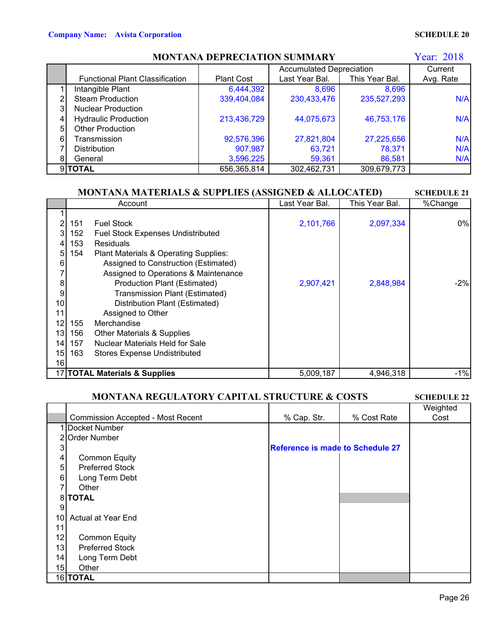|    | Year: 2018<br><b>MONTANA DEPRECIATION SUMMARY</b> |                          |                |                |           |  |  |  |  |
|----|---------------------------------------------------|--------------------------|----------------|----------------|-----------|--|--|--|--|
|    |                                                   | Accumulated Depreciation |                |                |           |  |  |  |  |
|    | <b>Functional Plant Classification</b>            | <b>Plant Cost</b>        | Last Year Bal. | This Year Bal. | Avg. Rate |  |  |  |  |
|    | Intangible Plant                                  | 6,444,392                | 8,696          | 8,696          |           |  |  |  |  |
|    | <b>Steam Production</b>                           | 339,404,084              | 230,433,476    | 235,527,293    | N/A       |  |  |  |  |
| 3  | <b>Nuclear Production</b>                         |                          |                |                |           |  |  |  |  |
| 4  | <b>Hydraulic Production</b>                       | 213,436,729              | 44,075,673     | 46,753,176     | N/A       |  |  |  |  |
| 51 | <b>Other Production</b>                           |                          |                |                |           |  |  |  |  |
| 6  | Transmission                                      | 92,576,396               | 27,821,804     | 27,225,656     | N/A       |  |  |  |  |
|    | <b>Distribution</b>                               | 907,987                  | 63,721         | 78,371         | N/A       |  |  |  |  |
| 81 | General                                           | 3,596,225                | 59,361         | 86,581         | N/A       |  |  |  |  |
|    | 9TOTAL                                            | 656,365,814              | 302,462,731    | 309,679,773    |           |  |  |  |  |

## **MONTANA MATERIALS & SUPPLIES (ASSIGNED & ALLOCATED)**

|    | <b>MONTANA MATERIALS &amp; SUPPLIES (ASSIGNED &amp; ALLOCATED)</b><br><b>SCHEDULE 21</b> |                                       |                |                |         |  |  |  |
|----|------------------------------------------------------------------------------------------|---------------------------------------|----------------|----------------|---------|--|--|--|
|    |                                                                                          | Account                               | Last Year Bal. | This Year Bal. | %Change |  |  |  |
|    |                                                                                          |                                       |                |                |         |  |  |  |
|    | 151                                                                                      | <b>Fuel Stock</b>                     | 2,101,766      | 2,097,334      | $0\%$   |  |  |  |
|    | 152                                                                                      | Fuel Stock Expenses Undistributed     |                |                |         |  |  |  |
|    | 153                                                                                      | <b>Residuals</b>                      |                |                |         |  |  |  |
| 5  | 154                                                                                      | Plant Materials & Operating Supplies: |                |                |         |  |  |  |
| 6  |                                                                                          | Assigned to Construction (Estimated)  |                |                |         |  |  |  |
|    |                                                                                          | Assigned to Operations & Maintenance  |                |                |         |  |  |  |
| 8  |                                                                                          | Production Plant (Estimated)          | 2,907,421      | 2,848,984      | $-2\%$  |  |  |  |
| 9  |                                                                                          | Transmission Plant (Estimated)        |                |                |         |  |  |  |
| 10 |                                                                                          | Distribution Plant (Estimated)        |                |                |         |  |  |  |
| 11 |                                                                                          | Assigned to Other                     |                |                |         |  |  |  |
| 12 | 155                                                                                      | Merchandise                           |                |                |         |  |  |  |
| 13 | 156                                                                                      | <b>Other Materials &amp; Supplies</b> |                |                |         |  |  |  |
| 14 | 157                                                                                      | Nuclear Materials Held for Sale       |                |                |         |  |  |  |
| 15 | 163                                                                                      | <b>Stores Expense Undistributed</b>   |                |                |         |  |  |  |
| 16 |                                                                                          |                                       |                |                |         |  |  |  |
|    |                                                                                          | 17 TOTAL Materials & Supplies         | 5,009,187      | 4,946,318      | $-1%$   |  |  |  |

### **MONTANA REGULATORY CAPITAL STRUCTURE & COSTS**

**SCHEDULE 22**

|    |                                          |                                  |             | Weighted |
|----|------------------------------------------|----------------------------------|-------------|----------|
|    | <b>Commission Accepted - Most Recent</b> | % Cap. Str.                      | % Cost Rate | Cost     |
|    | Docket Number                            |                                  |             |          |
|    | 2 Order Number                           |                                  |             |          |
|    |                                          | Reference is made to Schedule 27 |             |          |
| 4  | <b>Common Equity</b>                     |                                  |             |          |
| 5  | <b>Preferred Stock</b>                   |                                  |             |          |
| 6  | Long Term Debt                           |                                  |             |          |
|    | Other                                    |                                  |             |          |
|    | 8 TOTAL                                  |                                  |             |          |
| 9  |                                          |                                  |             |          |
| 10 | Actual at Year End                       |                                  |             |          |
| 11 |                                          |                                  |             |          |
| 12 | <b>Common Equity</b>                     |                                  |             |          |
| 13 | <b>Preferred Stock</b>                   |                                  |             |          |
| 14 | Long Term Debt                           |                                  |             |          |
| 15 | Other                                    |                                  |             |          |
|    | 16 TOTAL                                 |                                  |             |          |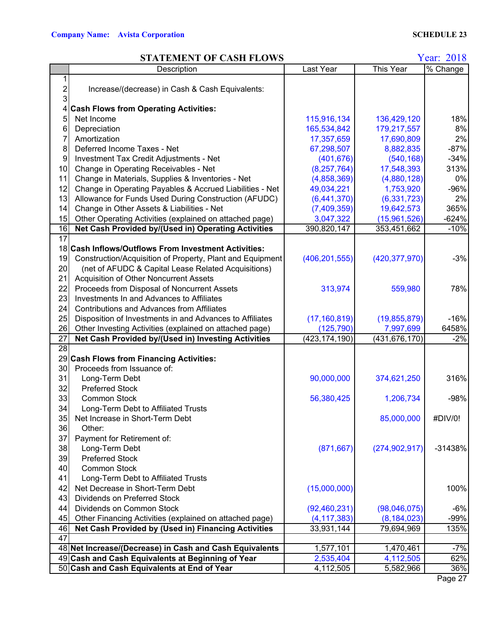### **STATEMENT OF CASH FLOWS**

Year: 2018

|                 | Description                                               | Last Year       | This Year       | % Change  |
|-----------------|-----------------------------------------------------------|-----------------|-----------------|-----------|
| 1               |                                                           |                 |                 |           |
| $\overline{2}$  | Increase/(decrease) in Cash & Cash Equivalents:           |                 |                 |           |
| 3               |                                                           |                 |                 |           |
| 4               | <b>Cash Flows from Operating Activities:</b>              |                 |                 |           |
| 5               | Net Income                                                | 115,916,134     | 136,429,120     | 18%       |
| 6               | Depreciation                                              | 165,534,842     | 179,217,557     | 8%        |
| 7               | Amortization                                              | 17,357,659      | 17,690,809      | 2%        |
| 8               | Deferred Income Taxes - Net                               | 67,298,507      | 8,882,835       | $-87%$    |
| 9               | Investment Tax Credit Adjustments - Net                   | (401, 676)      | (540, 168)      | $-34%$    |
| 10              | Change in Operating Receivables - Net                     | (8, 257, 764)   | 17,548,393      | 313%      |
| 11              | Change in Materials, Supplies & Inventories - Net         | (4,858,369)     | (4,880,128)     | 0%        |
| 12              | Change in Operating Payables & Accrued Liabilities - Net  | 49,034,221      | 1,753,920       | $-96%$    |
| 13              | Allowance for Funds Used During Construction (AFUDC)      | (6,441,370)     | (6, 331, 723)   | 2%        |
| 14              | Change in Other Assets & Liabilities - Net                | (7,409,359)     | 19,642,573      | 365%      |
| 15              | Other Operating Activities (explained on attached page)   | 3,047,322       | (15,961,526)    | $-624%$   |
| 16              | Net Cash Provided by/(Used in) Operating Activities       | 390,820,147     | 353,451,662     | $-10%$    |
| $\overline{17}$ |                                                           |                 |                 |           |
|                 | 18 Cash Inflows/Outflows From Investment Activities:      |                 |                 |           |
| 19              | Construction/Acquisition of Property, Plant and Equipment | (406, 201, 555) | (420, 377, 970) | $-3%$     |
| 20              | (net of AFUDC & Capital Lease Related Acquisitions)       |                 |                 |           |
| 21              | Acquisition of Other Noncurrent Assets                    |                 |                 |           |
| 22              | Proceeds from Disposal of Noncurrent Assets               | 313,974         | 559,980         | 78%       |
| 23              | Investments In and Advances to Affiliates                 |                 |                 |           |
| 24              | <b>Contributions and Advances from Affiliates</b>         |                 |                 |           |
| 25              | Disposition of Investments in and Advances to Affiliates  | (17, 160, 819)  | (19, 855, 879)  | $-16%$    |
| 26              | Other Investing Activities (explained on attached page)   | (125, 790)      | 7,997,699       | 6458%     |
| 27              | Net Cash Provided by/(Used in) Investing Activities       | (423,174,190)   | (431, 676, 170) | $-2%$     |
| $\overline{28}$ |                                                           |                 |                 |           |
|                 | 29 Cash Flows from Financing Activities:                  |                 |                 |           |
| 30              | Proceeds from Issuance of:                                |                 |                 |           |
| 31              | Long-Term Debt                                            | 90,000,000      | 374,621,250     | 316%      |
| 32              | <b>Preferred Stock</b>                                    |                 |                 |           |
| 33              | <b>Common Stock</b>                                       | 56,380,425      | 1,206,734       | $-98%$    |
| 34              | Long-Term Debt to Affiliated Trusts                       |                 |                 |           |
| 35              | Net Increase in Short-Term Debt                           |                 | 85,000,000      | #DIV/0!   |
| 36              | Other:                                                    |                 |                 |           |
| 37              | Payment for Retirement of:                                |                 |                 |           |
| 38              | Long-Term Debt                                            | (871, 667)      | (274, 902, 917) | $-31438%$ |
| 39              | <b>Preferred Stock</b>                                    |                 |                 |           |
| 40              | <b>Common Stock</b>                                       |                 |                 |           |
| 41              | Long-Term Debt to Affiliated Trusts                       |                 |                 |           |
| 42              | Net Decrease in Short-Term Debt                           | (15,000,000)    |                 | 100%      |
| 43              | Dividends on Preferred Stock                              |                 |                 |           |
| 44              | Dividends on Common Stock                                 | (92, 460, 231)  | (98,046,075)    | $-6%$     |
| 45              | Other Financing Activities (explained on attached page)   | (4, 117, 383)   | (8, 184, 023)   | $-99%$    |
| 46              | Net Cash Provided by (Used in) Financing Activities       | 33,931,144      | 79,694,969      | 135%      |
| 47              |                                                           |                 |                 |           |
|                 | 48 Net Increase/(Decrease) in Cash and Cash Equivalents   | 1,577,101       | 1,470,461       | $-7%$     |
|                 | 49 Cash and Cash Equivalents at Beginning of Year         | 2,535,404       | 4,112,505       | 62%       |
|                 | 50 Cash and Cash Equivalents at End of Year               | 4,112,505       | 5,582,966       | 36%       |

Page 27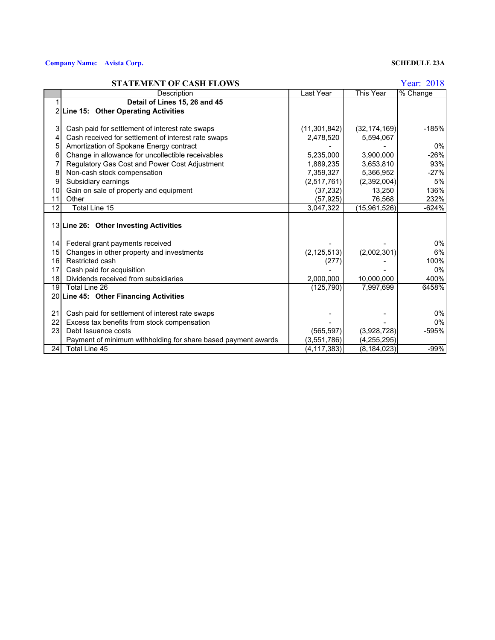### **Company Name: Avista Corp. SCHEDULE 23A**

### **STATEMENT OF CASH FLOWS** Year: 2018

|                 | природно слоптро по                                           |               |                | 1 vui. 2010 |
|-----------------|---------------------------------------------------------------|---------------|----------------|-------------|
|                 | Description                                                   | Last Year     | This Year      | % Change    |
|                 | Detail of Lines 15, 26 and 45                                 |               |                |             |
|                 | 2 Line 15: Other Operating Activities                         |               |                |             |
|                 |                                                               |               |                |             |
| 3               | Cash paid for settlement of interest rate swaps               | (11,301,842)  | (32, 174, 169) | $-185%$     |
| 4               | Cash received for settlement of interest rate swaps           | 2,478,520     | 5,594,067      |             |
| 5               | Amortization of Spokane Energy contract                       |               |                | 0%          |
| 6               | Change in allowance for uncollectible receivables             | 5,235,000     | 3,900,000      | $-26%$      |
| 7               | Regulatory Gas Cost and Power Cost Adjustment                 | 1,889,235     | 3,653,810      | 93%         |
| 8               | Non-cash stock compensation                                   | 7,359,327     | 5,366,952      | $-27%$      |
| 9               | Subsidiary earnings                                           | (2,517,761)   | (2,392,004)    | 5%          |
| 10              | Gain on sale of property and equipment                        | (37, 232)     | 13,250         | 136%        |
| 11              | Other                                                         | (57, 925)     | 76,568         | 232%        |
| 12              | Total Line 15                                                 | 3,047,322     | (15,961,526)   | $-624%$     |
|                 |                                                               |               |                |             |
|                 | 13 Line 26: Other Investing Activities                        |               |                |             |
|                 |                                                               |               |                |             |
| 14              | Federal grant payments received                               |               |                | 0%          |
| 15              | Changes in other property and investments                     | (2, 125, 513) | (2,002,301)    | 6%          |
| 16              | Restricted cash                                               | (277)         |                | 100%        |
| 17              | Cash paid for acquisition                                     |               |                | 0%          |
| 18 <sup>1</sup> | Dividends received from subsidiaries                          | 2,000,000     | 10,000,000     | 400%        |
|                 | 19 Total Line 26                                              | (125, 790)    | 7,997,699      | 6458%       |
|                 | 20 Line 45: Other Financing Activities                        |               |                |             |
|                 |                                                               |               |                |             |
| 21              | Cash paid for settlement of interest rate swaps               |               |                | 0%          |
| 22              | Excess tax benefits from stock compensation                   |               |                | 0%          |
| 23              | Debt Issuance costs                                           | (565, 597)    | (3,928,728)    | -595%       |
|                 | Payment of minimum withholding for share based payment awards | (3, 551, 786) | (4, 255, 295)  |             |
|                 | 24 Total Line 45                                              | (4, 117, 383) | (8, 184, 023)  | $-99%$      |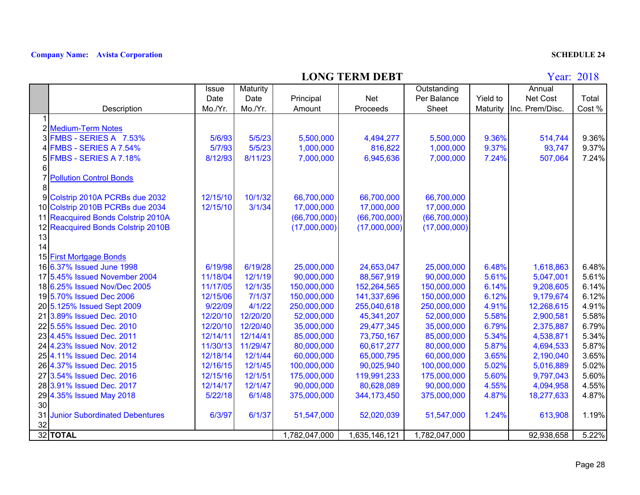## **LONG TERM DEBT**

|    |                                       | <b>Issue</b> | Maturity |                |                | Outstanding   |          | Annual          |        |
|----|---------------------------------------|--------------|----------|----------------|----------------|---------------|----------|-----------------|--------|
|    |                                       | Date         | Date     | Principal      | <b>Net</b>     | Per Balance   | Yield to | Net Cost        | Total  |
|    | Description                           | Mo./Yr.      | Mo./Yr.  | Amount         | Proceeds       | Sheet         | Maturity | Inc. Prem/Disc. | Cost % |
|    |                                       |              |          |                |                |               |          |                 |        |
|    | 2 Medium-Term Notes                   |              |          |                |                |               |          |                 |        |
|    | FMBS - SERIES A 7.53%                 | 5/6/93       | 5/5/23   | 5,500,000      | 4,494,277      | 5,500,000     | 9.36%    | 514,744         | 9.36%  |
|    | <b>FMBS - SERIES A 7.54%</b>          | 5/7/93       | 5/5/23   | 1,000,000      | 816,822        | 1,000,000     | 9.37%    | 93,747          | 9.37%  |
| 51 | FMBS - SERIES A 7.18%                 | 8/12/93      | 8/11/23  | 7,000,000      | 6,945,636      | 7,000,000     | 7.24%    | 507,064         | 7.24%  |
|    |                                       |              |          |                |                |               |          |                 |        |
|    | <b>Pollution Control Bonds</b>        |              |          |                |                |               |          |                 |        |
| 8  |                                       |              |          |                |                |               |          |                 |        |
| 91 | Colstrip 2010A PCRBs due 2032         | 12/15/10     | 10/1/32  | 66,700,000     | 66,700,000     | 66,700,000    |          |                 |        |
|    | 10 Colstrip 2010B PCRBs due 2034      | 12/15/10     | 3/1/34   | 17,000,000     | 17,000,000     | 17,000,000    |          |                 |        |
|    | 11 Reacquired Bonds Colstrip 2010A    |              |          | (66, 700, 000) | (66, 700, 000) | (66,700,000)  |          |                 |        |
|    | 12 Reacquired Bonds Colstrip 2010B    |              |          | (17,000,000)   | (17,000,000)   | (17,000,000)  |          |                 |        |
| 13 |                                       |              |          |                |                |               |          |                 |        |
| 14 |                                       |              |          |                |                |               |          |                 |        |
|    | 15 First Mortgage Bonds               |              |          |                |                |               |          |                 |        |
|    | 16 6.37% Issued June 1998             | 6/19/98      | 6/19/28  | 25,000,000     | 24,653,047     | 25,000,000    | 6.48%    | 1,618,863       | 6.48%  |
|    | 17 5.45% Issued November 2004         | 11/18/04     | 12/1/19  | 90,000,000     | 88,567,919     | 90,000,000    | 5.61%    | 5,047,001       | 5.61%  |
|    | 18 6.25% Issued Nov/Dec 2005          | 11/17/05     | 12/1/35  | 150,000,000    | 152,264,565    | 150,000,000   | 6.14%    | 9,208,605       | 6.14%  |
|    | 19 5.70% Issued Dec 2006              | 12/15/06     | 7/1/37   | 150,000,000    | 141,337,696    | 150,000,000   | 6.12%    | 9,179,674       | 6.12%  |
|    | 20 5.125% Issued Sept 2009            | 9/22/09      | 4/1/22   | 250,000,000    | 255,040,618    | 250,000,000   | 4.91%    | 12,268,615      | 4.91%  |
|    | 21 3.89% Issued Dec. 2010             | 12/20/10     | 12/20/20 | 52,000,000     | 45,341,207     | 52,000,000    | 5.58%    | 2,900,581       | 5.58%  |
|    | 22 5.55% Issued Dec. 2010             | 12/20/10     | 12/20/40 | 35,000,000     | 29,477,345     | 35,000,000    | 6.79%    | 2,375,887       | 6.79%  |
|    | 23 4.45% Issued Dec. 2011             | 12/14/11     | 12/14/41 | 85,000,000     | 73,750,167     | 85,000,000    | 5.34%    | 4,538,871       | 5.34%  |
|    | 24 4.23% Issued Nov. 2012             | 11/30/13     | 11/29/47 | 80,000,000     | 60,617,277     | 80,000,000    | 5.87%    | 4,694,533       | 5.87%  |
|    | 25 4.11% Issued Dec. 2014             | 12/18/14     | 12/1/44  | 60,000,000     | 65,000,795     | 60,000,000    | 3.65%    | 2,190,040       | 3.65%  |
|    | 26 4.37% Issued Dec. 2015             | 12/16/15     | 12/1/45  | 100,000,000    | 90,025,940     | 100,000,000   | 5.02%    | 5,016,889       | 5.02%  |
|    | 27 3.54% Issued Dec. 2016             | 12/15/16     | 12/1/51  | 175,000,000    | 119,991,233    | 175,000,000   | 5.60%    | 9,797,043       | 5.60%  |
|    | 28 3.91% Issued Dec. 2017             | 12/14/17     | 12/1/47  | 90,000,000     | 80,628,089     | 90,000,000    | 4.55%    | 4,094,958       | 4.55%  |
|    | 29 4.35% Issued May 2018              | 5/22/18      | 6/1/48   | 375,000,000    | 344, 173, 450  | 375,000,000   | 4.87%    | 18,277,633      | 4.87%  |
| 30 |                                       |              |          |                |                |               |          |                 |        |
| 31 | <b>Junior Subordinated Debentures</b> | 6/3/97       | 6/1/37   | 51,547,000     | 52,020,039     | 51,547,000    | 1.24%    | 613,908         | 1.19%  |
| 32 |                                       |              |          |                |                |               |          |                 |        |
|    | 32 TOTAL                              |              |          | 1,782,047,000  | 1,635,146,121  | 1,782,047,000 |          | 92,938,658      | 5.22%  |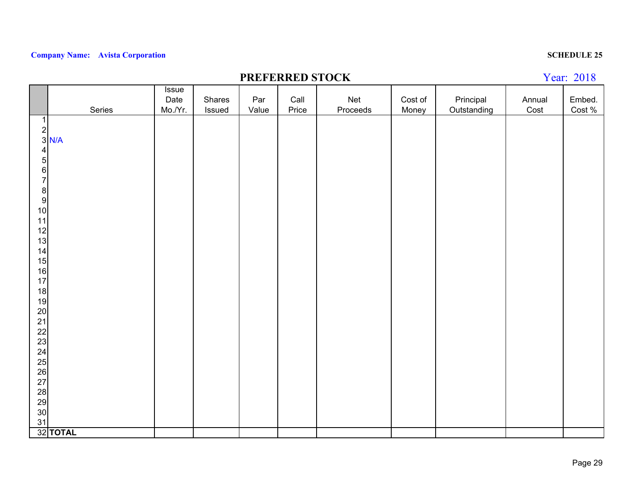## **PREFERRED STOCK**

|                                               |                                             | Issue   |        |       |       |          |         |             |        |        |
|-----------------------------------------------|---------------------------------------------|---------|--------|-------|-------|----------|---------|-------------|--------|--------|
|                                               |                                             | Date    | Shares | Par   | Call  | Net      | Cost of | Principal   | Annual | Embed. |
|                                               | Series                                      | Mo./Yr. | Issued | Value | Price | Proceeds | Money   | Outstanding | Cost   | Cost % |
| $\mathbf{1}$                                  |                                             |         |        |       |       |          |         |             |        |        |
|                                               | $\begin{array}{c c} 2 \\ 3 \end{array}$ N/A |         |        |       |       |          |         |             |        |        |
|                                               |                                             |         |        |       |       |          |         |             |        |        |
| $\overline{\mathbf{4}}$                       |                                             |         |        |       |       |          |         |             |        |        |
| 5 <sup>1</sup>                                |                                             |         |        |       |       |          |         |             |        |        |
|                                               |                                             |         |        |       |       |          |         |             |        |        |
| $\begin{array}{c} 6 \\ 7 \end{array}$         |                                             |         |        |       |       |          |         |             |        |        |
|                                               |                                             |         |        |       |       |          |         |             |        |        |
| $\begin{array}{c} 8 \\ 9 \end{array}$         |                                             |         |        |       |       |          |         |             |        |        |
| 10                                            |                                             |         |        |       |       |          |         |             |        |        |
| 11                                            |                                             |         |        |       |       |          |         |             |        |        |
| 12                                            |                                             |         |        |       |       |          |         |             |        |        |
| 13                                            |                                             |         |        |       |       |          |         |             |        |        |
| 14                                            |                                             |         |        |       |       |          |         |             |        |        |
| 15                                            |                                             |         |        |       |       |          |         |             |        |        |
| 16                                            |                                             |         |        |       |       |          |         |             |        |        |
| 17                                            |                                             |         |        |       |       |          |         |             |        |        |
| 18                                            |                                             |         |        |       |       |          |         |             |        |        |
| 19                                            |                                             |         |        |       |       |          |         |             |        |        |
| 20                                            |                                             |         |        |       |       |          |         |             |        |        |
|                                               |                                             |         |        |       |       |          |         |             |        |        |
|                                               |                                             |         |        |       |       |          |         |             |        |        |
| $\begin{array}{c} 21 \\ 22 \\ 23 \end{array}$ |                                             |         |        |       |       |          |         |             |        |        |
| 24                                            |                                             |         |        |       |       |          |         |             |        |        |
| 25                                            |                                             |         |        |       |       |          |         |             |        |        |
| 26                                            |                                             |         |        |       |       |          |         |             |        |        |
| 27                                            |                                             |         |        |       |       |          |         |             |        |        |
|                                               |                                             |         |        |       |       |          |         |             |        |        |
| 28<br>29<br>30                                |                                             |         |        |       |       |          |         |             |        |        |
|                                               |                                             |         |        |       |       |          |         |             |        |        |
| 31                                            |                                             |         |        |       |       |          |         |             |        |        |
|                                               | 32 TOTAL                                    |         |        |       |       |          |         |             |        |        |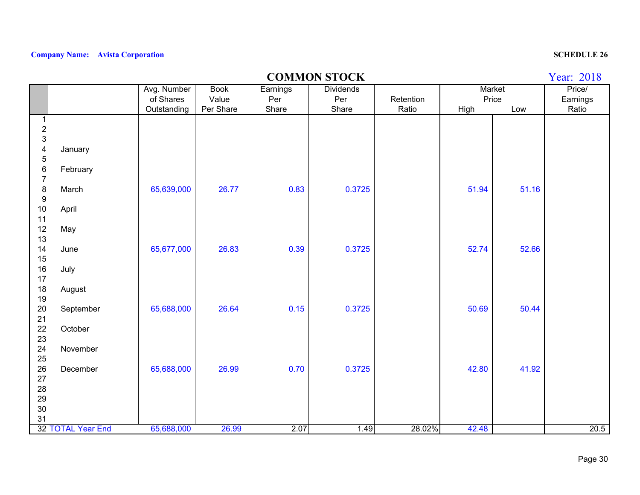## **COMMON STOCK**

|                                       |                   | Avg. Number | <b>Book</b> | Earnings | <b>Dividends</b> |           | Market |       | Price/   |
|---------------------------------------|-------------------|-------------|-------------|----------|------------------|-----------|--------|-------|----------|
|                                       |                   | of Shares   | Value       | Per      | Per              | Retention | Price  |       | Earnings |
| $\mathbf 1$                           |                   | Outstanding | Per Share   | Share    | Share            | Ratio     | High   | Low   | Ratio    |
|                                       |                   |             |             |          |                  |           |        |       |          |
| $\frac{2}{3}$                         |                   |             |             |          |                  |           |        |       |          |
| $\overline{\mathbf{4}}$               | January           |             |             |          |                  |           |        |       |          |
| $\sqrt{5}$                            |                   |             |             |          |                  |           |        |       |          |
| $\,$ 6 $\,$                           | February          |             |             |          |                  |           |        |       |          |
| $\boldsymbol{7}$                      |                   |             |             |          |                  |           |        |       |          |
| $\begin{array}{c} 8 \\ 9 \end{array}$ | March             | 65,639,000  | 26.77       | 0.83     | 0.3725           |           | 51.94  | 51.16 |          |
| 10                                    |                   |             |             |          |                  |           |        |       |          |
| 11                                    | April             |             |             |          |                  |           |        |       |          |
| 12                                    | May               |             |             |          |                  |           |        |       |          |
| 13                                    |                   |             |             |          |                  |           |        |       |          |
| 14                                    | June              | 65,677,000  | 26.83       | 0.39     | 0.3725           |           | 52.74  | 52.66 |          |
| 15                                    |                   |             |             |          |                  |           |        |       |          |
| 16                                    | July              |             |             |          |                  |           |        |       |          |
| 17                                    |                   |             |             |          |                  |           |        |       |          |
| 18                                    | August            |             |             |          |                  |           |        |       |          |
| 19                                    |                   |             | 26.64       |          |                  |           | 50.69  |       |          |
| $20\,$<br>21                          | September         | 65,688,000  |             | 0.15     | 0.3725           |           |        | 50.44 |          |
| 22                                    | October           |             |             |          |                  |           |        |       |          |
| 23                                    |                   |             |             |          |                  |           |        |       |          |
| 24                                    | November          |             |             |          |                  |           |        |       |          |
| 25                                    |                   |             |             |          |                  |           |        |       |          |
| 26                                    | December          | 65,688,000  | 26.99       | 0.70     | 0.3725           |           | 42.80  | 41.92 |          |
| 27                                    |                   |             |             |          |                  |           |        |       |          |
| 28                                    |                   |             |             |          |                  |           |        |       |          |
| 29<br>30                              |                   |             |             |          |                  |           |        |       |          |
| 31                                    |                   |             |             |          |                  |           |        |       |          |
|                                       | 32 TOTAL Year End | 65,688,000  | 26.99       | 2.07     | 1.49             | 28.02%    | 42.48  |       | 20.5     |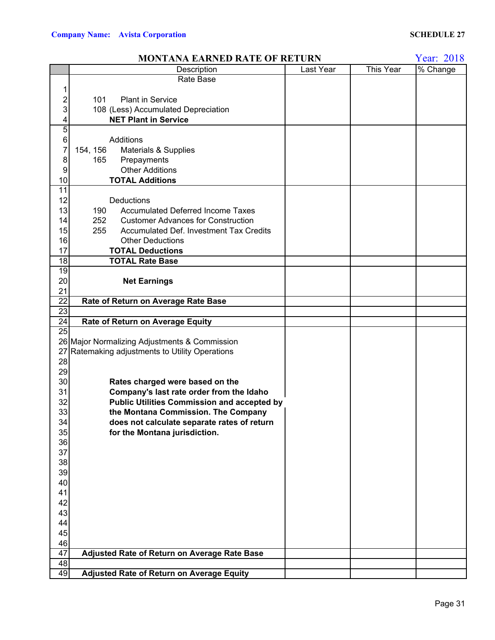|                 | <b>MONTANA EARNED RATE OF RETURN</b>                  |           |           | Year: 2018 |
|-----------------|-------------------------------------------------------|-----------|-----------|------------|
|                 | Description                                           | Last Year | This Year | % Change   |
|                 | Rate Base                                             |           |           |            |
| 1               |                                                       |           |           |            |
| 2               | 101<br><b>Plant in Service</b>                        |           |           |            |
| 3               | 108 (Less) Accumulated Depreciation                   |           |           |            |
| 4               | <b>NET Plant in Service</b>                           |           |           |            |
| 5               |                                                       |           |           |            |
| $\,$ 6 $\,$     | Additions                                             |           |           |            |
| 7               | 154, 156<br>Materials & Supplies                      |           |           |            |
| 8               | 165<br>Prepayments                                    |           |           |            |
| 9               | <b>Other Additions</b>                                |           |           |            |
| 10              | <b>TOTAL Additions</b>                                |           |           |            |
| 11              |                                                       |           |           |            |
| 12              | Deductions                                            |           |           |            |
| 13              | <b>Accumulated Deferred Income Taxes</b><br>190       |           |           |            |
| 14              | 252<br><b>Customer Advances for Construction</b>      |           |           |            |
| 15              | 255<br><b>Accumulated Def. Investment Tax Credits</b> |           |           |            |
| 16              | <b>Other Deductions</b>                               |           |           |            |
| 17              | <b>TOTAL Deductions</b>                               |           |           |            |
| 18              | <b>TOTAL Rate Base</b>                                |           |           |            |
| 19              |                                                       |           |           |            |
| 20              | <b>Net Earnings</b>                                   |           |           |            |
| 21              |                                                       |           |           |            |
| 22              | Rate of Return on Average Rate Base                   |           |           |            |
| $\overline{23}$ |                                                       |           |           |            |
| $\overline{24}$ | Rate of Return on Average Equity                      |           |           |            |
| 25              |                                                       |           |           |            |
|                 | 26 Major Normalizing Adjustments & Commission         |           |           |            |
| 27              | Ratemaking adjustments to Utility Operations          |           |           |            |
| 28              |                                                       |           |           |            |
| 29              |                                                       |           |           |            |
| 30              | Rates charged were based on the                       |           |           |            |
| 31              | Company's last rate order from the Idaho              |           |           |            |
| 32              | <b>Public Utilities Commission and accepted by</b>    |           |           |            |
| 33              | the Montana Commission. The Company                   |           |           |            |
| 34              | does not calculate separate rates of return           |           |           |            |
| 35              | for the Montana jurisdiction.                         |           |           |            |
| 36              |                                                       |           |           |            |
| 37              |                                                       |           |           |            |
| 38              |                                                       |           |           |            |
| 39              |                                                       |           |           |            |
| 40              |                                                       |           |           |            |
| 41              |                                                       |           |           |            |
| 42              |                                                       |           |           |            |
| 43              |                                                       |           |           |            |
| 44              |                                                       |           |           |            |
| 45              |                                                       |           |           |            |
| 46              |                                                       |           |           |            |
| 47              | Adjusted Rate of Return on Average Rate Base          |           |           |            |
| 48              |                                                       |           |           |            |
| 49              | Adjusted Rate of Return on Average Equity             |           |           |            |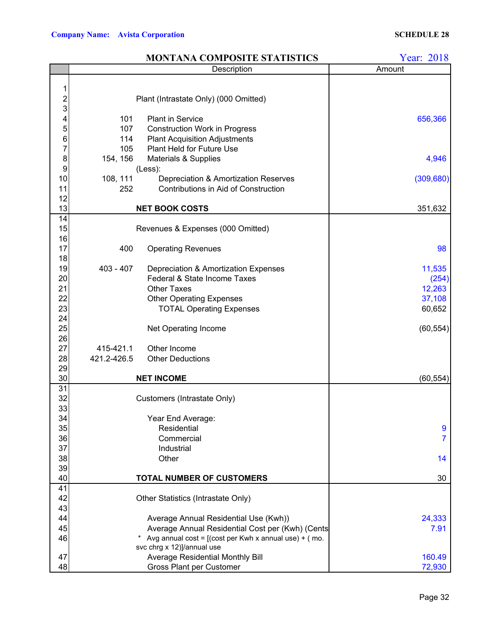|                 |             | <b>MONTANA COMPOSITE STATISTICS</b>                                                   | Year: 2018 |
|-----------------|-------------|---------------------------------------------------------------------------------------|------------|
|                 |             | Description                                                                           | Amount     |
|                 |             |                                                                                       |            |
| 1               |             |                                                                                       |            |
|                 |             | Plant (Intrastate Only) (000 Omitted)                                                 |            |
| $\frac{2}{3}$   |             |                                                                                       |            |
| 4               | 101         | <b>Plant in Service</b>                                                               | 656,366    |
| 5               | 107         | <b>Construction Work in Progress</b>                                                  |            |
| $\frac{6}{7}$   | 114         | <b>Plant Acquisition Adjustments</b>                                                  |            |
|                 | 105         | <b>Plant Held for Future Use</b>                                                      |            |
| 8               | 154, 156    | Materials & Supplies                                                                  | 4,946      |
| 9               |             | (Less):                                                                               |            |
| 10              | 108, 111    | Depreciation & Amortization Reserves                                                  | (309, 680) |
| 11              | 252         | Contributions in Aid of Construction                                                  |            |
| 12              |             |                                                                                       |            |
| 13              |             | <b>NET BOOK COSTS</b>                                                                 | 351,632    |
| 14              |             |                                                                                       |            |
| 15              |             | Revenues & Expenses (000 Omitted)                                                     |            |
| 16              |             |                                                                                       |            |
| 17              | 400         | <b>Operating Revenues</b>                                                             | 98         |
| 18              |             |                                                                                       |            |
| 19              | $403 - 407$ | Depreciation & Amortization Expenses                                                  | 11,535     |
| 20              |             | Federal & State Income Taxes                                                          | (254)      |
| 21              |             | <b>Other Taxes</b>                                                                    | 12,263     |
| 22              |             | <b>Other Operating Expenses</b>                                                       | 37,108     |
| 23              |             | <b>TOTAL Operating Expenses</b>                                                       | 60,652     |
| 24              |             |                                                                                       |            |
| 25              |             | Net Operating Income                                                                  | (60, 554)  |
| 26              |             |                                                                                       |            |
| 27              | 415-421.1   | Other Income                                                                          |            |
| 28              | 421.2-426.5 | <b>Other Deductions</b>                                                               |            |
| 29              |             |                                                                                       |            |
| 30              |             | <b>NET INCOME</b>                                                                     | (60, 554)  |
| $\overline{31}$ |             |                                                                                       |            |
| 32              |             | Customers (Intrastate Only)                                                           |            |
| 33              |             |                                                                                       |            |
| 34              |             | Year End Average:                                                                     |            |
| 35              |             | Residential                                                                           | 9          |
| 36              |             | Commercial                                                                            | 7          |
| 37              |             | Industrial                                                                            |            |
| 38              |             | Other                                                                                 | 14         |
| 39              |             |                                                                                       |            |
| 40              |             | TOTAL NUMBER OF CUSTOMERS                                                             | 30         |
| 41              |             |                                                                                       |            |
| 42              |             | Other Statistics (Intrastate Only)                                                    |            |
| 43              |             |                                                                                       |            |
| 44              |             | Average Annual Residential Use (Kwh))                                                 | 24,333     |
| 45              |             | Average Annual Residential Cost per (Kwh) (Cents                                      | 7.91       |
| 46              |             | Avg annual cost = $[(\text{cost per Kwh x annual use}) + (\text{mo})$ .<br>$^{\star}$ |            |
|                 |             | svc chrg x 12)]/annual use                                                            |            |
| 47              |             | Average Residential Monthly Bill                                                      | 160.49     |
| 48              |             | <b>Gross Plant per Customer</b>                                                       | 72,930     |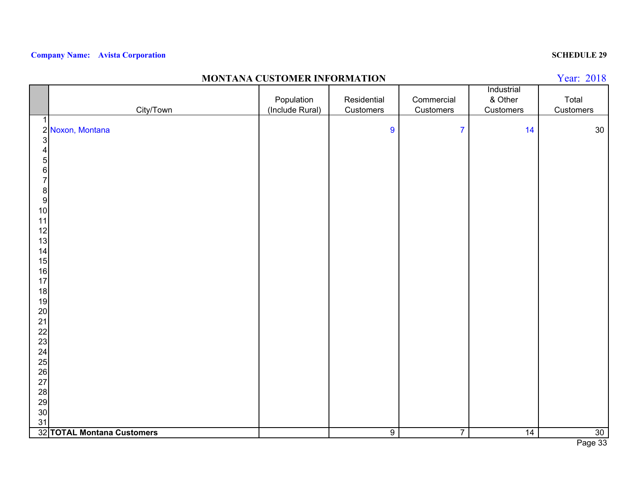### **MONTANA CUSTOMER INFORMATION**

|                                       |                            |                 |                |                | Industrial |                 |
|---------------------------------------|----------------------------|-----------------|----------------|----------------|------------|-----------------|
|                                       |                            | Population      | Residential    | Commercial     | & Other    | Total           |
|                                       | City/Town                  | (Include Rural) | Customers      | Customers      | Customers  | Customers       |
| 1                                     |                            |                 |                |                |            |                 |
|                                       | 2 Noxon, Montana           |                 | $\overline{9}$ | $\overline{7}$ | 14         | $30\,$          |
| $\ensuremath{\mathsf{3}}$             |                            |                 |                |                |            |                 |
| $\overline{\mathbf{4}}$               |                            |                 |                |                |            |                 |
| $\overline{5}$                        |                            |                 |                |                |            |                 |
| $\,$ 6 $\,$                           |                            |                 |                |                |            |                 |
| $\overline{7}$                        |                            |                 |                |                |            |                 |
| $\begin{array}{c} 8 \\ 9 \end{array}$ |                            |                 |                |                |            |                 |
|                                       |                            |                 |                |                |            |                 |
| 10                                    |                            |                 |                |                |            |                 |
| 11                                    |                            |                 |                |                |            |                 |
| 12                                    |                            |                 |                |                |            |                 |
| 13                                    |                            |                 |                |                |            |                 |
| 14                                    |                            |                 |                |                |            |                 |
| 15                                    |                            |                 |                |                |            |                 |
| 16                                    |                            |                 |                |                |            |                 |
| 17                                    |                            |                 |                |                |            |                 |
| 18                                    |                            |                 |                |                |            |                 |
| 19                                    |                            |                 |                |                |            |                 |
| 20                                    |                            |                 |                |                |            |                 |
| 21                                    |                            |                 |                |                |            |                 |
| 22<br>23                              |                            |                 |                |                |            |                 |
| 24                                    |                            |                 |                |                |            |                 |
| 25                                    |                            |                 |                |                |            |                 |
| 26                                    |                            |                 |                |                |            |                 |
| 27                                    |                            |                 |                |                |            |                 |
| 28                                    |                            |                 |                |                |            |                 |
| 29                                    |                            |                 |                |                |            |                 |
| 30                                    |                            |                 |                |                |            |                 |
| 31                                    |                            |                 |                |                |            |                 |
|                                       | 32 TOTAL Montana Customers |                 | 9              | $\overline{7}$ | 14         | 30 <sup>°</sup> |
|                                       |                            |                 |                |                |            |                 |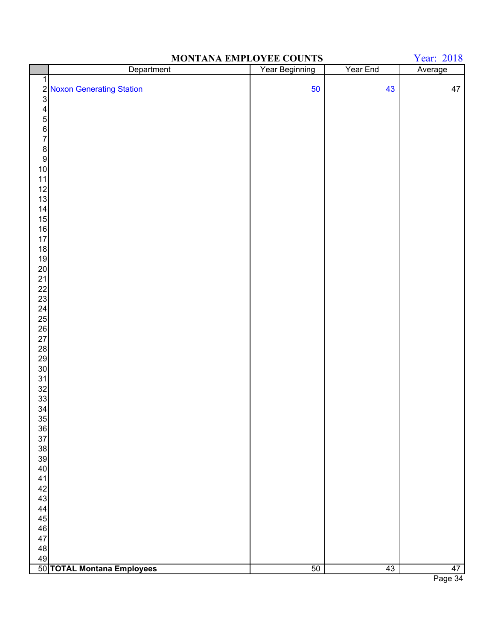| Year Beginning<br>Year End<br>Department<br>Average<br>$\mathbf 1$<br>50<br>2 Noxon Generating Station<br>3<br>43<br>47<br>$\begin{array}{c} 4 \\ 5 \\ 6 \end{array}$<br>$\begin{array}{c} 8 \\ 9 \end{array}$<br>10<br>$11$<br>12<br>13<br>$\frac{14}{15}$<br>16<br>17<br>18<br>19<br>$20\,$<br>21<br>22<br>23<br>24<br>25<br>$\begin{array}{c} 26 \\ 27 \end{array}$<br>$\begin{array}{c} 28 \\ 29 \end{array}$<br>30<br>$\begin{array}{c} 31 \\ 32 \end{array}$<br>33<br>34<br>$35\,$<br>36<br>37<br>38<br>39<br>40<br>41<br>42<br>43<br>44<br>45<br>${\bf 46}$<br>47<br>48<br>49 | Year: 2018<br>MONTANA EMPLOYEE COUNTS |  |  |  |  |  |
|--------------------------------------------------------------------------------------------------------------------------------------------------------------------------------------------------------------------------------------------------------------------------------------------------------------------------------------------------------------------------------------------------------------------------------------------------------------------------------------------------------------------------------------------------------------------------------------|---------------------------------------|--|--|--|--|--|
|                                                                                                                                                                                                                                                                                                                                                                                                                                                                                                                                                                                      |                                       |  |  |  |  |  |
|                                                                                                                                                                                                                                                                                                                                                                                                                                                                                                                                                                                      |                                       |  |  |  |  |  |
|                                                                                                                                                                                                                                                                                                                                                                                                                                                                                                                                                                                      |                                       |  |  |  |  |  |
|                                                                                                                                                                                                                                                                                                                                                                                                                                                                                                                                                                                      |                                       |  |  |  |  |  |
|                                                                                                                                                                                                                                                                                                                                                                                                                                                                                                                                                                                      |                                       |  |  |  |  |  |
|                                                                                                                                                                                                                                                                                                                                                                                                                                                                                                                                                                                      |                                       |  |  |  |  |  |
|                                                                                                                                                                                                                                                                                                                                                                                                                                                                                                                                                                                      |                                       |  |  |  |  |  |
|                                                                                                                                                                                                                                                                                                                                                                                                                                                                                                                                                                                      |                                       |  |  |  |  |  |
|                                                                                                                                                                                                                                                                                                                                                                                                                                                                                                                                                                                      |                                       |  |  |  |  |  |
|                                                                                                                                                                                                                                                                                                                                                                                                                                                                                                                                                                                      |                                       |  |  |  |  |  |
|                                                                                                                                                                                                                                                                                                                                                                                                                                                                                                                                                                                      |                                       |  |  |  |  |  |
|                                                                                                                                                                                                                                                                                                                                                                                                                                                                                                                                                                                      |                                       |  |  |  |  |  |
|                                                                                                                                                                                                                                                                                                                                                                                                                                                                                                                                                                                      |                                       |  |  |  |  |  |
|                                                                                                                                                                                                                                                                                                                                                                                                                                                                                                                                                                                      |                                       |  |  |  |  |  |
|                                                                                                                                                                                                                                                                                                                                                                                                                                                                                                                                                                                      |                                       |  |  |  |  |  |
|                                                                                                                                                                                                                                                                                                                                                                                                                                                                                                                                                                                      |                                       |  |  |  |  |  |
|                                                                                                                                                                                                                                                                                                                                                                                                                                                                                                                                                                                      |                                       |  |  |  |  |  |
|                                                                                                                                                                                                                                                                                                                                                                                                                                                                                                                                                                                      |                                       |  |  |  |  |  |
|                                                                                                                                                                                                                                                                                                                                                                                                                                                                                                                                                                                      |                                       |  |  |  |  |  |
|                                                                                                                                                                                                                                                                                                                                                                                                                                                                                                                                                                                      |                                       |  |  |  |  |  |
|                                                                                                                                                                                                                                                                                                                                                                                                                                                                                                                                                                                      |                                       |  |  |  |  |  |
|                                                                                                                                                                                                                                                                                                                                                                                                                                                                                                                                                                                      |                                       |  |  |  |  |  |
|                                                                                                                                                                                                                                                                                                                                                                                                                                                                                                                                                                                      |                                       |  |  |  |  |  |
|                                                                                                                                                                                                                                                                                                                                                                                                                                                                                                                                                                                      |                                       |  |  |  |  |  |
|                                                                                                                                                                                                                                                                                                                                                                                                                                                                                                                                                                                      |                                       |  |  |  |  |  |
|                                                                                                                                                                                                                                                                                                                                                                                                                                                                                                                                                                                      |                                       |  |  |  |  |  |
|                                                                                                                                                                                                                                                                                                                                                                                                                                                                                                                                                                                      |                                       |  |  |  |  |  |
|                                                                                                                                                                                                                                                                                                                                                                                                                                                                                                                                                                                      |                                       |  |  |  |  |  |
|                                                                                                                                                                                                                                                                                                                                                                                                                                                                                                                                                                                      |                                       |  |  |  |  |  |
|                                                                                                                                                                                                                                                                                                                                                                                                                                                                                                                                                                                      |                                       |  |  |  |  |  |
|                                                                                                                                                                                                                                                                                                                                                                                                                                                                                                                                                                                      |                                       |  |  |  |  |  |
|                                                                                                                                                                                                                                                                                                                                                                                                                                                                                                                                                                                      |                                       |  |  |  |  |  |
|                                                                                                                                                                                                                                                                                                                                                                                                                                                                                                                                                                                      |                                       |  |  |  |  |  |
|                                                                                                                                                                                                                                                                                                                                                                                                                                                                                                                                                                                      |                                       |  |  |  |  |  |
|                                                                                                                                                                                                                                                                                                                                                                                                                                                                                                                                                                                      |                                       |  |  |  |  |  |
|                                                                                                                                                                                                                                                                                                                                                                                                                                                                                                                                                                                      |                                       |  |  |  |  |  |
|                                                                                                                                                                                                                                                                                                                                                                                                                                                                                                                                                                                      |                                       |  |  |  |  |  |
|                                                                                                                                                                                                                                                                                                                                                                                                                                                                                                                                                                                      |                                       |  |  |  |  |  |
|                                                                                                                                                                                                                                                                                                                                                                                                                                                                                                                                                                                      |                                       |  |  |  |  |  |
|                                                                                                                                                                                                                                                                                                                                                                                                                                                                                                                                                                                      |                                       |  |  |  |  |  |
|                                                                                                                                                                                                                                                                                                                                                                                                                                                                                                                                                                                      |                                       |  |  |  |  |  |
|                                                                                                                                                                                                                                                                                                                                                                                                                                                                                                                                                                                      |                                       |  |  |  |  |  |
|                                                                                                                                                                                                                                                                                                                                                                                                                                                                                                                                                                                      |                                       |  |  |  |  |  |
|                                                                                                                                                                                                                                                                                                                                                                                                                                                                                                                                                                                      |                                       |  |  |  |  |  |
|                                                                                                                                                                                                                                                                                                                                                                                                                                                                                                                                                                                      |                                       |  |  |  |  |  |
|                                                                                                                                                                                                                                                                                                                                                                                                                                                                                                                                                                                      |                                       |  |  |  |  |  |
|                                                                                                                                                                                                                                                                                                                                                                                                                                                                                                                                                                                      |                                       |  |  |  |  |  |
| 50 TOTAL Montana Employees<br>50<br>43<br>47                                                                                                                                                                                                                                                                                                                                                                                                                                                                                                                                         |                                       |  |  |  |  |  |

## **MONTANA EMPLOYEE COUNTS**

Page 34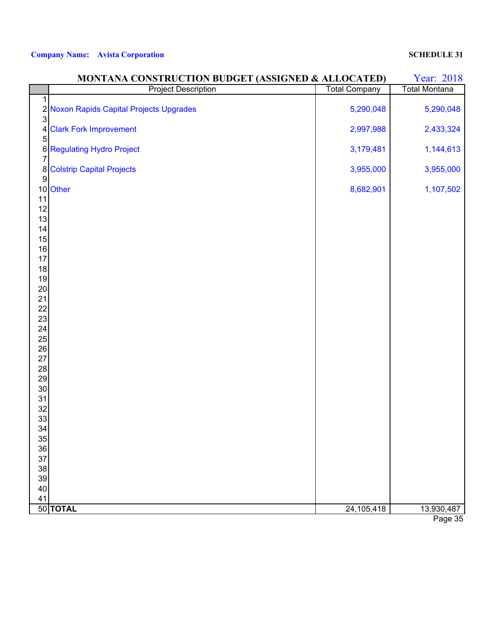| <b>Total Company</b><br><b>Total Montana</b><br>1<br>2 Noxon Rapids Capital Projects Upgrades<br>5,290,048<br>5,290,048<br>3<br><b>Clark Fork Improvement</b><br>2,997,988<br>2,433,324<br>4<br>5<br><b>6</b> Regulating Hydro Project<br>3,179,481<br>1,144,613<br>3,955,000<br>8 Colstrip Capital Projects<br>3,955,000<br>9<br>10 Other<br>8,682,901<br>1,107,502<br>11<br>12<br>13<br>14<br>15<br>16<br>17<br>18<br>19<br>20<br>21<br>22<br>23<br>24<br>25<br>26<br>27<br>28<br>29<br>$30\,$<br>31<br>32<br>33<br>34<br>35<br>36<br>37 |    | MONTANA CONSTRUCTION BUDGET (ASSIGNED & ALLOCATED) |  |  |  |  |  |
|--------------------------------------------------------------------------------------------------------------------------------------------------------------------------------------------------------------------------------------------------------------------------------------------------------------------------------------------------------------------------------------------------------------------------------------------------------------------------------------------------------------------------------------------|----|----------------------------------------------------|--|--|--|--|--|
|                                                                                                                                                                                                                                                                                                                                                                                                                                                                                                                                            |    | <b>Project Description</b>                         |  |  |  |  |  |
|                                                                                                                                                                                                                                                                                                                                                                                                                                                                                                                                            |    |                                                    |  |  |  |  |  |
|                                                                                                                                                                                                                                                                                                                                                                                                                                                                                                                                            |    |                                                    |  |  |  |  |  |
|                                                                                                                                                                                                                                                                                                                                                                                                                                                                                                                                            |    |                                                    |  |  |  |  |  |
|                                                                                                                                                                                                                                                                                                                                                                                                                                                                                                                                            |    |                                                    |  |  |  |  |  |
|                                                                                                                                                                                                                                                                                                                                                                                                                                                                                                                                            |    |                                                    |  |  |  |  |  |
|                                                                                                                                                                                                                                                                                                                                                                                                                                                                                                                                            |    |                                                    |  |  |  |  |  |
|                                                                                                                                                                                                                                                                                                                                                                                                                                                                                                                                            |    |                                                    |  |  |  |  |  |
|                                                                                                                                                                                                                                                                                                                                                                                                                                                                                                                                            |    |                                                    |  |  |  |  |  |
|                                                                                                                                                                                                                                                                                                                                                                                                                                                                                                                                            |    |                                                    |  |  |  |  |  |
|                                                                                                                                                                                                                                                                                                                                                                                                                                                                                                                                            |    |                                                    |  |  |  |  |  |
|                                                                                                                                                                                                                                                                                                                                                                                                                                                                                                                                            |    |                                                    |  |  |  |  |  |
|                                                                                                                                                                                                                                                                                                                                                                                                                                                                                                                                            |    |                                                    |  |  |  |  |  |
|                                                                                                                                                                                                                                                                                                                                                                                                                                                                                                                                            |    |                                                    |  |  |  |  |  |
|                                                                                                                                                                                                                                                                                                                                                                                                                                                                                                                                            |    |                                                    |  |  |  |  |  |
|                                                                                                                                                                                                                                                                                                                                                                                                                                                                                                                                            |    |                                                    |  |  |  |  |  |
|                                                                                                                                                                                                                                                                                                                                                                                                                                                                                                                                            |    |                                                    |  |  |  |  |  |
|                                                                                                                                                                                                                                                                                                                                                                                                                                                                                                                                            |    |                                                    |  |  |  |  |  |
|                                                                                                                                                                                                                                                                                                                                                                                                                                                                                                                                            |    |                                                    |  |  |  |  |  |
|                                                                                                                                                                                                                                                                                                                                                                                                                                                                                                                                            |    |                                                    |  |  |  |  |  |
|                                                                                                                                                                                                                                                                                                                                                                                                                                                                                                                                            |    |                                                    |  |  |  |  |  |
|                                                                                                                                                                                                                                                                                                                                                                                                                                                                                                                                            |    |                                                    |  |  |  |  |  |
|                                                                                                                                                                                                                                                                                                                                                                                                                                                                                                                                            |    |                                                    |  |  |  |  |  |
|                                                                                                                                                                                                                                                                                                                                                                                                                                                                                                                                            |    |                                                    |  |  |  |  |  |
|                                                                                                                                                                                                                                                                                                                                                                                                                                                                                                                                            |    |                                                    |  |  |  |  |  |
|                                                                                                                                                                                                                                                                                                                                                                                                                                                                                                                                            |    |                                                    |  |  |  |  |  |
|                                                                                                                                                                                                                                                                                                                                                                                                                                                                                                                                            |    |                                                    |  |  |  |  |  |
|                                                                                                                                                                                                                                                                                                                                                                                                                                                                                                                                            |    |                                                    |  |  |  |  |  |
|                                                                                                                                                                                                                                                                                                                                                                                                                                                                                                                                            |    |                                                    |  |  |  |  |  |
|                                                                                                                                                                                                                                                                                                                                                                                                                                                                                                                                            |    |                                                    |  |  |  |  |  |
|                                                                                                                                                                                                                                                                                                                                                                                                                                                                                                                                            |    |                                                    |  |  |  |  |  |
|                                                                                                                                                                                                                                                                                                                                                                                                                                                                                                                                            |    |                                                    |  |  |  |  |  |
|                                                                                                                                                                                                                                                                                                                                                                                                                                                                                                                                            |    |                                                    |  |  |  |  |  |
|                                                                                                                                                                                                                                                                                                                                                                                                                                                                                                                                            |    |                                                    |  |  |  |  |  |
|                                                                                                                                                                                                                                                                                                                                                                                                                                                                                                                                            |    |                                                    |  |  |  |  |  |
|                                                                                                                                                                                                                                                                                                                                                                                                                                                                                                                                            |    |                                                    |  |  |  |  |  |
|                                                                                                                                                                                                                                                                                                                                                                                                                                                                                                                                            |    |                                                    |  |  |  |  |  |
|                                                                                                                                                                                                                                                                                                                                                                                                                                                                                                                                            | 38 |                                                    |  |  |  |  |  |
| 39                                                                                                                                                                                                                                                                                                                                                                                                                                                                                                                                         |    |                                                    |  |  |  |  |  |
| $40\,$                                                                                                                                                                                                                                                                                                                                                                                                                                                                                                                                     |    |                                                    |  |  |  |  |  |
| 41                                                                                                                                                                                                                                                                                                                                                                                                                                                                                                                                         |    |                                                    |  |  |  |  |  |
| 50 TOTAL<br>24,105,418<br>13,930,487<br>$D0 \approx 2F$                                                                                                                                                                                                                                                                                                                                                                                                                                                                                    |    |                                                    |  |  |  |  |  |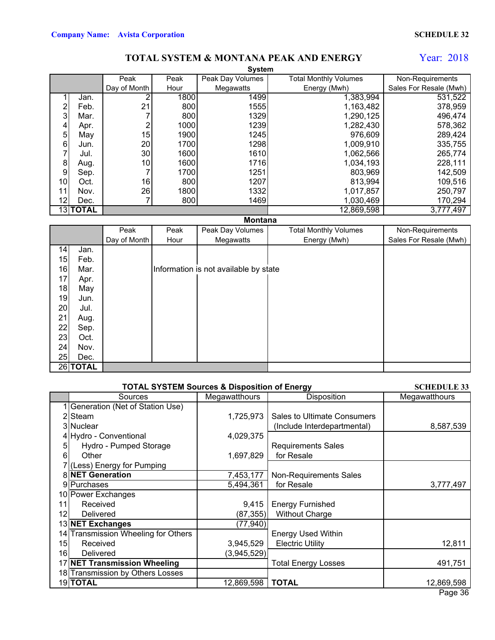### **TOTAL SYSTEM & MONTANA PEAK AND ENERGY**

## Year: 2018

|                  | <b>System</b>   |              |      |                  |                              |                        |  |  |  |
|------------------|-----------------|--------------|------|------------------|------------------------------|------------------------|--|--|--|
|                  |                 | Peak         | Peak | Peak Day Volumes | <b>Total Monthly Volumes</b> | Non-Requirements       |  |  |  |
|                  |                 | Day of Month | Hour | Megawatts        | Energy (Mwh)                 | Sales For Resale (Mwh) |  |  |  |
|                  | Jan.            | ⌒            | 1800 | 1499             | 1,383,994                    | 531,522                |  |  |  |
| $\overline{2}$   | Feb.            | 21           | 800  | 1555             | 1,163,482                    | 378,959                |  |  |  |
| 3                | Mar.            |              | 800  | 1329             | 1,290,125                    | 496,474                |  |  |  |
| 4                | Apr.            | 2            | 1000 | 1239             | 1,282,430                    | 578,362                |  |  |  |
| 5                | May             | 15           | 1900 | 1245             | 976,609                      | 289,424                |  |  |  |
| 6                | Jun.            | 20           | 1700 | 1298             | 1,009,910                    | 335,755                |  |  |  |
|                  | Jul.            | 30           | 1600 | 1610             | 1,062,566                    | 265,774                |  |  |  |
| 8                | Aug.            | 10           | 1600 | 1716             | 1,034,193                    | 228,111                |  |  |  |
| $\boldsymbol{9}$ | Sep.            |              | 1700 | 1251             | 803,969                      | 142,509                |  |  |  |
| 10 <sup>1</sup>  | Oct.            | 16           | 800  | 1207             | 813,994                      | 109,516                |  |  |  |
| 11               | Nov.            | 26           | 1800 | 1332             | 1,017,857                    | 250,797                |  |  |  |
| 12               | Dec.            |              | 800  | 1469             | 1,030,469                    | 170,294                |  |  |  |
|                  | <b>13ITOTAL</b> |              |      |                  | 12,869,598                   | 3,777,497              |  |  |  |

## **Montana**

|    |          | Peak         | Peak | Peak Day Volumes                      | <b>Total Monthly Volumes</b> | Non-Requirements       |
|----|----------|--------------|------|---------------------------------------|------------------------------|------------------------|
|    |          | Day of Month | Hour | Megawatts                             | Energy (Mwh)                 | Sales For Resale (Mwh) |
| 14 | Jan.     |              |      |                                       |                              |                        |
| 15 | Feb.     |              |      |                                       |                              |                        |
| 16 | Mar.     |              |      | Information is not available by state |                              |                        |
| 17 | Apr.     |              |      |                                       |                              |                        |
| 18 | May      |              |      |                                       |                              |                        |
| 19 | Jun.     |              |      |                                       |                              |                        |
| 20 | Jul.     |              |      |                                       |                              |                        |
| 21 | Aug.     |              |      |                                       |                              |                        |
| 22 | Sep.     |              |      |                                       |                              |                        |
| 23 | Oct.     |              |      |                                       |                              |                        |
| 24 | Nov.     |              |      |                                       |                              |                        |
| 25 | Dec.     |              |      |                                       |                              |                        |
|    | 26 TOTAL |              |      |                                       |                              |                        |

|    | <b>SCHEDULE 33</b>                  |               |                               |               |
|----|-------------------------------------|---------------|-------------------------------|---------------|
|    | Sources                             | Megawatthours | Disposition                   | Megawatthours |
|    | Generation (Net of Station Use)     |               |                               |               |
|    | 2 Steam                             | 1,725,973     | Sales to Ultimate Consumers   |               |
|    | 3INuclear                           |               | (Include Interdepartmental)   | 8,587,539     |
|    | 4 Hydro - Conventional              | 4,029,375     |                               |               |
|    | Hydro - Pumped Storage              |               | <b>Requirements Sales</b>     |               |
| 6  | Other                               | 1,697,829     | for Resale                    |               |
|    | (Less) Energy for Pumping           |               |                               |               |
|    | <b>8 NET Generation</b>             | 7,453,177     | <b>Non-Requirements Sales</b> |               |
|    | 9 Purchases                         | 5,494,361     | for Resale                    | 3,777,497     |
|    | 10 Power Exchanges                  |               |                               |               |
| 11 | Received                            | 9,415         | <b>Energy Furnished</b>       |               |
| 12 | Delivered                           | (87, 355)     | <b>Without Charge</b>         |               |
|    | 13 NET Exchanges                    | (77, 940)     |                               |               |
|    | 14 Transmission Wheeling for Others |               | <b>Energy Used Within</b>     |               |
| 15 | Received                            | 3,945,529     | <b>Electric Utility</b>       | 12,811        |
| 16 | Delivered                           | (3,945,529)   |                               |               |
|    | 17 NET Transmission Wheeling        |               | <b>Total Energy Losses</b>    | 491,751       |
|    | 18 Transmission by Others Losses    |               |                               |               |
|    | 19TOTAL                             | 12,869,598    | <b>TOTAL</b>                  | 12,869,598    |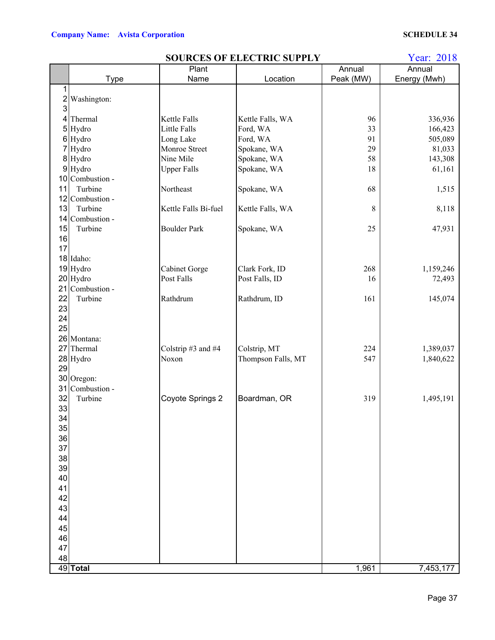|          | <b>SOURCES OF ELECTRIC SUPPLY</b> |                      |                    |           |              |  |  |  |
|----------|-----------------------------------|----------------------|--------------------|-----------|--------------|--|--|--|
|          |                                   | Plant                |                    | Annual    | Annual       |  |  |  |
|          | <b>Type</b>                       | Name                 | Location           | Peak (MW) | Energy (Mwh) |  |  |  |
| 1        |                                   |                      |                    |           |              |  |  |  |
| $2\vert$ | Washington:                       |                      |                    |           |              |  |  |  |
| 3        |                                   |                      |                    |           |              |  |  |  |
|          | 4 Thermal                         | Kettle Falls         | Kettle Falls, WA   | 96        | 336,936      |  |  |  |
|          | 5 Hydro                           | <b>Little Falls</b>  | Ford, WA           | 33        | 166,423      |  |  |  |
|          | 6 Hydro                           | Long Lake            | Ford, WA           | 91        | 505,089      |  |  |  |
|          | 7 Hydro                           | Monroe Street        | Spokane, WA        | 29        | 81,033       |  |  |  |
|          | 8 Hydro                           | Nine Mile            | Spokane, WA        | 58        | 143,308      |  |  |  |
|          | 9 Hydro                           | <b>Upper Falls</b>   | Spokane, WA        | 18        | 61,161       |  |  |  |
|          | 10 Combustion -                   |                      |                    |           |              |  |  |  |
| 11       | Turbine                           | Northeast            | Spokane, WA        | 68        | 1,515        |  |  |  |
|          | 12 Combustion -                   |                      |                    |           |              |  |  |  |
| 13       | Turbine                           | Kettle Falls Bi-fuel | Kettle Falls, WA   | 8         | 8,118        |  |  |  |
|          | 14 Combustion -                   |                      |                    |           |              |  |  |  |
| 15       | Turbine                           | <b>Boulder Park</b>  | Spokane, WA        | 25        | 47,931       |  |  |  |
| 16       |                                   |                      |                    |           |              |  |  |  |
| 17       |                                   |                      |                    |           |              |  |  |  |
|          | 18 Idaho:                         |                      |                    |           |              |  |  |  |
|          | 19 Hydro                          | Cabinet Gorge        | Clark Fork, ID     | 268       | 1,159,246    |  |  |  |
|          | 20 Hydro                          | Post Falls           | Post Falls, ID     | 16        | 72,493       |  |  |  |
|          | 21 Combustion -                   |                      |                    |           |              |  |  |  |
| 22       | Turbine                           | Rathdrum             | Rathdrum, ID       | 161       | 145,074      |  |  |  |
| 23       |                                   |                      |                    |           |              |  |  |  |
| 24       |                                   |                      |                    |           |              |  |  |  |
| 25       |                                   |                      |                    |           |              |  |  |  |
|          | 26 Montana:                       |                      |                    |           |              |  |  |  |
|          | 27 Thermal                        | Colstrip #3 and #4   | Colstrip, MT       | 224       | 1,389,037    |  |  |  |
|          | 28 Hydro                          | Noxon                | Thompson Falls, MT | 547       | 1,840,622    |  |  |  |
| 29       |                                   |                      |                    |           |              |  |  |  |
|          | 30 Oregon:                        |                      |                    |           |              |  |  |  |
| 31       | Combustion -                      |                      |                    |           |              |  |  |  |
| 32       | Turbine                           | Coyote Springs 2     | Boardman, OR       | 319       | 1,495,191    |  |  |  |
| 33       |                                   |                      |                    |           |              |  |  |  |
| 34       |                                   |                      |                    |           |              |  |  |  |
| 35       |                                   |                      |                    |           |              |  |  |  |
| 36       |                                   |                      |                    |           |              |  |  |  |
| 37       |                                   |                      |                    |           |              |  |  |  |
| 38       |                                   |                      |                    |           |              |  |  |  |
| 39       |                                   |                      |                    |           |              |  |  |  |
| 40       |                                   |                      |                    |           |              |  |  |  |
| 41       |                                   |                      |                    |           |              |  |  |  |
| 42       |                                   |                      |                    |           |              |  |  |  |
| 43       |                                   |                      |                    |           |              |  |  |  |
| 44       |                                   |                      |                    |           |              |  |  |  |
| 45       |                                   |                      |                    |           |              |  |  |  |
| 46       |                                   |                      |                    |           |              |  |  |  |
| 47       |                                   |                      |                    |           |              |  |  |  |
| 48       | 49 Total                          |                      |                    | 1,961     | 7,453,177    |  |  |  |
|          |                                   |                      |                    |           |              |  |  |  |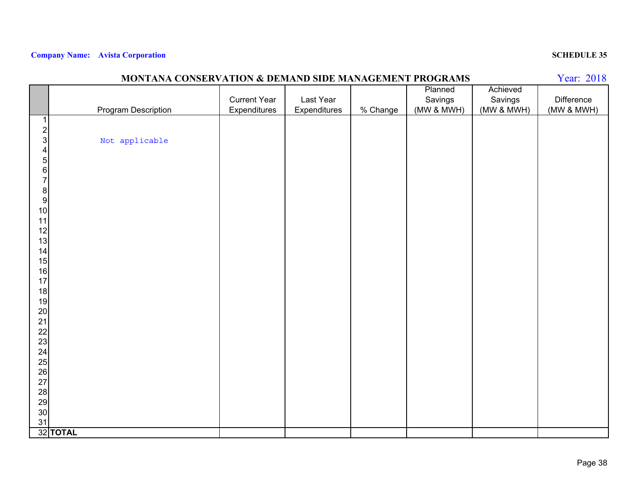|                                            | MONTANA CONSERVATION & DEMAND SIDE MANAGEMENT PROGRAMS |                     |              |          |            |            | Year: 2018 |
|--------------------------------------------|--------------------------------------------------------|---------------------|--------------|----------|------------|------------|------------|
|                                            |                                                        |                     |              |          | Planned    | Achieved   |            |
|                                            |                                                        | <b>Current Year</b> | Last Year    |          | Savings    | Savings    | Difference |
|                                            | Program Description                                    | Expenditures        | Expenditures | % Change | (MW & MWH) | (MW & MWH) | (MW & MWH) |
| 1                                          |                                                        |                     |              |          |            |            |            |
| $\frac{2}{3}$                              |                                                        |                     |              |          |            |            |            |
|                                            | Not applicable                                         |                     |              |          |            |            |            |
| $\overline{\mathbf{4}}$                    |                                                        |                     |              |          |            |            |            |
|                                            |                                                        |                     |              |          |            |            |            |
| $\begin{array}{c} 5 \\ 6 \\ 7 \end{array}$ |                                                        |                     |              |          |            |            |            |
|                                            |                                                        |                     |              |          |            |            |            |
| $\begin{array}{c} 8 \\ 9 \end{array}$      |                                                        |                     |              |          |            |            |            |
|                                            |                                                        |                     |              |          |            |            |            |
| 10                                         |                                                        |                     |              |          |            |            |            |
| 11                                         |                                                        |                     |              |          |            |            |            |
| $\begin{array}{c} 12 \\ 13 \end{array}$    |                                                        |                     |              |          |            |            |            |
|                                            |                                                        |                     |              |          |            |            |            |
| 14<br>15                                   |                                                        |                     |              |          |            |            |            |
| 16                                         |                                                        |                     |              |          |            |            |            |
| 17                                         |                                                        |                     |              |          |            |            |            |
| 18                                         |                                                        |                     |              |          |            |            |            |
| 19                                         |                                                        |                     |              |          |            |            |            |
| 20                                         |                                                        |                     |              |          |            |            |            |
| 21                                         |                                                        |                     |              |          |            |            |            |
|                                            |                                                        |                     |              |          |            |            |            |
| $\frac{22}{23}$                            |                                                        |                     |              |          |            |            |            |
| 24                                         |                                                        |                     |              |          |            |            |            |
| $\frac{25}{26}$                            |                                                        |                     |              |          |            |            |            |
|                                            |                                                        |                     |              |          |            |            |            |
| 27                                         |                                                        |                     |              |          |            |            |            |
|                                            |                                                        |                     |              |          |            |            |            |
| 28<br>29<br>30                             |                                                        |                     |              |          |            |            |            |
|                                            |                                                        |                     |              |          |            |            |            |
| 31                                         |                                                        |                     |              |          |            |            |            |
|                                            | 32 TOTAL                                               |                     |              |          |            |            |            |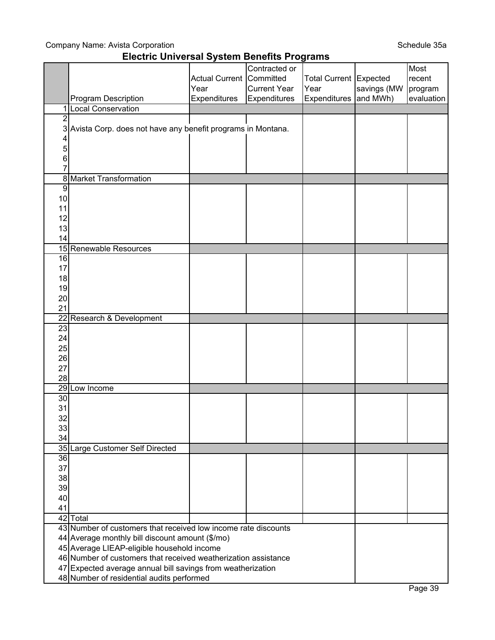## Company Name: Avista Corporation

## **Electric Universal System Benefits Programs**

|                 |                                                                                                              |                       | Contracted or       |                               |             | Most       |
|-----------------|--------------------------------------------------------------------------------------------------------------|-----------------------|---------------------|-------------------------------|-------------|------------|
|                 |                                                                                                              | <b>Actual Current</b> | Committed           | <b>Total Current Expected</b> |             | recent     |
|                 |                                                                                                              | Year                  | <b>Current Year</b> | Year                          | savings (MW | program    |
|                 | Program Description                                                                                          | Expenditures          | Expenditures        | Expenditures and MWh)         |             | evaluation |
| 1               | <b>Local Conservation</b>                                                                                    |                       |                     |                               |             |            |
| $\overline{2}$  |                                                                                                              |                       |                     |                               |             |            |
|                 | 3 Avista Corp. does not have any benefit programs in Montana.                                                |                       |                     |                               |             |            |
| 4               |                                                                                                              |                       |                     |                               |             |            |
| 5               |                                                                                                              |                       |                     |                               |             |            |
| 6               |                                                                                                              |                       |                     |                               |             |            |
|                 |                                                                                                              |                       |                     |                               |             |            |
| 8               | <b>Market Transformation</b>                                                                                 |                       |                     |                               |             |            |
| $\overline{9}$  |                                                                                                              |                       |                     |                               |             |            |
| 10              |                                                                                                              |                       |                     |                               |             |            |
| 11              |                                                                                                              |                       |                     |                               |             |            |
| 12              |                                                                                                              |                       |                     |                               |             |            |
| 13              |                                                                                                              |                       |                     |                               |             |            |
| 14              |                                                                                                              |                       |                     |                               |             |            |
|                 | 15 Renewable Resources                                                                                       |                       |                     |                               |             |            |
| 16              |                                                                                                              |                       |                     |                               |             |            |
| 17              |                                                                                                              |                       |                     |                               |             |            |
| 18              |                                                                                                              |                       |                     |                               |             |            |
| 19              |                                                                                                              |                       |                     |                               |             |            |
| 20              |                                                                                                              |                       |                     |                               |             |            |
| 21              |                                                                                                              |                       |                     |                               |             |            |
| $\overline{22}$ | Research & Development                                                                                       |                       |                     |                               |             |            |
| 23              |                                                                                                              |                       |                     |                               |             |            |
| 24              |                                                                                                              |                       |                     |                               |             |            |
| 25              |                                                                                                              |                       |                     |                               |             |            |
| 26              |                                                                                                              |                       |                     |                               |             |            |
| 27              |                                                                                                              |                       |                     |                               |             |            |
| 28              |                                                                                                              |                       |                     |                               |             |            |
|                 | 29 Low Income                                                                                                |                       |                     |                               |             |            |
| 30              |                                                                                                              |                       |                     |                               |             |            |
| 31              |                                                                                                              |                       |                     |                               |             |            |
| 32              |                                                                                                              |                       |                     |                               |             |            |
| 33              |                                                                                                              |                       |                     |                               |             |            |
| 34              |                                                                                                              |                       |                     |                               |             |            |
|                 | 35 Large Customer Self Directed                                                                              |                       |                     |                               |             |            |
| $\overline{36}$ |                                                                                                              |                       |                     |                               |             |            |
| 37              |                                                                                                              |                       |                     |                               |             |            |
| 38              |                                                                                                              |                       |                     |                               |             |            |
| 39              |                                                                                                              |                       |                     |                               |             |            |
| 40              |                                                                                                              |                       |                     |                               |             |            |
| 41              |                                                                                                              |                       |                     |                               |             |            |
|                 | 42 Total                                                                                                     |                       |                     |                               |             |            |
|                 | 43 Number of customers that received low income rate discounts                                               |                       |                     |                               |             |            |
|                 | 44 Average monthly bill discount amount (\$/mo)                                                              |                       |                     |                               |             |            |
|                 | 45 Average LIEAP-eligible household income<br>46 Number of customers that received weatherization assistance |                       |                     |                               |             |            |
|                 |                                                                                                              |                       |                     |                               |             |            |
|                 | 47 Expected average annual bill savings from weatherization                                                  |                       |                     |                               |             |            |
|                 | 48 Number of residential audits performed                                                                    |                       |                     |                               |             |            |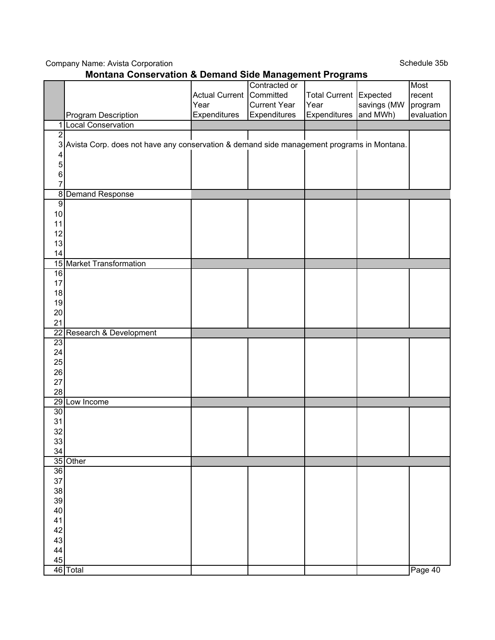Company Name: Avista Corporation

Schedule 35b

|                 | <b>Montana Conservation &amp; Demand Side Management Programs</b>                           |                          |                     |                        |             |            |  |  |  |
|-----------------|---------------------------------------------------------------------------------------------|--------------------------|---------------------|------------------------|-------------|------------|--|--|--|
|                 |                                                                                             |                          | Contracted or       |                        |             | Most       |  |  |  |
|                 |                                                                                             | Actual Current Committed |                     | Total Current Expected |             | recent     |  |  |  |
|                 |                                                                                             | Year                     | <b>Current Year</b> | Year                   | savings (MW | program    |  |  |  |
|                 | Program Description                                                                         | Expenditures             | Expenditures        | Expenditures and MWh)  |             | evaluation |  |  |  |
| 1               | <b>Local Conservation</b>                                                                   |                          |                     |                        |             |            |  |  |  |
| $\overline{c}$  |                                                                                             |                          |                     |                        |             |            |  |  |  |
|                 | 3 Avista Corp. does not have any conservation & demand side management programs in Montana. |                          |                     |                        |             |            |  |  |  |
| 4               |                                                                                             |                          |                     |                        |             |            |  |  |  |
| 5               |                                                                                             |                          |                     |                        |             |            |  |  |  |
| 6               |                                                                                             |                          |                     |                        |             |            |  |  |  |
| 7               |                                                                                             |                          |                     |                        |             |            |  |  |  |
|                 | 8 Demand Response                                                                           |                          |                     |                        |             |            |  |  |  |
| $\overline{9}$  |                                                                                             |                          |                     |                        |             |            |  |  |  |
| 10              |                                                                                             |                          |                     |                        |             |            |  |  |  |
| 11              |                                                                                             |                          |                     |                        |             |            |  |  |  |
| 12              |                                                                                             |                          |                     |                        |             |            |  |  |  |
| 13              |                                                                                             |                          |                     |                        |             |            |  |  |  |
| 14              |                                                                                             |                          |                     |                        |             |            |  |  |  |
|                 | 15 Market Transformation                                                                    |                          |                     |                        |             |            |  |  |  |
| 16              |                                                                                             |                          |                     |                        |             |            |  |  |  |
| 17              |                                                                                             |                          |                     |                        |             |            |  |  |  |
| 18              |                                                                                             |                          |                     |                        |             |            |  |  |  |
| 19              |                                                                                             |                          |                     |                        |             |            |  |  |  |
| 20              |                                                                                             |                          |                     |                        |             |            |  |  |  |
| 21              |                                                                                             |                          |                     |                        |             |            |  |  |  |
| $\overline{22}$ | Research & Development                                                                      |                          |                     |                        |             |            |  |  |  |
| 23              |                                                                                             |                          |                     |                        |             |            |  |  |  |
| 24              |                                                                                             |                          |                     |                        |             |            |  |  |  |
| 25              |                                                                                             |                          |                     |                        |             |            |  |  |  |
| 26              |                                                                                             |                          |                     |                        |             |            |  |  |  |
| 27              |                                                                                             |                          |                     |                        |             |            |  |  |  |
| 28              |                                                                                             |                          |                     |                        |             |            |  |  |  |
|                 | 29 Low Income                                                                               |                          |                     |                        |             |            |  |  |  |
| 30              |                                                                                             |                          |                     |                        |             |            |  |  |  |
| 31              |                                                                                             |                          |                     |                        |             |            |  |  |  |
| 32              |                                                                                             |                          |                     |                        |             |            |  |  |  |
| 33              |                                                                                             |                          |                     |                        |             |            |  |  |  |
| 34              |                                                                                             |                          |                     |                        |             |            |  |  |  |
|                 | 35 Other                                                                                    |                          |                     |                        |             |            |  |  |  |
| 36              |                                                                                             |                          |                     |                        |             |            |  |  |  |
| 37              |                                                                                             |                          |                     |                        |             |            |  |  |  |
| 38              |                                                                                             |                          |                     |                        |             |            |  |  |  |
| 39              |                                                                                             |                          |                     |                        |             |            |  |  |  |
| 40              |                                                                                             |                          |                     |                        |             |            |  |  |  |
| 41              |                                                                                             |                          |                     |                        |             |            |  |  |  |
| 42              |                                                                                             |                          |                     |                        |             |            |  |  |  |
| 43              |                                                                                             |                          |                     |                        |             |            |  |  |  |
| 44              |                                                                                             |                          |                     |                        |             |            |  |  |  |
| 45              |                                                                                             |                          |                     |                        |             |            |  |  |  |
|                 | 46 Total                                                                                    |                          |                     |                        |             | Page 40    |  |  |  |